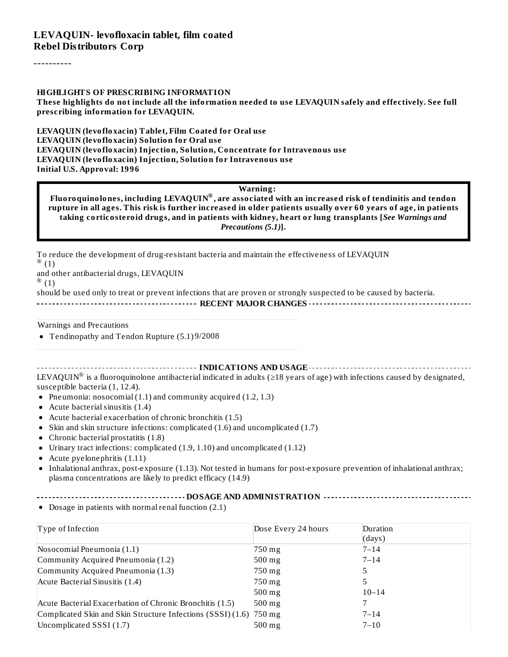----------

#### **HIGHLIGHTS OF PRESCRIBING INFORMATION**

These highlights do not include all the information needed to use LEVAQUIN safely and effectively. See full **prescribing information for LEVAQUIN.**

**LEVAQUIN (levofloxacin) Tablet, Film Coated for Oral use LEVAQUIN (levofloxacin) Solution for Oral use LEVAQUIN (levofloxacin) Injection, Solution, Concentrate for Intravenous use LEVAQUIN (levofloxacin) Injection, Solution for Intravenous use Initial U.S. Approval: 1996**

#### **Warning:**

**Fluoroquinolones, including LEVAQUIN , are associated with an increased risk of tendinitis and tendon ®** rupture in all ages. This risk is further increased in older patients usually over 60 years of age, in patients **taking corticosteroid drugs, and in patients with kidney, heart or lung transplants [***See Warnings and Precautions (5.1)***].**

To reduce the development of drug-resistant bacteria and maintain the effectiveness of LEVAQUIN  $^{\circledR}$  (1)

and other antibacterial drugs, LEVAQUIN

 $^{\circledR}$  (1)

should be used only to treat or prevent infections that are proven or strongly suspected to be caused by bacteria.

**RECENT MAJOR CHANGES**

Warnings and Precautions

Tendinopathy and Tendon Rupture (5.1) 9/2008

**INDICATIONS AND USAGE** LEVAQUIN $^\circledast$  is a fluoroquinolone antibacterial indicated in adults (≥18 years of age) with infections caused by designated,

susceptible bacteria (1, 12.4).

- Pneumonia: nosocomial  $(1.1)$  and community acquired  $(1.2, 1.3)$
- Acute bacterial sinusitis  $(1.4)$
- Acute bacterial exacerbation of chronic bronchitis (1.5)
- Skin and skin structure infections: complicated (1.6) and uncomplicated (1.7)
- Chronic bacterial prostatitis (1.8)
- Urinary tract infections: complicated (1.9, 1.10) and uncomplicated (1.12)
- Acute pyelonephritis  $(1.11)$
- Inhalational anthrax, post-exposure (1.13). Not tested in humans for post-exposure prevention of inhalational anthrax; plasma concentrations are likely to predict efficacy (14.9)

**DOSAGE AND ADMINISTRATION**

• Dosage in patients with normal renal function (2.1)

| Type of Infection                                                 | Dose Every 24 hours | Duration<br>(days) |
|-------------------------------------------------------------------|---------------------|--------------------|
| Nosocomial Pneumonia (1.1)                                        | 750 mg              | $7 - 14$           |
| Community Acquired Pneumonia (1.2)                                | $500$ mg            | $7 - 14$           |
| Community Acquired Pneumonia (1.3)                                | 750 mg              | 5                  |
| Acute Bacterial Sinusitis (1.4)                                   | 750 mg              | 5                  |
|                                                                   | $500$ mg            | $10 - 14$          |
| Acute Bacterial Exacerbation of Chronic Bronchitis (1.5)          | $500$ mg            |                    |
| Complicated Skin and Skin Structure Infections (SSSI)(1.6) 750 mg |                     | $7 - 14$           |
| Uncomplicated SSSI (1.7)                                          | $500$ mg            | $7 - 10$           |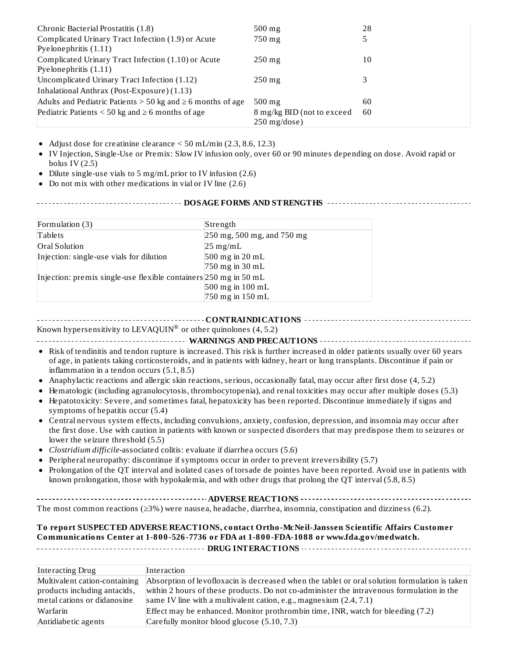| Chronic Bacterial Prostatitis (1.8)                                | $500$ mg                   | 28  |
|--------------------------------------------------------------------|----------------------------|-----|
| Complicated Urinary Tract Infection (1.9) or Acute                 | 750 mg                     | 5   |
| Pyelonephritis $(1.11)$                                            |                            |     |
| Complicated Urinary Tract Infection (1.10) or Acute                | $250 \text{ mg}$           | 10  |
| Pyelonephritis $(1.11)$                                            |                            |     |
| Uncomplicated Urinary Tract Infection (1.12)                       | $250 \text{ mg}$           | 3   |
| Inhalational Anthrax (Post-Exposure) (1.13)                        |                            |     |
| Adults and Pediatric Patients $>$ 50 kg and $\geq$ 6 months of age | $500$ mg                   | 60  |
| Pediatric Patients $\leq 50$ kg and $\geq 6$ months of age         | 8 mg/kg BID (not to exceed | -60 |
|                                                                    | $250 \text{ mg/dose}$      |     |

- Adjust dose for creatinine clearance  $\leq 50$  mL/min (2.3, 8.6, 12.3)
- IV Injection, Single-Use or Premix: Slow IV infusion only, over 60 or 90 minutes depending on dose. Avoid rapid or  $\bullet$ bolus IV $(2.5)$
- Dilute single-use vials to 5 mg/mL prior to IV infusion (2.6)
- Do not mix with other medications in vial or IV line (2.6)

#### **DOSAGE FORMS AND STRENGTHS**

| Formulation (3)                                                  | Strength                                                       |
|------------------------------------------------------------------|----------------------------------------------------------------|
| Tablets                                                          | $[250 \text{ mg}, 500 \text{ mg}, \text{and } 750 \text{ mg}]$ |
| Oral Solution                                                    | $25 \text{ mg/mL}$                                             |
| Injection: single-use vials for dilution                         | 500 mg in 20 mL                                                |
|                                                                  | 750 mg in 30 mL                                                |
| Injection: premix single-use flexible containers 250 mg in 50 mL |                                                                |
|                                                                  | 500 mg in 100 mL                                               |
|                                                                  | 750 mg in 150 mL                                               |

#### **CONTRAINDICATIONS**

Known hypersensitivity to LEVAQUIN $^{\circledR}$  or other quinolones (4, 5.2)

#### **WARNINGS AND PRECAUTIONS**

- Risk of tendinitis and tendon rupture is increased. This risk is further increased in older patients usually over 60 years of age, in patients taking corticosteroids, and in patients with kidney, heart or lung transplants. Discontinue if pain or inflammation in a tendon occurs (5.1, 8.5)
- Anaphylactic reactions and allergic skin reactions, serious, occasionally fatal, may occur after first dose (4, 5.2)
- Hematologic (including agranulocytosis, thrombocytopenia), and renal toxicities may occur after multiple doses (5.3)
- Hepatotoxicity: Severe, and sometimes fatal, hepatoxicity has been reported. Discontinue immediately if signs and symptoms of hepatitis occur (5.4)
- Central nervous system effects, including convulsions, anxiety, confusion, depression, and insomnia may occur after the first dose. Use with caution in patients with known or suspected disorders that may predispose them to seizures or lower the seizure threshold (5.5)
- *Clostridium difficile*-associated colitis: evaluate if diarrhea occurs (5.6)
- Peripheral neuropathy: discontinue if symptoms occur in order to prevent irreversibility (5.7)
- Prolongation of the QT interval and isolated cases of torsade de pointes have been reported. Avoid use in patients with  $\bullet$ known prolongation, those with hypokalemia, and with other drugs that prolong the QT interval (5.8, 8.5)

**ADVERSE REACTIONS** The most common reactions (≥3%) were nausea, headache, diarrhea, insomnia, constipation and dizziness (6.2).

#### **To report SUSPECTED ADVERSE REACTIONS, contact Ortho-McNeil-Janssen Scientific Affairs Customer Communications Center at 1-800-526-7736 or FDA at 1-800-FDA-1088 or www.fda.gov/medwatch.**

**DRUG INTERACTIONS**

| Interacting Drug              | Interaction                                                                                   |
|-------------------------------|-----------------------------------------------------------------------------------------------|
| Multivalent cation-containing | Absorption of levofloxacin is decreased when the tablet or oral solution formulation is taken |
| products including antacids,  | within 2 hours of these products. Do not co-administer the intravenous formulation in the     |
| metal cations or didanosine   | same IV line with a multivalent cation, e.g., magnesium $(2.4, 7.1)$                          |
| Warfarin                      | Effect may be enhanced. Monitor prothrombin time, INR, watch for bleeding (7.2)               |
| Antidiabetic agents           | Carefully monitor blood glucose (5.10, 7.3)                                                   |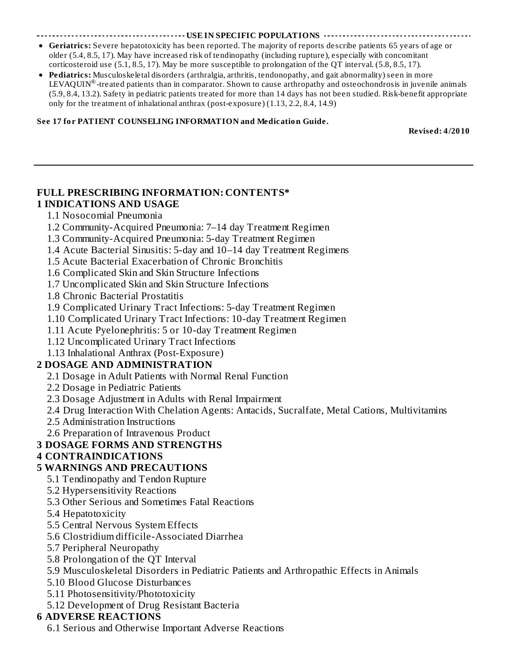#### **THEFT IN USE** IN SPECIFIC POPULATIONS

- **Geriatrics:** Severe hepatotoxicity has been reported. The majority of reports describe patients 65 years of age or older (5.4, 8.5, 17). May have increased risk of tendinopathy (including rupture), especially with concomitant corticosteroid use (5.1, 8.5, 17). May be more susceptible to prolongation of the QT interval. (5.8, 8.5, 17).
- **Pediatrics:** Musculoskeletal disorders (arthralgia, arthritis, tendonopathy, and gait abnormality) seen in more  $LEVAQUIN^{\circledast}$ -treated patients than in comparator. Shown to cause arthropathy and osteochondrosis in juvenile animals (5.9, 8.4, 13.2). Safety in pediatric patients treated for more than 14 days has not been studied. Risk-benefit appropriate only for the treatment of inhalational anthrax (post-exposure) (1.13, 2.2, 8.4, 14.9)

#### **See 17 for PATIENT COUNSELING INFORMATION and Medication Guide.**

**Revised: 4/2010**

#### **FULL PRESCRIBING INFORMATION: CONTENTS\* 1 INDICATIONS AND USAGE**

- 1.1 Nosocomial Pneumonia
- 1.2 Community-Acquired Pneumonia: 7–14 day Treatment Regimen
- 1.3 Community-Acquired Pneumonia: 5-day Treatment Regimen
- 1.4 Acute Bacterial Sinusitis: 5-day and 10–14 day Treatment Regimens
- 1.5 Acute Bacterial Exacerbation of Chronic Bronchitis
- 1.6 Complicated Skin and Skin Structure Infections
- 1.7 Uncomplicated Skin and Skin Structure Infections
- 1.8 Chronic Bacterial Prostatitis
- 1.9 Complicated Urinary Tract Infections: 5-day Treatment Regimen
- 1.10 Complicated Urinary Tract Infections: 10-day Treatment Regimen
- 1.11 Acute Pyelonephritis: 5 or 10-day Treatment Regimen
- 1.12 Uncomplicated Urinary Tract Infections
- 1.13 Inhalational Anthrax (Post-Exposure)

#### **2 DOSAGE AND ADMINISTRATION**

- 2.1 Dosage in Adult Patients with Normal Renal Function
- 2.2 Dosage in Pediatric Patients
- 2.3 Dosage Adjustment in Adults with Renal Impairment
- 2.4 Drug Interaction With Chelation Agents: Antacids, Sucralfate, Metal Cations, Multivitamins
- 2.5 Administration Instructions
- 2.6 Preparation of Intravenous Product

## **3 DOSAGE FORMS AND STRENGTHS**

#### **4 CONTRAINDICATIONS**

#### **5 WARNINGS AND PRECAUTIONS**

- 5.1 Tendinopathy and Tendon Rupture
- 5.2 Hypersensitivity Reactions
- 5.3 Other Serious and Sometimes Fatal Reactions
- 5.4 Hepatotoxicity
- 5.5 Central Nervous System Effects
- 5.6 Clostridium difficile-Associated Diarrhea
- 5.7 Peripheral Neuropathy
- 5.8 Prolongation of the QT Interval
- 5.9 Musculoskeletal Disorders in Pediatric Patients and Arthropathic Effects in Animals
- 5.10 Blood Glucose Disturbances
- 5.11 Photosensitivity/Phototoxicity
- 5.12 Development of Drug Resistant Bacteria

#### **6 ADVERSE REACTIONS**

6.1 Serious and Otherwise Important Adverse Reactions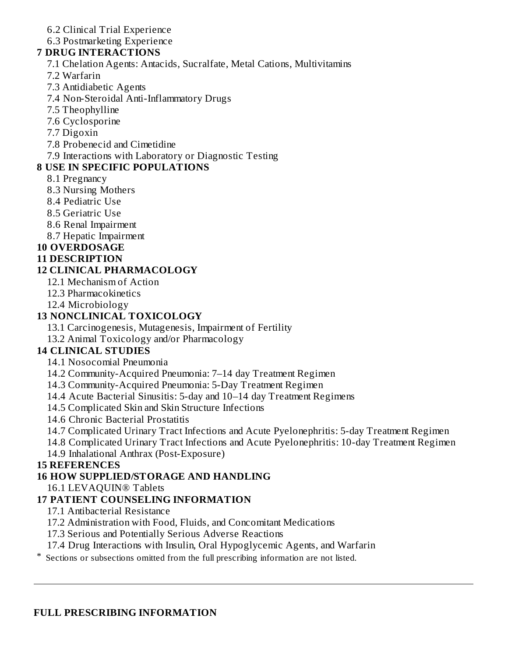- 6.2 Clinical Trial Experience
- 6.3 Postmarketing Experience

## **7 DRUG INTERACTIONS**

- 7.1 Chelation Agents: Antacids, Sucralfate, Metal Cations, Multivitamins
- 7.2 Warfarin
- 7.3 Antidiabetic Agents
- 7.4 Non-Steroidal Anti-Inflammatory Drugs
- 7.5 Theophylline
- 7.6 Cyclosporine
- 7.7 Digoxin
- 7.8 Probenecid and Cimetidine
- 7.9 Interactions with Laboratory or Diagnostic Testing

# **8 USE IN SPECIFIC POPULATIONS**

- 8.1 Pregnancy
- 8.3 Nursing Mothers
- 8.4 Pediatric Use
- 8.5 Geriatric Use
- 8.6 Renal Impairment
- 8.7 Hepatic Impairment

## **10 OVERDOSAGE**

## **11 DESCRIPTION**

## **12 CLINICAL PHARMACOLOGY**

- 12.1 Mechanism of Action
- 12.3 Pharmacokinetics
- 12.4 Microbiology

# **13 NONCLINICAL TOXICOLOGY**

- 13.1 Carcinogenesis, Mutagenesis, Impairment of Fertility
- 13.2 Animal Toxicology and/or Pharmacology

## **14 CLINICAL STUDIES**

- 14.1 Nosocomial Pneumonia
- 14.2 Community-Acquired Pneumonia: 7–14 day Treatment Regimen
- 14.3 Community-Acquired Pneumonia: 5-Day Treatment Regimen
- 14.4 Acute Bacterial Sinusitis: 5-day and 10–14 day Treatment Regimens
- 14.5 Complicated Skin and Skin Structure Infections
- 14.6 Chronic Bacterial Prostatitis
- 14.7 Complicated Urinary Tract Infections and Acute Pyelonephritis: 5-day Treatment Regimen
- 14.8 Complicated Urinary Tract Infections and Acute Pyelonephritis: 10-day Treatment Regimen
- 14.9 Inhalational Anthrax (Post-Exposure)

## **15 REFERENCES**

# **16 HOW SUPPLIED/STORAGE AND HANDLING**

16.1 LEVAQUIN® Tablets

# **17 PATIENT COUNSELING INFORMATION**

- 17.1 Antibacterial Resistance
- 17.2 Administration with Food, Fluids, and Concomitant Medications
- 17.3 Serious and Potentially Serious Adverse Reactions
- 17.4 Drug Interactions with Insulin, Oral Hypoglycemic Agents, and Warfarin
- \* Sections or subsections omitted from the full prescribing information are not listed.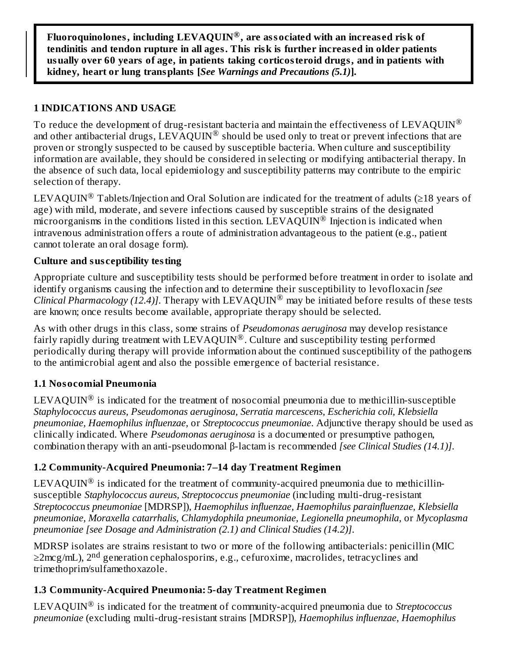**Fluoroquinolones, including LEVAQUIN , are associated with an increas ed risk of ® tendinitis and tendon rupture in all ages. This risk is further increas ed in older patients usually over 60 years of age, in patients taking corticosteroid drugs, and in patients with kidney, heart or lung transplants [***See Warnings and Precautions (5.1)***].**

# **1 INDICATIONS AND USAGE**

To reduce the development of drug-resistant bacteria and maintain the effectiveness of LEVAQUIN $^\circledR$ and other antibacterial drugs,  $\text{LEVAQUIN}^\circledR$  should be used only to treat or prevent infections that are proven or strongly suspected to be caused by susceptible bacteria. When culture and susceptibility information are available, they should be considered in selecting or modifying antibacterial therapy. In the absence of such data, local epidemiology and susceptibility patterns may contribute to the empiric selection of therapy.

LEVAQUIN $^{\circledR}$  Tablets/Injection and Oral Solution are indicated for the treatment of adults (≥18 years of age) with mild, moderate, and severe infections caused by susceptible strains of the designated microorganisms in the conditions listed in this section. LEVAQUIN® Injection is indicated when intravenous administration offers a route of administration advantageous to the patient (e.g., patient cannot tolerate an oral dosage form).

## **Culture and sus ceptibility testing**

Appropriate culture and susceptibility tests should be performed before treatment in order to isolate and identify organisms causing the infection and to determine their susceptibility to levofloxacin *[see Clinical Pharmacology* (12.4)]. Therapy with LEVAQUIN<sup>®</sup> may be initiated before results of these tests are known; once results become available, appropriate therapy should be selected.

As with other drugs in this class, some strains of *Pseudomonas aeruginosa* may develop resistance fairly rapidly during treatment with  $LEVAQUIN^@$ . Culture and susceptibility testing performed periodically during therapy will provide information about the continued susceptibility of the pathogens to the antimicrobial agent and also the possible emergence of bacterial resistance.

# **1.1 Nosocomial Pneumonia**

 $\text{LEVAQUIN}^{\circledR}$  is indicated for the treatment of nosocomial pneumonia due to methicillin-susceptible *Staphylococcus aureus, Pseudomonas aeruginosa, Serratia marcescens, Escherichia coli, Klebsiella pneumoniae, Haemophilus influenzae,* or *Streptococcus pneumoniae*. Adjunctive therapy should be used as clinically indicated. Where *Pseudomonas aeruginosa* is a documented or presumptive pathogen, combination therapy with an anti-pseudomonal β-lactam is recommended *[see Clinical Studies (14.1)]*.

# **1.2 Community-Acquired Pneumonia: 7–14 day Treatment Regimen**

 $\text{LEVAQUIN}^{\circledR}$  is indicated for the treatment of community-acquired pneumonia due to methicillinsusceptible *Staphylococcus aureus, Streptococcus pneumoniae* (including multi-drug-resistant *Streptococcus pneumoniae* [MDRSP]), *Haemophilus influenzae, Haemophilus parainfluenzae, Klebsiella pneumoniae, Moraxella catarrhalis, Chlamydophila pneumoniae, Legionella pneumophila,* or *Mycoplasma pneumoniae [see Dosage and Administration (2.1) and Clinical Studies (14.2)]*.

MDRSP isolates are strains resistant to two or more of the following antibacterials: penicillin (MIC ≥2mcg/mL), 2<sup>nd</sup> generation cephalosporins, e.g., cefuroxime, macrolides, tetracyclines and trimethoprim/sulfamethoxazole.

# **1.3 Community-Acquired Pneumonia: 5-day Treatment Regimen**

 $\text{LEVAQUIN}^{\circledR}$  is indicated for the treatment of community-acquired pneumonia due to *Streptococcus pneumoniae* (excluding multi-drug-resistant strains [MDRSP]), *Haemophilus influenzae, Haemophilus*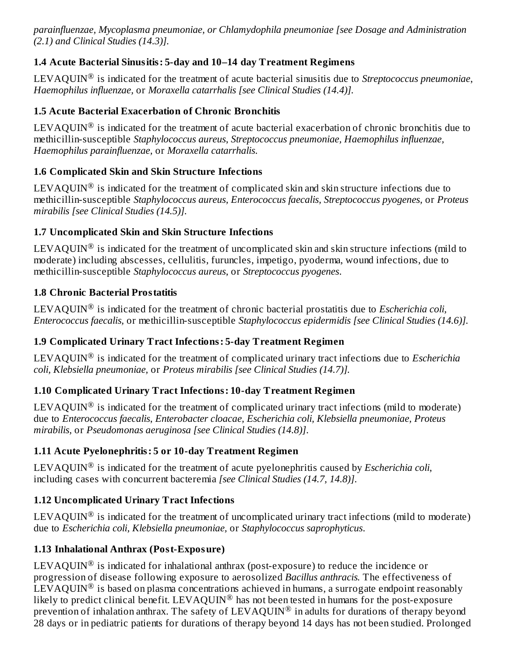*parainfluenzae, Mycoplasma pneumoniae, or Chlamydophila pneumoniae [see Dosage and Administration (2.1) and Clinical Studies (14.3)].*

# **1.4 Acute Bacterial Sinusitis: 5-day and 10–14 day Treatment Regimens**

 $\text{LEVAQUIN}^{\circledR}$  is indicated for the treatment of acute bacterial sinusitis due to *Streptococcus pneumoniae*, *Haemophilus influenzae,* or *Moraxella catarrhalis [see Clinical Studies (14.4)].*

# **1.5 Acute Bacterial Exacerbation of Chronic Bronchitis**

LEVAQUIN $^{\circledR}$  is indicated for the treatment of acute bacterial exacerbation of chronic bronchitis due to methicillin-susceptible *Staphylococcus aureus*, *Streptococcus pneumoniae, Haemophilus influenzae, Haemophilus parainfluenzae,* or *Moraxella catarrhalis*.

# **1.6 Complicated Skin and Skin Structure Infections**

LEVAQUIN $^{\circledR}$  is indicated for the treatment of complicated skin and skin structure infections due to methicillin-susceptible *Staphylococcus aureus, Enterococcus faecalis, Streptococcus pyogenes,* or *Proteus mirabilis [see Clinical Studies (14.5)].*

# **1.7 Uncomplicated Skin and Skin Structure Infections**

LEVAQUIN $^{\circledR}$  is indicated for the treatment of uncomplicated skin and skin structure infections (mild to moderate) including abscesses, cellulitis, furuncles, impetigo, pyoderma, wound infections, due to methicillin-susceptible *Staphylococcus aureus*, or *Streptococcus pyogenes*.

## **1.8 Chronic Bacterial Prostatitis**

 $\text{LEVAQUIN}^{\circledR}$  is indicated for the treatment of chronic bacterial prostatitis due to *Escherichia coli*, *Enterococcus faecalis,* or methicillin-susceptible *Staphylococcus epidermidis [see Clinical Studies (14.6)].*

# **1.9 Complicated Urinary Tract Infections: 5-day Treatment Regimen**

 $\text{LEVAQUIN}^{\circledR}$  is indicated for the treatment of complicated urinary tract infections due to *Escherichia coli, Klebsiella pneumoniae,* or *Proteus mirabilis [see Clinical Studies (14.7)].*

# **1.10 Complicated Urinary Tract Infections: 10-day Treatment Regimen**

LEVAQUIN $^{\circledR}$  is indicated for the treatment of complicated urinary tract infections (mild to moderate) due to *Enterococcus faecalis*, *Enterobacter cloacae, Escherichia coli, Klebsiella pneumoniae, Proteus mirabilis,* or *Pseudomonas aeruginosa [see Clinical Studies (14.8)]*.

# **1.11 Acute Pyelonephritis: 5 or 10-day Treatment Regimen**

 $LEVAQUIN^@$  is indicated for the treatment of acute pyelonephritis caused by *Escherichia coli*, including cases with concurrent bacteremia *[see Clinical Studies (14.7, 14.8)]*.

# **1.12 Uncomplicated Urinary Tract Infections**

LEVAQUIN $^{\circledR}$  is indicated for the treatment of uncomplicated urinary tract infections (mild to moderate) due to *Escherichia coli, Klebsiella pneumoniae,* or *Staphylococcus saprophyticus*.

# **1.13 Inhalational Anthrax (Post-Exposure)**

LEVAQUIN $^{\circledR}$  is indicated for inhalational anthrax (post-exposure) to reduce the incidence or progression of disease following exposure to aerosolized *Bacillus anthracis.* The effectiveness of  $\widetilde{\operatorname{LEV}}$ AQUIN $^\circledR$  is based on plasma concentrations achieved in humans, a surrogate endpoint reasonably likely to predict clinical benefit. LEVAQUIN® has not been tested in humans for the post-exposure prevention of inhalation anthrax. The safety of LEVAQUIN<sup>®</sup> in adults for durations of therapy beyond 28 days or in pediatric patients for durations of therapy beyond 14 days has not been studied. Prolonged ®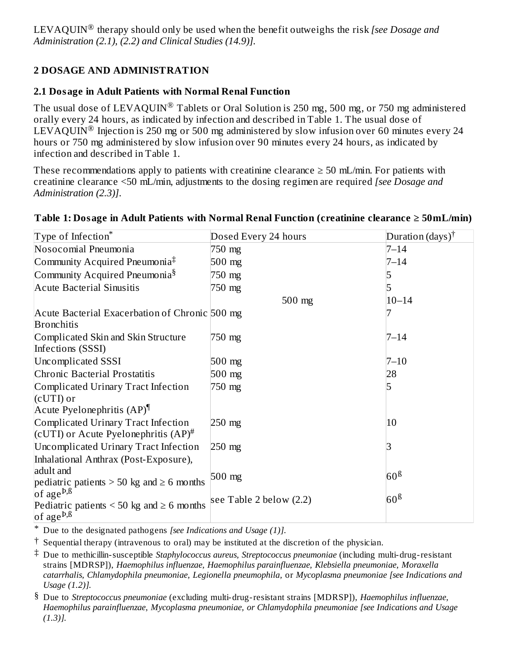# **2 DOSAGE AND ADMINISTRATION**

# **2.1 Dosage in Adult Patients with Normal Renal Function**

The usual dose of LEVAQUIN® Tablets or Oral Solution is 250 mg, 500 mg, or 750 mg administered orally every 24 hours, as indicated by infection and described in Table 1. The usual dose of LEVAQUIN $^\circledR$  Injection is 250 mg or 500 mg administered by slow infusion over 60 minutes every 24 hours or 750 mg administered by slow infusion over 90 minutes every 24 hours, as indicated by infection and described in Table 1.

These recommendations apply to patients with creatinine clearance  $\geq$  50 mL/min. For patients with creatinine clearance <50 mL/min, adjustments to the dosing regimen are required *[see Dosage and Administration (2.3)]*.

| Type of Infection*                                  | Dosed Every 24 hours      | Duration (days) <sup>†</sup> |
|-----------------------------------------------------|---------------------------|------------------------------|
| Nosocomial Pneumonia                                | 750 mg                    | $7 - 14$                     |
| Community Acquired Pneumonia <sup>‡</sup>           | $500$ mg                  | $7 - 14$                     |
| Community Acquired Pneumonia <sup>§</sup>           | 750 mg                    | 5                            |
| <b>Acute Bacterial Sinusitis</b>                    | 750 mg                    | 5                            |
|                                                     | $500$ mg                  | $10 - 14$                    |
| Acute Bacterial Exacerbation of Chronic 500 mg      |                           |                              |
| <b>Bronchitis</b>                                   |                           |                              |
| Complicated Skin and Skin Structure                 | 750 mg                    | $7 - 14$                     |
| Infections (SSSI)                                   |                           |                              |
| Uncomplicated SSSI                                  | $500$ mg                  | $7 - 10$                     |
| Chronic Bacterial Prostatitis                       | $500$ mg                  | 28                           |
| Complicated Urinary Tract Infection                 | 750 mg                    | 5                            |
| $(CUTI)$ or                                         |                           |                              |
| Acute Pyelonephritis (AP) <sup>1</sup>              |                           |                              |
| Complicated Urinary Tract Infection                 | $250$ mg                  | 10                           |
| (CUTI) or Acute Pyelonephritis $(AP)$ <sup>#</sup>  |                           |                              |
| Uncomplicated Urinary Tract Infection               | $250$ mg                  | 3                            |
| Inhalational Anthrax (Post-Exposure),               |                           |                              |
| adult and                                           | $500$ mg                  | 60 <sup>6</sup>              |
| pediatric patients $> 50$ kg and $\geq 6$ months    |                           |                              |
| of age <sup><math>p, \beta</math></sup>             | see Table 2 below $(2.2)$ | 60 <sup>ß</sup>              |
| Pediatric patients $\leq 50$ kg and $\geq 6$ months |                           |                              |
| of age <sup>b,<math>\beta</math></sup>              |                           |                              |

#### **Table 1: Dosage in Adult Patients with Normal Renal Function (creatinine clearance ≥ 50mL/min)**

\* Due to the designated pathogens *[see Indications and Usage (1)]*.

† Sequential therapy (intravenous to oral) may be instituted at the discretion of the physician.

<sup>‡</sup> Due to methicillin-susceptible *Staphylococcus aureus, Streptococcus pneumoniae* (including multi-drug-resistant strains [MDRSP]), *Haemophilus influenzae, Haemophilus parainfluenzae, Klebsiella pneumoniae, Moraxella catarrhalis, Chlamydophila pneumoniae, Legionella pneumophila,* or *Mycoplasma pneumoniae [see Indications and Usage (1.2)].*

<sup>§</sup> Due to *Streptococcus pneumoniae* (excluding multi-drug-resistant strains [MDRSP]), *Haemophilus influenzae, Haemophilus parainfluenzae, Mycoplasma pneumoniae, or Chlamydophila pneumoniae [see Indications and Usage (1.3)].*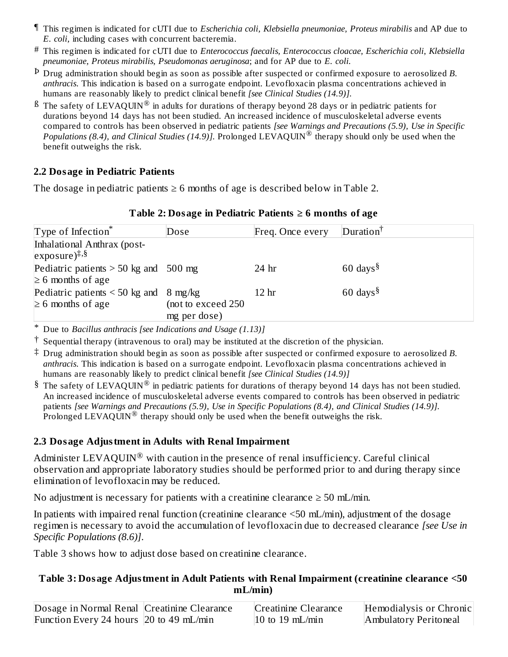- ¶ This regimen is indicated for cUTI due to *Escherichia coli, Klebsiella pneumoniae, Proteus mirabilis* and AP due to *E. coli,* including cases with concurrent bacteremia.
- # This regimen is indicated for cUTI due to *Enterococcus faecalis, Enterococcus cloacae, Escherichia coli*, *Klebsiella pneumoniae, Proteus mirabilis, Pseudomonas aeruginosa*; and for AP due to *E. coli.*
- Þ Drug administration should begin as soon as possible after suspected or confirmed exposure to aerosolized *B. anthracis*. This indication is based on a surrogate endpoint. Levofloxacin plasma concentrations achieved in humans are reasonably likely to predict clinical benefit *[see Clinical Studies (14.9)]*.
- $^{\rm 6}$  The safety of LEVAQUIN $^{\rm 6}$  in adults for durations of therapy beyond 28 days or in pediatric patients for durations beyond 14 days has not been studied. An increased incidence of musculoskeletal adverse events compared to controls has been observed in pediatric patients *[see Warnings and Precautions (5.9), Use in Specific Populations* (8.4), and *Clinical Studies* (14.9)]. Prolonged LEVAQUIN<sup>®</sup> therapy should only be used when the benefit outweighs the risk.

# **2.2 Dosage in Pediatric Patients**

The dosage in pediatric patients  $\geq 6$  months of age is described below in Table 2.

| Type of Infection $*$                                               | Dose                               | Freq. Once every | Duration <sup>†</sup>           |
|---------------------------------------------------------------------|------------------------------------|------------------|---------------------------------|
| Inhalational Anthrax (post-<br>exposure) $\ddagger$ , $\frac{8}{3}$ |                                    |                  |                                 |
| Pediatric patients $> 50$ kg and 500 mg<br>$\geq 6$ months of age   |                                    | 24 <sub>hr</sub> | $60 \text{ days}^{\frac{5}{3}}$ |
| Pediatric patients $<$ 50 kg and 8 mg/kg<br>$\geq 6$ months of age  | (not to exceed 250<br>mg per dose) | 12 <sub>hr</sub> | $60 \text{ days}$ <sup>§</sup>  |

#### **Table 2: Dosage in Pediatric Patients ≥ 6 months of age**

\* Due to *Bacillus anthracis [see Indications and Usage (1.13)]*

† Sequential therapy (intravenous to oral) may be instituted at the discretion of the physician.

‡ Drug administration should begin as soon as possible after suspected or confirmed exposure to aerosolized *B. anthracis*. This indication is based on a surrogate endpoint. Levofloxacin plasma concentrations achieved in humans are reasonably likely to predict clinical benefit *[see Clinical Studies (14.9)]*

 $\S$  The safety of LEVAQUIN<sup>®</sup> in pediatric patients for durations of therapy beyond 14 days has not been studied. An increased incidence of musculoskeletal adverse events compared to controls has been observed in pediatric patients *[see Warnings and Precautions (5.9), Use in Specific Populations (8.4), and Clinical Studies (14.9)]*. Prolonged LEVAQUIN<sup>®</sup> therapy should only be used when the benefit outweighs the risk.

# **2.3 Dosage Adjustment in Adults with Renal Impairment**

Administer LEVAQUIN $^{\circledR}$  with caution in the presence of renal insufficiency. Careful clinical observation and appropriate laboratory studies should be performed prior to and during therapy since elimination of levofloxacin may be reduced.

No adjustment is necessary for patients with a creatinine clearance  $\geq 50$  mL/min.

In patients with impaired renal function (creatinine clearance <50 mL/min), adjustment of the dosage regimen is necessary to avoid the accumulation of levofloxacin due to decreased clearance *[see Use in Specific Populations (8.6)]*.

Table 3 shows how to adjust dose based on creatinine clearance.

#### **Table 3: Dosage Adjustment in Adult Patients with Renal Impairment (creatinine clearance <50 mL/min)**

| Dosage in Normal Renal Creatinine Clearance | Creatinine Clearance | Hemodialysis or Chronic |
|---------------------------------------------|----------------------|-------------------------|
| Function Every 24 hours 20 to 49 mL/min     | $10$ to 19 mL/min    | Ambulatory Peritoneal   |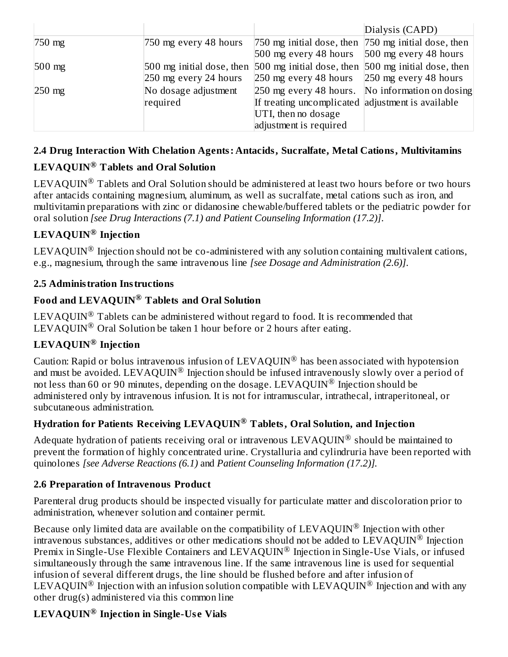|                    |                       |                                                                                     | Dialysis (CAPD)                                   |
|--------------------|-----------------------|-------------------------------------------------------------------------------------|---------------------------------------------------|
| 750 mg             | 750 mg every 48 hours | $ 750 \text{ mg}$ initial dose, then $ 750 \text{ mg}$ initial dose, then           |                                                   |
|                    |                       | 500 mg every 48 hours 500 mg every 48 hours                                         |                                                   |
| $500$ mg           |                       | $500$ mg initial dose, then $500$ mg initial dose, then $500$ mg initial dose, then |                                                   |
|                    | 250 mg every 24 hours | $ 250 \text{ mg}$ every 48 hours $ 250 \text{ mg}$ every 48 hours                   |                                                   |
| $ 250 \text{ mg} $ | No dosage adjustment  |                                                                                     | [250 mg every 48 hours. No information on dosing] |
|                    | required              | If treating uncomplicated adjustment is available                                   |                                                   |
|                    |                       | UTI, then no dosage                                                                 |                                                   |
|                    |                       | adjustment is required                                                              |                                                   |

# **2.4 Drug Interaction With Chelation Agents: Antacids, Sucralfate, Metal Cations, Multivitamins**

# **LEVAQUIN Tablets and Oral Solution ®**

 $\mathrm{LEVAQUIN}^{\circledR}$  Tablets and Oral Solution should be administered at least two hours before or two hours after antacids containing magnesium, aluminum, as well as sucralfate, metal cations such as iron, and multivitamin preparations with zinc or didanosine chewable/buffered tablets or the pediatric powder for oral solution *[see Drug Interactions (7.1) and Patient Counseling Information (17.2)]*.

# $\mathbf{LEVAQUIN}^\circledR$  Injection

LEVAQUIN $^\circledR$  Injection should not be co-administered with any solution containing multivalent cations, e.g., magnesium, through the same intravenous line *[see Dosage and Administration (2.6)]*.

#### **2.5 Administration Instructions**

## **Food and LEVAQUIN Tablets and Oral Solution ®**

 $\mathrm{LEVAQUIN}^{\circledR}$  Tablets can be administered without regard to food. It is recommended that  $LEVAQUIN^@$  Oral Solution be taken 1 hour before or 2 hours after eating.

## $\mathbf{LEVAQUIN}^\circledR$  Injection

Caution: Rapid or bolus intravenous infusion of  $\text{LEVAQUN}^\circledR$  has been associated with hypotension and must be avoided. LEVAQUIN® Injection should be infused intravenously slowly over a period of not less than 60 or 90 minutes, depending on the dosage. LEVAQUIN $^\circledR$  Injection should be administered only by intravenous infusion. It is not for intramuscular, intrathecal, intraperitoneal, or subcutaneous administration.

## **Hydration for Patients Receiving LEVAQUIN Tablets, Oral Solution, and Injection ®**

Adequate hydration of patients receiving oral or intravenous  $\text{LEVAQUIN}^\circledR$  should be maintained to prevent the formation of highly concentrated urine. Crystalluria and cylindruria have been reported with quinolones *[see Adverse Reactions (6.1)* and *Patient Counseling Information (17.2)].*

## **2.6 Preparation of Intravenous Product**

Parenteral drug products should be inspected visually for particulate matter and discoloration prior to administration, whenever solution and container permit.

Because only limited data are available on the compatibility of  $\operatorname{LEVAQUIN}^{\circledR}$  Injection with other intravenous substances, additives or other medications should not be added to  $\text{LEVAQUN}^{\circledR}$  Injection Premix in Single-Use Flexible Containers and  $\text{LEVAQUN}^{\circledR}$  Injection in Single-Use Vials, or infused simultaneously through the same intravenous line. If the same intravenous line is used for sequential infusion of several different drugs, the line should be flushed before and after infusion of LEVAQUIN® Injection with an infusion solution compatible with LEVAQUIN® Injection and with any other drug(s) administered via this common line

# **LEVAQUIN Injection in Single-Us e Vials ®**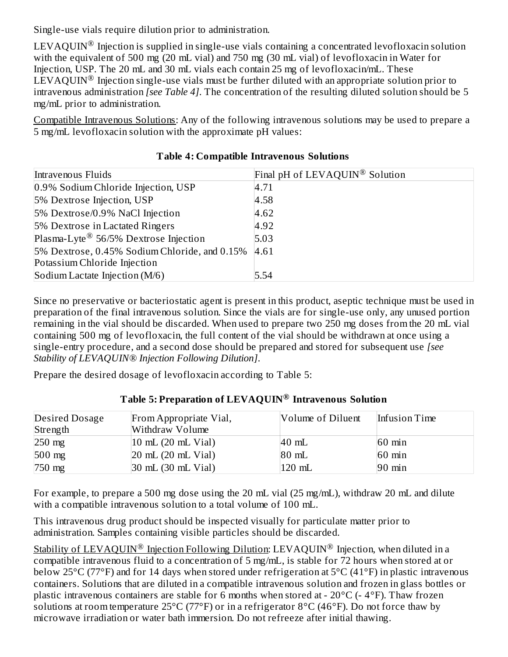Single-use vials require dilution prior to administration.

LEVAQUIN $^\circledR$  Injection is supplied in single-use vials containing a concentrated levofloxacin solution with the equivalent of 500 mg (20 mL vial) and 750 mg (30 mL vial) of levofloxacin in Water for Injection, USP. The 20 mL and 30 mL vials each contain 25 mg of levofloxacin/mL. These  $\mathop{\rm LEVAQUIN^{\tiny{\textcircled{\tiny{\rm#}}}}}$  Injection single-use vials must be further diluted with an appropriate solution prior to intravenous administration *[see Table 4]*. The concentration of the resulting diluted solution should be 5 mg/mL prior to administration.

Compatible Intravenous Solutions: Any of the following intravenous solutions may be used to prepare a 5 mg/mL levofloxacin solution with the approximate pH values:

| Intravenous Fluids                                | Final pH of LEVAQUIN <sup>®</sup> Solution |
|---------------------------------------------------|--------------------------------------------|
| 0.9% Sodium Chloride Injection, USP               | 4.71                                       |
| 5% Dextrose Injection, USP                        | 4.58                                       |
| 5% Dextrose/0.9% NaCl Injection                   | 4.62                                       |
| 5% Dextrose in Lactated Ringers                   | 4.92                                       |
| Plasma-Lyte <sup>®</sup> 56/5% Dextrose Injection | 5.03                                       |
| 5% Dextrose, 0.45% Sodium Chloride, and 0.15%     | 4.61                                       |
| Potassium Chloride Injection                      |                                            |
| Sodium Lactate Injection (M/6)                    | 5.54                                       |

#### **Table 4: Compatible Intravenous Solutions**

Since no preservative or bacteriostatic agent is present in this product, aseptic technique must be used in preparation of the final intravenous solution. Since the vials are for single-use only, any unused portion remaining in the vial should be discarded. When used to prepare two 250 mg doses from the 20 mL vial containing 500 mg of levofloxacin, the full content of the vial should be withdrawn at once using a single-entry procedure, and a second dose should be prepared and stored for subsequent use *[see Stability of LEVAQUIN® Injection Following Dilution]*.

Prepare the desired dosage of levofloxacin according to Table 5:

| Desired Dosage<br>Strength | From Appropriate Vial,<br>Withdraw Volume | Volume of Diluent | Infusion Time      |
|----------------------------|-------------------------------------------|-------------------|--------------------|
| $250 \text{ mg}$           | $ 10 \text{ mL} (20 \text{ mL}$ Vial)     | $40$ mL           | $ 60 \text{ min} $ |
| $500 \text{ mg}$           | $20 \text{ mL}$ (20 mL Vial)              | $80$ mL           | $60 \text{ min}$   |
| $750$ mg                   | $30$ mL $(30$ mL Vial)                    | $120$ mL          | $90$ min           |

## **Table 5: Preparation of LEVAQUIN Intravenous Solution ®**

For example, to prepare a 500 mg dose using the 20 mL vial (25 mg/mL), withdraw 20 mL and dilute with a compatible intravenous solution to a total volume of 100 mL.

This intravenous drug product should be inspected visually for particulate matter prior to administration. Samples containing visible particles should be discarded.

Stability of LEVAQUIN® Injection Following Dilution: LEVAQUIN® Injection, when diluted in a compatible intravenous fluid to a concentration of 5 mg/mL, is stable for 72 hours when stored at or below 25°C (77°F) and for 14 days when stored under refrigeration at 5°C (41°F) in plastic intravenous containers. Solutions that are diluted in a compatible intravenous solution and frozen in glass bottles or plastic intravenous containers are stable for 6 months when stored at - 20°C (- 4°F). Thaw frozen solutions at room temperature 25°C (77°F) or in a refrigerator 8°C (46°F). Do not force thaw by microwave irradiation or water bath immersion. Do not refreeze after initial thawing.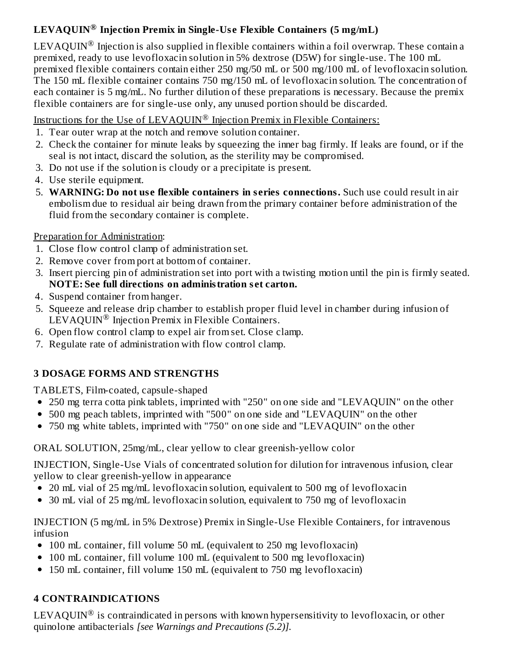# **LEVAQUIN Injection Premix in Single-Us e Flexible Containers (5 mg/mL) ®**

LEVAQUIN $^\circledR$  Injection is also supplied in flexible containers within a foil overwrap. These contain a premixed, ready to use levofloxacin solution in 5% dextrose (D5W) for single-use. The 100 mL premixed flexible containers contain either 250 mg/50 mL or 500 mg/100 mL of levofloxacin solution. The 150 mL flexible container contains 750 mg/150 mL of levofloxacin solution. The concentration of each container is 5 mg/mL. No further dilution of these preparations is necessary. Because the premix flexible containers are for single-use only, any unused portion should be discarded.

Instructions for the Use of  $\text{LEVAQUN}^{\circledR}$  Injection Premix in Flexible Containers:

- 1. Tear outer wrap at the notch and remove solution container.
- 2. Check the container for minute leaks by squeezing the inner bag firmly. If leaks are found, or if the seal is not intact, discard the solution, as the sterility may be compromised.
- 3. Do not use if the solution is cloudy or a precipitate is present.
- 4. Use sterile equipment.
- 5. **WARNING: Do not us e flexible containers in s eries connections.** Such use could result in air embolism due to residual air being drawn from the primary container before administration of the fluid from the secondary container is complete.

#### Preparation for Administration:

- 1. Close flow control clamp of administration set.
- 2. Remove cover from port at bottom of container.
- 3. Insert piercing pin of administration set into port with a twisting motion until the pin is firmly seated. **NOTE: See full directions on administration s et carton.**
- 4. Suspend container from hanger.
- 5. Squeeze and release drip chamber to establish proper fluid level in chamber during infusion of  $\mathop{\rm LEVAQUIN}\nolimits^\circledR$  Injection Premix in Flexible Containers.
- 6. Open flow control clamp to expel air from set. Close clamp.
- 7. Regulate rate of administration with flow control clamp.

## **3 DOSAGE FORMS AND STRENGTHS**

TABLETS, Film-coated, capsule-shaped

- 250 mg terra cotta pink tablets, imprinted with "250" on one side and "LEVAQUIN" on the other
- 500 mg peach tablets, imprinted with "500" on one side and "LEVAQUIN" on the other
- 750 mg white tablets, imprinted with "750" on one side and "LEVAQUIN" on the other

ORAL SOLUTION, 25mg/mL, clear yellow to clear greenish-yellow color

INJECTION, Single-Use Vials of concentrated solution for dilution for intravenous infusion, clear yellow to clear greenish-yellow in appearance

- 20 mL vial of 25 mg/mL levofloxacin solution, equivalent to 500 mg of levofloxacin
- 30 mL vial of 25 mg/mL levofloxacin solution, equivalent to 750 mg of levofloxacin

INJECTION (5 mg/mL in 5% Dextrose) Premix in Single-Use Flexible Containers, for intravenous infusion

- 100 mL container, fill volume 50 mL (equivalent to 250 mg levofloxacin)
- 100 mL container, fill volume 100 mL (equivalent to 500 mg levofloxacin)
- 150 mL container, fill volume 150 mL (equivalent to 750 mg levofloxacin)

## **4 CONTRAINDICATIONS**

LEVAQUIN $^{\circledR}$  is contraindicated in persons with known hypersensitivity to levofloxacin, or other quinolone antibacterials *[see Warnings and Precautions (5.2)].*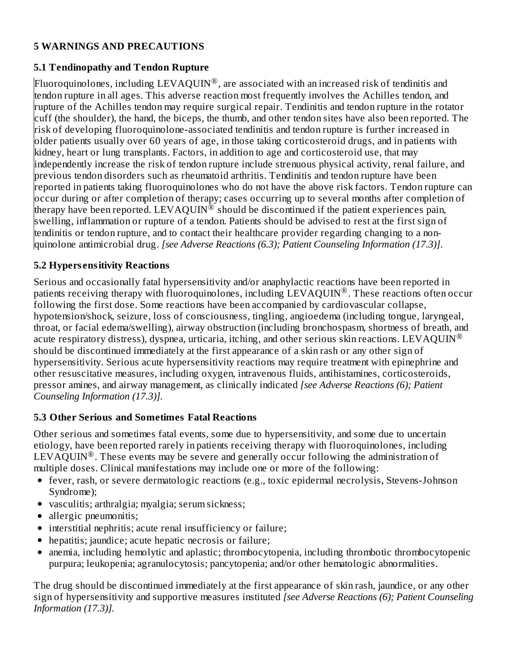#### **5 WARNINGS AND PRECAUTIONS**

#### **5.1 Tendinopathy and Tendon Rupture**

Fluoroquinolones, including  $\text{LEVAQUN}^\circledast$  , are associated with an increased risk of tendinitis and tendon rupture in all ages. This adverse reaction most frequently involves the Achilles tendon, and rupture of the Achilles tendon may require surgical repair. Tendinitis and tendon rupture in the rotator cuff (the shoulder), the hand, the biceps, the thumb, and other tendon sites have also been reported. The risk of developing fluoroquinolone-associated tendinitis and tendon rupture is further increased in older patients usually over 60 years of age, in those taking corticosteroid drugs, and in patients with kidney, heart or lung transplants. Factors, in addition to age and corticosteroid use, that may independently increase the risk of tendon rupture include strenuous physical activity, renal failure, and previous tendon disorders such as rheumatoid arthritis. Tendinitis and tendon rupture have been reported in patients taking fluoroquinolones who do not have the above risk factors. Tendon rupture can occur during or after completion of therapy; cases occurring up to several months after completion of therapy have been reported. LEVAQUIN<sup>®</sup> should be discontinued if the patient experiences pain, swelling, inflammation or rupture of a tendon. Patients should be advised to rest at the first sign of tendinitis or tendon rupture, and to contact their healthcare provider regarding changing to a nonquinolone antimicrobial drug. *[see Adverse Reactions (6.3); Patient Counseling Information (17.3)]*.

## **5.2 Hypers ensitivity Reactions**

Serious and occasionally fatal hypersensitivity and/or anaphylactic reactions have been reported in patients receiving therapy with fluoroquinolones, including LEVAQUIN<sup>®</sup>. These reactions often occur following the first dose. Some reactions have been accompanied by cardiovascular collapse, hypotension/shock, seizure, loss of consciousness, tingling, angioedema (including tongue, laryngeal, throat, or facial edema/swelling), airway obstruction (including bronchospasm, shortness of breath, and acute respiratory distress), dyspnea, urticaria, itching, and other serious skin reactions. LEVAQUIN ® should be discontinued immediately at the first appearance of a skin rash or any other sign of hypersensitivity. Serious acute hypersensitivity reactions may require treatment with epinephrine and other resuscitative measures, including oxygen, intravenous fluids, antihistamines, corticosteroids, pressor amines, and airway management, as clinically indicated *[see Adverse Reactions (6); Patient Counseling Information (17.3)].*

## **5.3 Other Serious and Sometimes Fatal Reactions**

Other serious and sometimes fatal events, some due to hypersensitivity, and some due to uncertain etiology, have been reported rarely in patients receiving therapy with fluoroquinolones, including LEVAQUIN<sup>®</sup>. These events may be severe and generally occur following the administration of multiple doses. Clinical manifestations may include one or more of the following:

- fever, rash, or severe dermatologic reactions (e.g., toxic epidermal necrolysis, Stevens-Johnson Syndrome);
- vasculitis; arthralgia; myalgia; serum sickness;
- allergic pneumonitis;
- interstitial nephritis; acute renal insufficiency or failure;
- hepatitis; jaundice; acute hepatic necrosis or failure;
- anemia, including hemolytic and aplastic; thrombocytopenia, including thrombotic thrombocytopenic purpura; leukopenia; agranulocytosis; pancytopenia; and/or other hematologic abnormalities.

The drug should be discontinued immediately at the first appearance of skin rash, jaundice, or any other sign of hypersensitivity and supportive measures instituted *[see Adverse Reactions (6); Patient Counseling Information (17.3)].*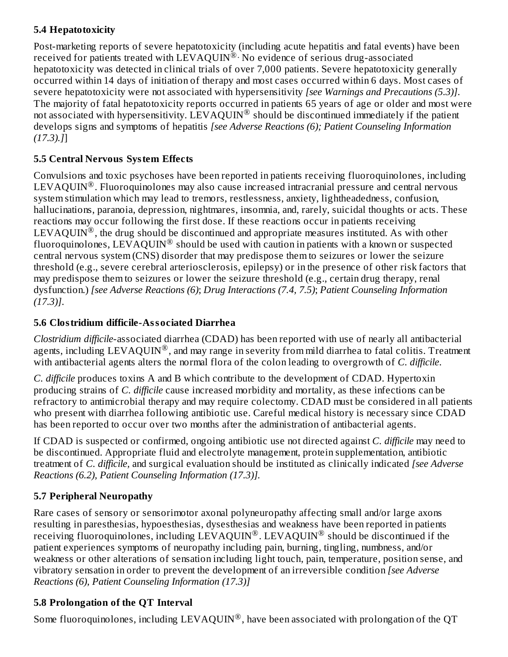# **5.4 Hepatotoxicity**

Post-marketing reports of severe hepatotoxicity (including acute hepatitis and fatal events) have been received for patients treated with  $\operatorname{LEVAQUIN}^{\bar{\textcircled{\tiny 8}}}$  . No evidence of serious drug-associated hepatotoxicity was detected in clinical trials of over 7,000 patients. Severe hepatotoxicity generally occurred within 14 days of initiation of therapy and most cases occurred within 6 days. Most cases of severe hepatotoxicity were not associated with hypersensitivity *[see Warnings and Precautions (5.3)]*. The majority of fatal hepatotoxicity reports occurred in patients 65 years of age or older and most were not associated with hypersensitivity. LEVAQUIN® should be discontinued immediately if the patient develops signs and symptoms of hepatitis *[see Adverse Reactions (6); Patient Counseling Information (17.3).]*]

# **5.5 Central Nervous System Effects**

Convulsions and toxic psychoses have been reported in patients receiving fluoroquinolones, including  $LEVAQUIN^@$ . Fluoroquinolones may also cause increased intracranial pressure and central nervous system stimulation which may lead to tremors, restlessness, anxiety, lightheadedness, confusion, hallucinations, paranoia, depression, nightmares, insomnia, and, rarely, suicidal thoughts or acts. These reactions may occur following the first dose. If these reactions occur in patients receiving LEVAQUIN<sup>®</sup>, the drug should be discontinued and appropriate measures instituted. As with other fluoroquinolones, LEVAQUIN® should be used with caution in patients with a known or suspected central nervous system (CNS) disorder that may predispose them to seizures or lower the seizure threshold (e.g., severe cerebral arteriosclerosis, epilepsy) or in the presence of other risk factors that may predispose them to seizures or lower the seizure threshold (e.g., certain drug therapy, renal dysfunction.) *[see Adverse Reactions (6)*; *Drug Interactions (7.4, 7.5)*; *Patient Counseling Information (17.3)]*.

#### **5.6 Clostridium difficile-Associated Diarrhea**

*Clostridium difficile*-associated diarrhea (CDAD) has been reported with use of nearly all antibacterial agents, including LEVAQUIN®, and may range in severity from mild diarrhea to fatal colitis. Treatment with antibacterial agents alters the normal flora of the colon leading to overgrowth of *C. difficile*.

*C. difficile* produces toxins A and B which contribute to the development of CDAD. Hypertoxin producing strains of *C. difficile* cause increased morbidity and mortality, as these infections can be refractory to antimicrobial therapy and may require colectomy. CDAD must be considered in all patients who present with diarrhea following antibiotic use. Careful medical history is necessary since CDAD has been reported to occur over two months after the administration of antibacterial agents.

If CDAD is suspected or confirmed, ongoing antibiotic use not directed against *C. difficile* may need to be discontinued. Appropriate fluid and electrolyte management, protein supplementation, antibiotic treatment of *C. difficile,* and surgical evaluation should be instituted as clinically indicated *[see Adverse Reactions (6.2), Patient Counseling Information (17.3)].*

# **5.7 Peripheral Neuropathy**

Rare cases of sensory or sensorimotor axonal polyneuropathy affecting small and/or large axons resulting in paresthesias, hypoesthesias, dysesthesias and weakness have been reported in patients receiving fluoroquinolones, including LEVAQUIN®. LEVAQUIN® should be discontinued if the patient experiences symptoms of neuropathy including pain, burning, tingling, numbness, and/or weakness or other alterations of sensation including light touch, pain, temperature, position sense, and vibratory sensation in order to prevent the development of an irreversible condition *[see Adverse Reactions (6), Patient Counseling Information (17.3)]*

# **5.8 Prolongation of the QT Interval**

Some fluoroquinolones, including LEVAQUIN®, have been associated with prolongation of the QT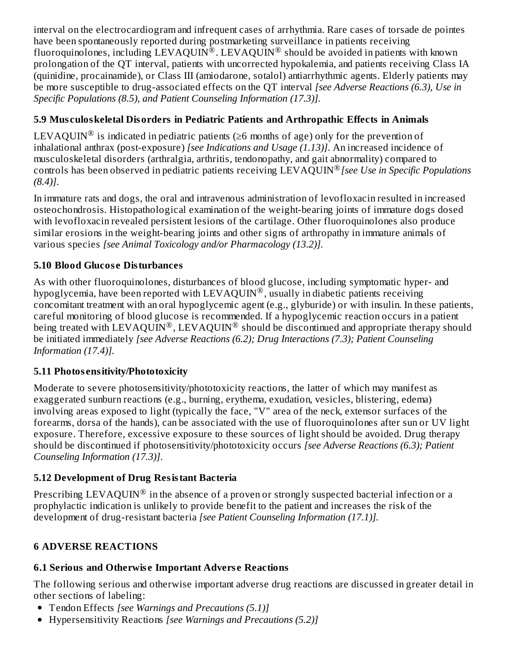interval on the electrocardiogram and infrequent cases of arrhythmia. Rare cases of torsade de pointes have been spontaneously reported during postmarketing surveillance in patients receiving fluoroquinolones, including LEVAQUIN®. LEVAQUIN® should be avoided in patients with known prolongation of the QT interval, patients with uncorrected hypokalemia, and patients receiving Class IA (quinidine, procainamide), or Class III (amiodarone, sotalol) antiarrhythmic agents. Elderly patients may be more susceptible to drug-associated effects on the QT interval *[see Adverse Reactions (6.3), Use in Specific Populations (8.5), and Patient Counseling Information (17.3)].*

# **5.9 Mus culoskeletal Disorders in Pediatric Patients and Arthropathic Effects in Animals**

LEVAQUIN $^{\circledR}$  is indicated in pediatric patients (≥6 months of age) only for the prevention of inhalational anthrax (post-exposure) *[see Indications and Usage (1.13)]*. An increased incidence of musculoskeletal disorders (arthralgia, arthritis, tendonopathy, and gait abnormality) compared to controls has been observed in pediatric patients receiving LEVAQUIN *[see Use in Specific Populations* ® *(8.4)]*.

In immature rats and dogs, the oral and intravenous administration of levofloxacin resulted in increased osteochondrosis. Histopathological examination of the weight-bearing joints of immature dogs dosed with levofloxacin revealed persistent lesions of the cartilage. Other fluoroquinolones also produce similar erosions in the weight-bearing joints and other signs of arthropathy in immature animals of various species *[see Animal Toxicology and/or Pharmacology (13.2)].*

## **5.10 Blood Glucos e Disturbances**

As with other fluoroquinolones, disturbances of blood glucose, including symptomatic hyper- and hypoglycemia, have been reported with LEVAQUIN®, usually in diabetic patients receiving concomitant treatment with an oral hypoglycemic agent (e.g., glyburide) or with insulin. In these patients, careful monitoring of blood glucose is recommended. If a hypoglycemic reaction occurs in a patient being treated with LEVAQUIN®, LEVAQUIN® should be discontinued and appropriate therapy should be initiated immediately *[see Adverse Reactions (6.2); Drug Interactions (7.3); Patient Counseling Information (17.4)].*

## **5.11 Photos ensitivity/Phototoxicity**

Moderate to severe photosensitivity/phototoxicity reactions, the latter of which may manifest as exaggerated sunburn reactions (e.g., burning, erythema, exudation, vesicles, blistering, edema) involving areas exposed to light (typically the face, "V" area of the neck, extensor surfaces of the forearms, dorsa of the hands), can be associated with the use of fluoroquinolones after sun or UV light exposure. Therefore, excessive exposure to these sources of light should be avoided. Drug therapy should be discontinued if photosensitivity/phototoxicity occurs *[see Adverse Reactions (6.3); Patient Counseling Information (17.3)]*.

# **5.12 Development of Drug Resistant Bacteria**

Prescribing  $\text{LEVAQUIN}^\circledR$  in the absence of a proven or strongly suspected bacterial infection or a prophylactic indication is unlikely to provide benefit to the patient and increases the risk of the development of drug-resistant bacteria *[see Patient Counseling Information (17.1)].*

## **6 ADVERSE REACTIONS**

# **6.1 Serious and Otherwis e Important Advers e Reactions**

The following serious and otherwise important adverse drug reactions are discussed in greater detail in other sections of labeling:

- Tendon Effects *[see Warnings and Precautions (5.1)]*
- Hypersensitivity Reactions *[see Warnings and Precautions (5.2)]*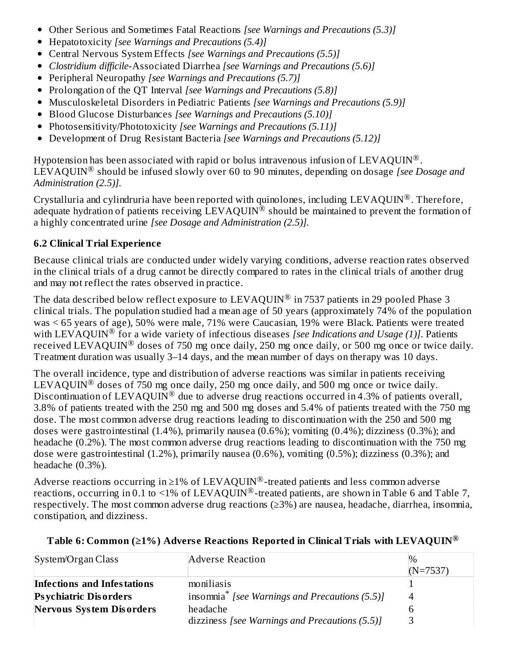- Other Serious and Sometimes Fatal Reactions *[see Warnings and Precautions (5.3)]*  $\bullet$
- Hepatotoxicity *[see Warnings and Precautions (5.4)]*
- Central Nervous System Effects *[see Warnings and Precautions (5.5)]*
- *Clostridium difficile*-Associated Diarrhea *[see Warnings and Precautions (5.6)]*
- Peripheral Neuropathy *[see Warnings and Precautions (5.7)]*
- Prolongation of the QT Interval *[see Warnings and Precautions (5.8)]*
- Musculoskeletal Disorders in Pediatric Patients *[see Warnings and Precautions (5.9)]*
- Blood Glucose Disturbances *[see Warnings and Precautions (5.10)]*
- Photosensitivity/Phototoxicity *[see Warnings and Precautions (5.11)]*
- Development of Drug Resistant Bacteria *[see Warnings and Precautions (5.12)]*  $\bullet$

Hypotension has been associated with rapid or bolus intravenous infusion of  $\text{LEVAQUN}^\circledR$  . LEVAQUIN<sup>®</sup> should be infused slowly over 60 to 90 minutes, depending on dosage *[see Dosage and Administration (2.5)].*

Crystalluria and cylindruria have been reported with quinolones, including  $\text{LEVAQUN}^\circledR$ . Therefore, adequate hydration of patients receiving  $\text{LEVAQUN}^{\circledR}$  should be maintained to prevent the formation of a highly concentrated urine *[see Dosage and Administration (2.5)].*

## **6.2 Clinical Trial Experience**

Because clinical trials are conducted under widely varying conditions, adverse reaction rates observed in the clinical trials of a drug cannot be directly compared to rates in the clinical trials of another drug and may not reflect the rates observed in practice.

The data described below reflect exposure to  $\text{LEVAQUIN}^{\circledR}$  in 7537 patients in 29 pooled Phase 3 clinical trials. The population studied had a mean age of 50 years (approximately 74% of the population was < 65 years of age), 50% were male, 71% were Caucasian, 19% were Black. Patients were treated with LEVAQUIN for a wide variety of infectious diseases *[see Indications and Usage (1)]*. Patients ® received LEVAQUIN® doses of 750 mg once daily, 250 mg once daily, or 500 mg once or twice daily. Treatment duration was usually 3–14 days, and the mean number of days on therapy was 10 days.

The overall incidence, type and distribution of adverse reactions was similar in patients receiving LEVAQUIN<sup>®</sup> doses of 750 mg once daily, 250 mg once daily, and 500 mg once or twice daily. Discontinuation of LEVAQUIN<sup>®</sup> due to adverse drug reactions occurred in 4.3% of patients overall, 3.8% of patients treated with the 250 mg and 500 mg doses and 5.4% of patients treated with the 750 mg dose. The most common adverse drug reactions leading to discontinuation with the 250 and 500 mg doses were gastrointestinal (1.4%), primarily nausea (0.6%); vomiting (0.4%); dizziness (0.3%); and headache (0.2%). The most common adverse drug reactions leading to discontinuation with the 750 mg dose were gastrointestinal (1.2%), primarily nausea (0.6%), vomiting (0.5%); dizziness (0.3%); and headache (0.3%).

Adverse reactions occurring in ≥1% of LEVAQUIN®-treated patients and less common adverse reactions, occurring in 0.1 to <1% of LEVAQUIN®-treated patients, are shown in Table 6 and Table 7, respectively. The most common adverse drug reactions (≥3%) are nausea, headache, diarrhea, insomnia, constipation, and dizziness.

| System/Organ Class                 | Adverse Reaction                                           | $\%$<br>$(N=7537)$ |
|------------------------------------|------------------------------------------------------------|--------------------|
| <b>Infections and Infestations</b> | moniliasis                                                 |                    |
| <b>Psychiatric Disorders</b>       | insommia <sup>*</sup> [see Warnings and Precautions (5.5)] | 4                  |
| <b>Nervous System Disorders</b>    | headache                                                   | h                  |
|                                    | dizziness [see Warnings and Precautions $(5.5)$ ]          |                    |

#### **Table 6: Common (≥1%) Advers e Reactions Reported in Clinical Trials with LEVAQUIN ®**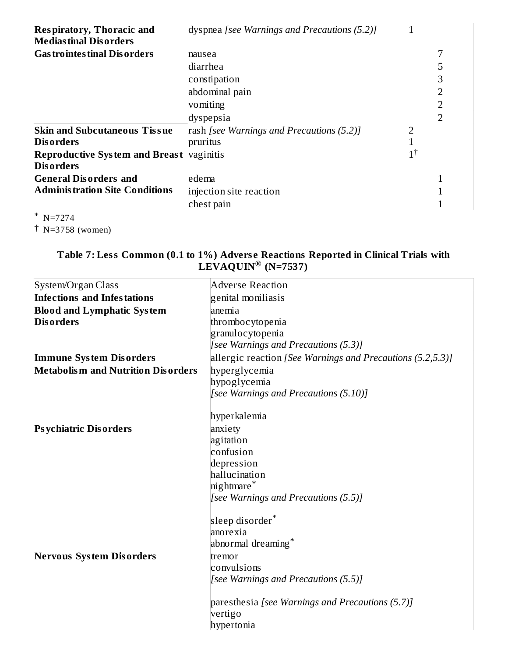| <b>Respiratory, Thoracic and</b><br><b>Mediastinal Disorders</b> | dyspnea [see Warnings and Precautions (5.2)] |               |   |
|------------------------------------------------------------------|----------------------------------------------|---------------|---|
| <b>Gas trointes tinal Dis orders</b>                             | nausea                                       |               |   |
|                                                                  | diarrhea                                     |               | 5 |
|                                                                  | constipation                                 |               | З |
|                                                                  | abdominal pain                               |               |   |
|                                                                  | vomiting                                     |               |   |
|                                                                  | dyspepsia                                    |               |   |
| <b>Skin and Subcutaneous Tissue</b>                              | rash [see Warnings and Precautions (5.2)]    |               |   |
| <b>Disorders</b>                                                 | pruritus                                     |               |   |
| <b>Reproductive System and Breast vaginitis</b>                  |                                              | $1^{\dagger}$ |   |
| <b>Disorders</b>                                                 |                                              |               |   |
| <b>General Disorders and</b>                                     | edema                                        |               |   |
| <b>Administration Site Conditions</b>                            | injection site reaction                      |               |   |
|                                                                  | chest pain                                   |               |   |

\* N=7274

† N=3758 (women)

#### **Table 7: Less Common (0.1 to 1%) Advers e Reactions Reported in Clinical Trials with LEVAQUIN<sup>®</sup> (N=7537)**

| System/Organ Class                        | <b>Adverse Reaction</b>                                    |
|-------------------------------------------|------------------------------------------------------------|
| <b>Infections and Infestations</b>        | genital moniliasis                                         |
| <b>Blood and Lymphatic System</b>         | lanemia                                                    |
| <b>Disorders</b>                          | thrombocytopenia                                           |
|                                           | granulocytopenia                                           |
|                                           | [see Warnings and Precautions (5.3)]                       |
| <b>Immune System Disorders</b>            | allergic reaction [See Warnings and Precautions (5.2,5.3)] |
| <b>Metabolism and Nutrition Disorders</b> | hyperglycemia                                              |
|                                           | hypoglycemia                                               |
|                                           | [see Warnings and Precautions (5.10)]                      |
|                                           | hyperkalemia                                               |
| <b>Psychiatric Disorders</b>              | anxiety                                                    |
|                                           | agitation                                                  |
|                                           | confusion                                                  |
|                                           | depression                                                 |
|                                           | hallucination                                              |
|                                           | nightmare*                                                 |
|                                           | [see Warnings and Precautions (5.5)]                       |
|                                           |                                                            |
|                                           | sleep disorder*<br>anorexia                                |
|                                           | abnormal dreaming <sup>*</sup>                             |
| <b>Nervous System Disorders</b>           | tremor                                                     |
|                                           | convulsions                                                |
|                                           | [see Warnings and Precautions (5.5)]                       |
|                                           |                                                            |
|                                           | paresthesia [see Warnings and Precautions (5.7)]           |
|                                           | vertigo                                                    |
|                                           | hypertonia                                                 |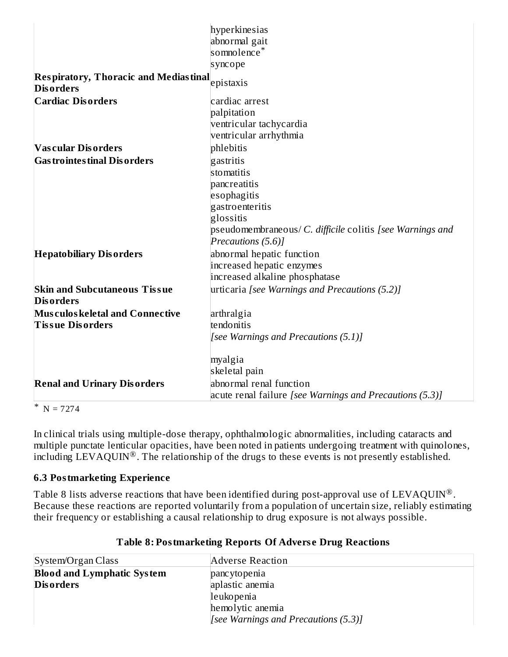|                                              | hyperkinesias                                               |
|----------------------------------------------|-------------------------------------------------------------|
|                                              | abnormal gait                                               |
|                                              | somnolence <sup>*</sup>                                     |
|                                              | syncope                                                     |
| <b>Respiratory, Thoracic and Mediastinal</b> | epistaxis                                                   |
| <b>Disorders</b>                             |                                                             |
| <b>Cardiac Disorders</b>                     | cardiac arrest                                              |
|                                              | palpitation                                                 |
|                                              | ventricular tachycardia                                     |
|                                              | ventricular arrhythmia                                      |
| <b>Vascular Disorders</b>                    | phlebitis                                                   |
| <b>Gas trointes tinal Dis orders</b>         | gastritis                                                   |
|                                              | stomatitis                                                  |
|                                              | pancreatitis                                                |
|                                              | esophagitis                                                 |
|                                              | gastroenteritis                                             |
|                                              | glossitis                                                   |
|                                              | pseudomembraneous/ C. difficile colitis [see Warnings and   |
|                                              | Precautions (5.6)]                                          |
| <b>Hepatobiliary Disorders</b>               | abnormal hepatic function                                   |
|                                              | increased hepatic enzymes                                   |
|                                              | increased alkaline phosphatase                              |
| <b>Skin and Subcutaneous Tissue</b>          | urticaria [see Warnings and Precautions (5.2)]              |
| <b>Disorders</b>                             |                                                             |
| <b>Musculoskeletal and Connective</b>        | arthralgia                                                  |
| <b>Tissue Disorders</b>                      | tendonitis                                                  |
|                                              | [see Warnings and Precautions (5.1)]                        |
|                                              |                                                             |
|                                              | myalgia                                                     |
|                                              | skeletal pain                                               |
| <b>Renal and Urinary Disorders</b>           | abnormal renal function                                     |
|                                              | acute renal failure [see Warnings and Precautions $(5.3)$ ] |

 $* \, N = 7274$ 

In clinical trials using multiple-dose therapy, ophthalmologic abnormalities, including cataracts and multiple punctate lenticular opacities, have been noted in patients undergoing treatment with quinolones, including  $LEVAQUIN^{\circledR}$ . The relationship of the drugs to these events is not presently established.

#### **6.3 Postmarketing Experience**

Table 8 lists adverse reactions that have been identified during post-approval use of LEVAQUIN $^\circledR$ . Because these reactions are reported voluntarily from a population of uncertain size, reliably estimating their frequency or establishing a causal relationship to drug exposure is not always possible.

| System/Organ Class                | <b>Adverse Reaction</b>              |
|-----------------------------------|--------------------------------------|
| <b>Blood and Lymphatic System</b> | pancytopenia                         |
| <b>Disorders</b>                  | aplastic anemia                      |
|                                   | leukopenia                           |
|                                   | hemolytic anemia                     |
|                                   | [see Warnings and Precautions (5.3)] |

#### **Table 8: Postmarketing Reports Of Advers e Drug Reactions**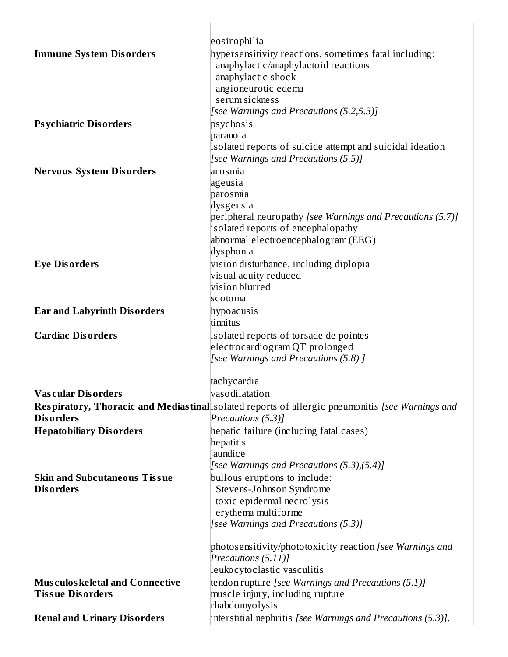|                                                         | eosinophilia                                                                                            |
|---------------------------------------------------------|---------------------------------------------------------------------------------------------------------|
| <b>Immune System Disorders</b>                          | hypersensitivity reactions, sometimes fatal including:                                                  |
|                                                         | anaphylactic/anaphylactoid reactions                                                                    |
|                                                         | anaphylactic shock                                                                                      |
|                                                         | angioneurotic edema                                                                                     |
|                                                         | serum sickness                                                                                          |
|                                                         | [see Warnings and Precautions (5.2,5.3)]                                                                |
| <b>Psychiatric Disorders</b>                            | psychosis                                                                                               |
|                                                         | paranoia                                                                                                |
|                                                         | isolated reports of suicide attempt and suicidal ideation                                               |
|                                                         | [see Warnings and Precautions (5.5)]                                                                    |
| <b>Nervous System Disorders</b>                         | anosmia                                                                                                 |
|                                                         | ageusia                                                                                                 |
|                                                         | parosmia                                                                                                |
|                                                         | dysgeusia                                                                                               |
|                                                         | peripheral neuropathy [see Warnings and Precautions (5.7)]                                              |
|                                                         | isolated reports of encephalopathy                                                                      |
|                                                         | abnormal electroencephalogram (EEG)<br>dysphonia                                                        |
| <b>Eye Disorders</b>                                    | vision disturbance, including diplopia                                                                  |
|                                                         | visual acuity reduced                                                                                   |
|                                                         | vision blurred                                                                                          |
|                                                         | scotoma                                                                                                 |
| <b>Ear and Labyrinth Disorders</b>                      | hypoacusis                                                                                              |
|                                                         | tinnitus                                                                                                |
| <b>Cardiac Disorders</b>                                | isolated reports of torsade de pointes                                                                  |
|                                                         | electrocardiogram QT prolonged                                                                          |
|                                                         | [see Warnings and Precautions (5.8)]                                                                    |
|                                                         |                                                                                                         |
|                                                         | tachycardia                                                                                             |
| Vascular Disorders                                      | vasodilatation                                                                                          |
|                                                         | <b>Respiratory, Thoracic and Mediastinal</b> isolated reports of allergic pneumonitis [see Warnings and |
| <b>Disorders</b>                                        | Precautions (5.3)]                                                                                      |
| <b>Hepatobiliary Disorders</b>                          | hepatic failure (including fatal cases)                                                                 |
|                                                         | hepatitis                                                                                               |
|                                                         | jaundice                                                                                                |
|                                                         | [see Warnings and Precautions (5.3), (5.4)]                                                             |
| <b>Skin and Subcutaneous Tissue</b><br><b>Disorders</b> | bullous eruptions to include:                                                                           |
|                                                         | Stevens-Johnson Syndrome<br>toxic epidermal necrolysis                                                  |
|                                                         | erythema multiforme                                                                                     |
|                                                         | [see Warnings and Precautions (5.3)]                                                                    |
|                                                         |                                                                                                         |
|                                                         | photosensitivity/phototoxicity reaction [see Warnings and                                               |
|                                                         | Precautions (5.11)]                                                                                     |
|                                                         | leukocytoclastic vasculitis                                                                             |
| <b>Musculoskeletal and Connective</b>                   | tendon rupture [see Warnings and Precautions $(5.1)$ ]                                                  |
| <b>Tissue Disorders</b>                                 | muscle injury, including rupture                                                                        |
|                                                         | rhabdomyolysis                                                                                          |
| <b>Renal and Urinary Disorders</b>                      | interstitial nephritis [see Warnings and Precautions (5.3)].                                            |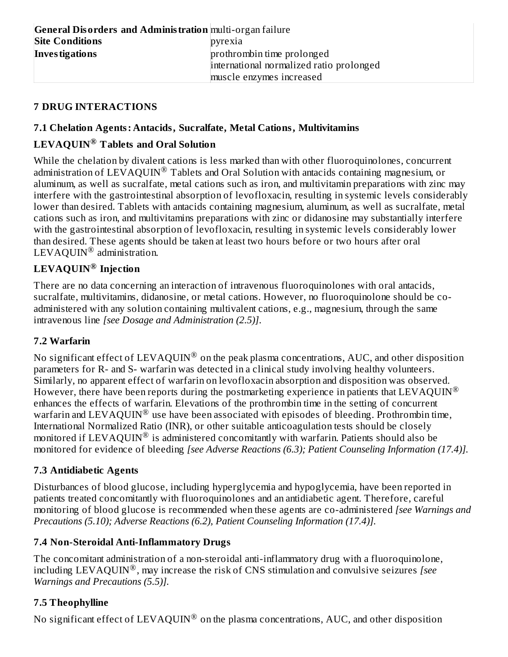#### **7 DRUG INTERACTIONS**

#### **7.1 Chelation Agents: Antacids, Sucralfate, Metal Cations, Multivitamins**

## **LEVAQUIN Tablets and Oral Solution ®**

While the chelation by divalent cations is less marked than with other fluoroquinolones, concurrent administration of LEVAQUIN $^\circledR$  Tablets and Oral Solution with antacids containing magnesium, or aluminum, as well as sucralfate, metal cations such as iron, and multivitamin preparations with zinc may interfere with the gastrointestinal absorption of levofloxacin, resulting in systemic levels considerably lower than desired. Tablets with antacids containing magnesium, aluminum, as well as sucralfate, metal cations such as iron, and multivitamins preparations with zinc or didanosine may substantially interfere with the gastrointestinal absorption of levofloxacin, resulting in systemic levels considerably lower than desired. These agents should be taken at least two hours before or two hours after oral  $LEVAQUIN^@$  administration.

## $\mathbf{LEVAQUIN}^\circledR$  Injection

There are no data concerning an interaction of intravenous fluoroquinolones with oral antacids, sucralfate, multivitamins, didanosine, or metal cations. However, no fluoroquinolone should be coadministered with any solution containing multivalent cations, e.g., magnesium, through the same intravenous line *[see Dosage and Administration (2.5)]*.

#### **7.2 Warfarin**

No significant effect of LEVAQUIN $^{\circledR}$  on the peak plasma concentrations, AUC, and other disposition parameters for R- and S- warfarin was detected in a clinical study involving healthy volunteers. Similarly, no apparent effect of warfarin on levofloxacin absorption and disposition was observed. However, there have been reports during the postmarketing experience in patients that  $LEVAQUIN^{\circledR}$ enhances the effects of warfarin. Elevations of the prothrombin time in the setting of concurrent warfarin and  $\text{LEVAQUIN}^{\circledR}$  use have been associated with episodes of bleeding. Prothrombin time, International Normalized Ratio (INR), or other suitable anticoagulation tests should be closely monitored if  $\text{LEVAQUIN}^\circledR$  is administered concomitantly with warfarin. Patients should also be monitored for evidence of bleeding *[see Adverse Reactions (6.3); Patient Counseling Information (17.4)].*

## **7.3 Antidiabetic Agents**

Disturbances of blood glucose, including hyperglycemia and hypoglycemia, have been reported in patients treated concomitantly with fluoroquinolones and an antidiabetic agent. Therefore, careful monitoring of blood glucose is recommended when these agents are co-administered *[see Warnings and Precautions (5.10); Adverse Reactions (6.2), Patient Counseling Information (17.4)].*

## **7.4 Non-Steroidal Anti-Inflammatory Drugs**

The concomitant administration of a non-steroidal anti-inflammatory drug with a fluoroquinolone, including LEVAQUIN®, may increase the risk of CNS stimulation and convulsive seizures *[see Warnings and Precautions (5.5)].*

## **7.5 Theophylline**

No significant effect of LEVAQUIN $^\circledR$  on the plasma concentrations, AUC, and other disposition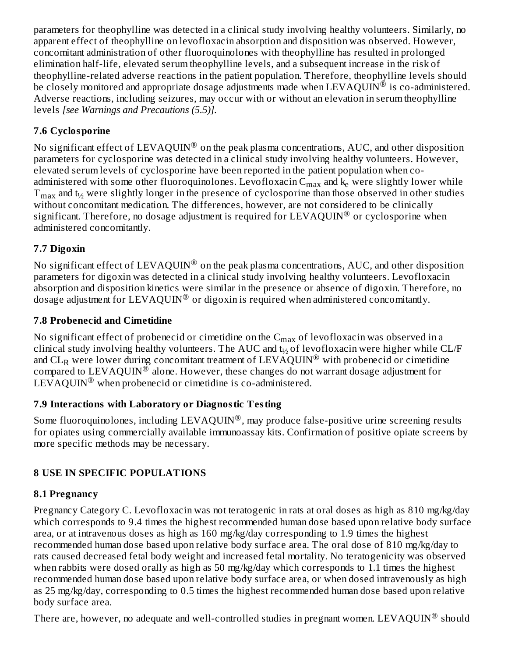parameters for theophylline was detected in a clinical study involving healthy volunteers. Similarly, no apparent effect of theophylline on levofloxacin absorption and disposition was observed. However, concomitant administration of other fluoroquinolones with theophylline has resulted in prolonged elimination half-life, elevated serum theophylline levels, and a subsequent increase in the risk of theophylline-related adverse reactions in the patient population. Therefore, theophylline levels should be closely monitored and appropriate dosage adjustments made when  $\text{LEVAQUIN}^{\tilde\otimes}$  is co-administered. Adverse reactions, including seizures, may occur with or without an elevation in serum theophylline levels *[see Warnings and Precautions (5.5)].*

# **7.6 Cyclosporine**

No significant effect of LEVAQUIN $^{\circledR}$  on the peak plasma concentrations, AUC, and other disposition parameters for cyclosporine was detected in a clinical study involving healthy volunteers. However, elevated serum levels of cyclosporine have been reported in the patient population when coadministered with some other fluoroquinolones. Levofloxacin  ${\sf C_{max}}$  and  ${\sf k_{\!e}}$  were slightly lower while  $\rm T_{max}$  and  $\rm t_{\rm 2}$  were slightly longer in the presence of cyclosporine than those observed in other studies without concomitant medication. The differences, however, are not considered to be clinically significant. Therefore, no dosage adjustment is required for  $\operatorname{LEVAQUIN}^{\circledR}$  or cyclosporine when administered concomitantly.

# **7.7 Digoxin**

No significant effect of LEVAQUIN $^{\circledR}$  on the peak plasma concentrations, AUC, and other disposition parameters for digoxin was detected in a clinical study involving healthy volunteers. Levofloxacin absorption and disposition kinetics were similar in the presence or absence of digoxin. Therefore, no dosage adjustment for  $\text{LEVAQUIN}^{\circledR}$  or digoxin is required when administered concomitantly.

# **7.8 Probenecid and Cimetidine**

No significant effect of probenecid or cimetidine on the  $\mathsf{C}_{\max}$  of levofloxacin was observed in a clinical study involving healthy volunteers. The AUC and  $t_{1/2}$  of levofloxacin were higher while CL/F and  $\rm{CL}_R$  were lower during concomitant treatment of  $\rm{LEVAQUIN}^{\circledR}$  with probenecid or cimetidine compared to LEVAQUIN<sup>®</sup> alone. However, these changes do not warrant dosage adjustment for LEVAQUIN<sup>®</sup> when probenecid or cimetidine is co-administered.

## **7.9 Interactions with Laboratory or Diagnostic Testing**

Some fluoroquinolones, including LEVAQUIN®, may produce false-positive urine screening results for opiates using commercially available immunoassay kits. Confirmation of positive opiate screens by more specific methods may be necessary.

# **8 USE IN SPECIFIC POPULATIONS**

# **8.1 Pregnancy**

Pregnancy Category C. Levofloxacin was not teratogenic in rats at oral doses as high as 810 mg/kg/day which corresponds to 9.4 times the highest recommended human dose based upon relative body surface area, or at intravenous doses as high as 160 mg/kg/day corresponding to 1.9 times the highest recommended human dose based upon relative body surface area. The oral dose of 810 mg/kg/day to rats caused decreased fetal body weight and increased fetal mortality. No teratogenicity was observed when rabbits were dosed orally as high as 50 mg/kg/day which corresponds to 1.1 times the highest recommended human dose based upon relative body surface area, or when dosed intravenously as high as 25 mg/kg/day, corresponding to 0.5 times the highest recommended human dose based upon relative body surface area.

There are, however, no adequate and well-controlled studies in pregnant women. LEVAQUIN® should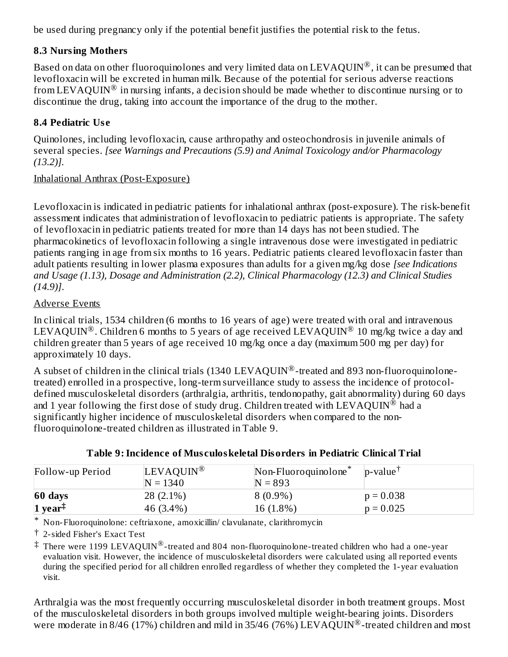be used during pregnancy only if the potential benefit justifies the potential risk to the fetus.

## **8.3 Nursing Mothers**

Based on data on other fluoroquinolones and very limited data on  $\text{LEVAQUIN}^\circledR$  , it can be presumed that levofloxacin will be excreted in human milk. Because of the potential for serious adverse reactions from LEVAQUIN<sup>®</sup> in nursing infants, a decision should be made whether to discontinue nursing or to discontinue the drug, taking into account the importance of the drug to the mother.

## **8.4 Pediatric Us e**

Quinolones, including levofloxacin, cause arthropathy and osteochondrosis in juvenile animals of several species. *[see Warnings and Precautions (5.9) and Animal Toxicology and/or Pharmacology (13.2)].*

#### Inhalational Anthrax (Post-Exposure)

Levofloxacin is indicated in pediatric patients for inhalational anthrax (post-exposure). The risk-benefit assessment indicates that administration of levofloxacin to pediatric patients is appropriate. The safety of levofloxacin in pediatric patients treated for more than 14 days has not been studied. The pharmacokinetics of levofloxacin following a single intravenous dose were investigated in pediatric patients ranging in age from six months to 16 years. Pediatric patients cleared levofloxacin faster than adult patients resulting in lower plasma exposures than adults for a given mg/kg dose *[see Indications and Usage (1.13), Dosage and Administration (2.2), Clinical Pharmacology (12.3) and Clinical Studies (14.9)]*.

#### Adverse Events

In clinical trials, 1534 children (6 months to 16 years of age) were treated with oral and intravenous LEVAQUIN®. Children 6 months to 5 years of age received LEVAQUIN® 10 mg/kg twice a day and children greater than 5 years of age received 10 mg/kg once a day (maximum 500 mg per day) for approximately 10 days.

A subset of children in the clinical trials (1340 LEVAQUIN $^\circledR$ -treated and 893 non-fluoroquinolonetreated) enrolled in a prospective, long-term surveillance study to assess the incidence of protocoldefined musculoskeletal disorders (arthralgia, arthritis, tendonopathy, gait abnormality) during 60 days and 1 year following the first dose of study drug. Children treated with LEVAQUIN $^{\circledR}$  had a significantly higher incidence of musculoskeletal disorders when compared to the nonfluoroquinolone-treated children as illustrated in Table 9.

| Follow-up Period                        | LEVAQUIN <sup>®</sup><br>$N = 1340$ | Non-Fluoroquinolone<br>$N = 893$ | $p$ -value <sup>T</sup> |
|-----------------------------------------|-------------------------------------|----------------------------------|-------------------------|
| 60 days                                 | 28 (2.1%)                           | $8(0.9\%)$                       | $p = 0.038$             |
| 1 year <sup><math>\ddagger</math></sup> | 46 (3.4%)                           | 16 (1.8%)                        | $p = 0.025$             |

#### **Table 9:Incidence of Mus culoskeletal Disorders in Pediatric Clinical Trial**

\* Non-Fluoroquinolone: ceftriaxone, amoxicillin/ clavulanate, clarithromycin

† 2-sided Fisher's Exact Test

 $^\ddag$  There were 1199 LEVAQUIN $^\circledR$ -treated and 804 non-fluoroquinolone-treated children who had a one-year evaluation visit. However, the incidence of musculoskeletal disorders were calculated using all reported events during the specified period for all children enrolled regardless of whether they completed the 1-year evaluation visit.

Arthralgia was the most frequently occurring musculoskeletal disorder in both treatment groups. Most of the musculoskeletal disorders in both groups involved multiple weight-bearing joints. Disorders were moderate in 8/46 (17%) children and mild in 35/46 (76%)  $\rm LEVAQUIN^{\circledR}$ -treated children and most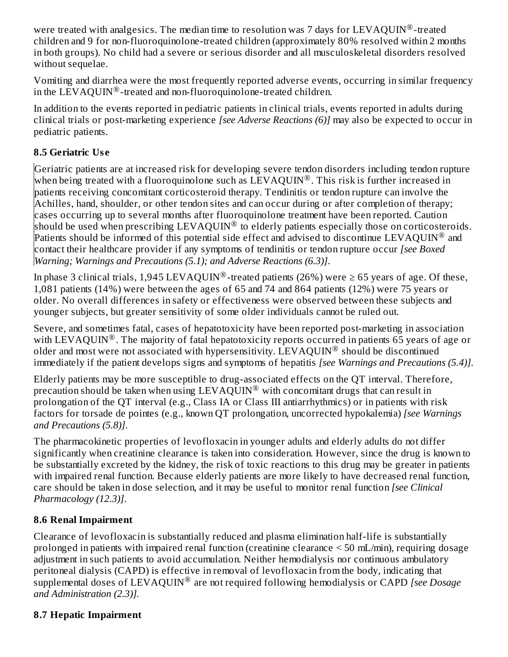were treated with analgesics. The median time to resolution was 7 days for LEVAQUIN®-treated children and 9 for non-fluoroquinolone-treated children (approximately 80% resolved within 2 months in both groups). No child had a severe or serious disorder and all musculoskeletal disorders resolved without sequelae.

Vomiting and diarrhea were the most frequently reported adverse events, occurring in similar frequency in the LEVAQUIN<sup>®</sup>-treated and non-fluoroquinolone-treated children.

In addition to the events reported in pediatric patients in clinical trials, events reported in adults during clinical trials or post-marketing experience *[see Adverse Reactions (6)]* may also be expected to occur in pediatric patients.

# **8.5 Geriatric Us e**

Geriatric patients are at increased risk for developing severe tendon disorders including tendon rupture when being treated with a fluoroquinolone such as  $LEVAQUIN^{\circledR}$ . This risk is further increased in patients receiving concomitant corticosteroid therapy. Tendinitis or tendon rupture can involve the Achilles, hand, shoulder, or other tendon sites and can occur during or after completion of therapy; cases occurring up to several months after fluoroquinolone treatment have been reported. Caution should be used when prescribing LEVAQUIN $^\circledR$  to elderly patients especially those on corticosteroids. Patients should be informed of this potential side effect and advised to discontinue  $LEVAQUIN^@$  and contact their healthcare provider if any symptoms of tendinitis or tendon rupture occur *[see Boxed Warning; Warnings and Precautions (5.1); and Adverse Reactions (6.3)]*.

In phase 3 clinical trials, 1,945 LEVAQUIN®-treated patients (26%) were  $\geq$  65 years of age. Of these, 1,081 patients (14%) were between the ages of 65 and 74 and 864 patients (12%) were 75 years or older. No overall differences in safety or effectiveness were observed between these subjects and younger subjects, but greater sensitivity of some older individuals cannot be ruled out.

Severe, and sometimes fatal, cases of hepatotoxicity have been reported post-marketing in association with LEVAQUIN®. The majority of fatal hepatotoxicity reports occurred in patients 65 years of age or older and most were not associated with hypersensitivity. LEVAQUIN® should be discontinued immediately if the patient develops signs and symptoms of hepatitis *[see Warnings and Precautions (5.4)]*.

Elderly patients may be more susceptible to drug-associated effects on the QT interval. Therefore, precaution should be taken when using  $\operatorname{LEVAQUIN}^{\circledR}$  with concomitant drugs that can result in prolongation of the QT interval (e.g., Class IA or Class III antiarrhythmics) or in patients with risk factors for torsade de pointes (e.g., known QT prolongation, uncorrected hypokalemia) *[see Warnings and Precautions (5.8)]*.

The pharmacokinetic properties of levofloxacin in younger adults and elderly adults do not differ significantly when creatinine clearance is taken into consideration. However, since the drug is known to be substantially excreted by the kidney, the risk of toxic reactions to this drug may be greater in patients with impaired renal function. Because elderly patients are more likely to have decreased renal function, care should be taken in dose selection, and it may be useful to monitor renal function *[see Clinical Pharmacology (12.3)]*.

# **8.6 Renal Impairment**

Clearance of levofloxacin is substantially reduced and plasma elimination half-life is substantially prolonged in patients with impaired renal function (creatinine clearance < 50 mL/min), requiring dosage adjustment in such patients to avoid accumulation. Neither hemodialysis nor continuous ambulatory peritoneal dialysis (CAPD) is effective in removal of levofloxacin from the body, indicating that supplemental doses of LEVAQUIN<sup>®</sup> are not required following hemodialysis or CAPD *[see Dosage and Administration (2.3)].*

## **8.7 Hepatic Impairment**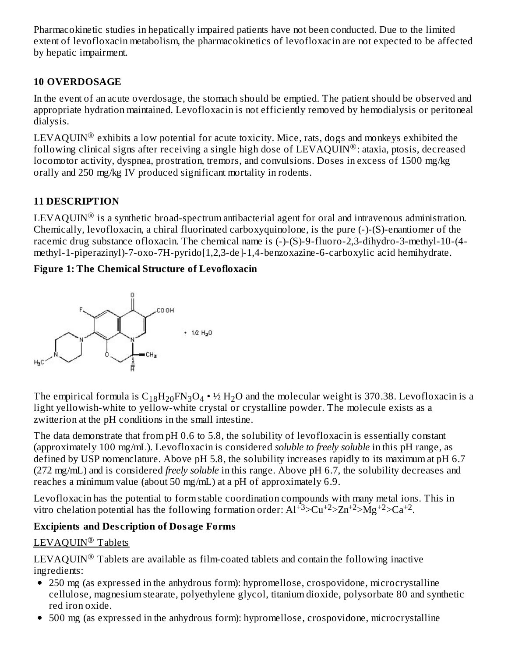Pharmacokinetic studies in hepatically impaired patients have not been conducted. Due to the limited extent of levofloxacin metabolism, the pharmacokinetics of levofloxacin are not expected to be affected by hepatic impairment.

## **10 OVERDOSAGE**

In the event of an acute overdosage, the stomach should be emptied. The patient should be observed and appropriate hydration maintained. Levofloxacin is not efficiently removed by hemodialysis or peritoneal dialysis.

LEVAQUIN $^{\circledR}$  exhibits a low potential for acute toxicity. Mice, rats, dogs and monkeys exhibited the following clinical signs after receiving a single high dose of LEVAQUIN®: ataxia, ptosis, decreased locomotor activity, dyspnea, prostration, tremors, and convulsions. Doses in excess of 1500 mg/kg orally and 250 mg/kg IV produced significant mortality in rodents.

# **11 DESCRIPTION**

 $\mathrm{LEVAQUIN}^{\circledR}$  is a synthetic broad-spectrum antibacterial agent for oral and intravenous administration. Chemically, levofloxacin, a chiral fluorinated carboxyquinolone, is the pure (-)-(S)-enantiomer of the racemic drug substance ofloxacin. The chemical name is (-)-(S)-9-fluoro-2,3-dihydro-3-methyl-10-(4 methyl-1-piperazinyl)-7-oxo-7H-pyrido[1,2,3-de]-1,4-benzoxazine-6-carboxylic acid hemihydrate.

## **Figure 1: The Chemical Structure of Levofloxacin**



The empirical formula is  $\rm{C_{18}H_{20}FN_{3}O_{4}}$   $\cdot$  ½  $\rm{H_{2}O}$  and the molecular weight is 370.38. Levofloxacin is a light yellowish-white to yellow-white crystal or crystalline powder. The molecule exists as a zwitterion at the pH conditions in the small intestine.

The data demonstrate that from pH 0.6 to 5.8, the solubility of levofloxacin is essentially constant (approximately 100 mg/mL). Levofloxacin is considered *soluble to freely soluble* in this pH range, as defined by USP nomenclature. Above pH 5.8, the solubility increases rapidly to its maximum at pH 6.7 (272 mg/mL) and is considered *freely soluble* in this range. Above pH 6.7, the solubility decreases and reaches a minimum value (about 50 mg/mL) at a pH of approximately 6.9.

Levofloxacin has the potential to form stable coordination compounds with many metal ions. This in vitro chelation potential has the following formation order:  $Al^{+3}\ge Cu^{+2}\ge Zn^{+2}\ge Mg^{+2}\ge Ca^{+2}.$ 

## **Excipients and Des cription of Dosage Forms**

## LEVAQUIN<sup>®</sup> Tablets

 $LEVAQUIN^@$  Tablets are available as film-coated tablets and contain the following inactive ingredients:

- 250 mg (as expressed in the anhydrous form): hypromellose, crospovidone, microcrystalline cellulose, magnesium stearate, polyethylene glycol, titanium dioxide, polysorbate 80 and synthetic red iron oxide.
- 500 mg (as expressed in the anhydrous form): hypromellose, crospovidone, microcrystalline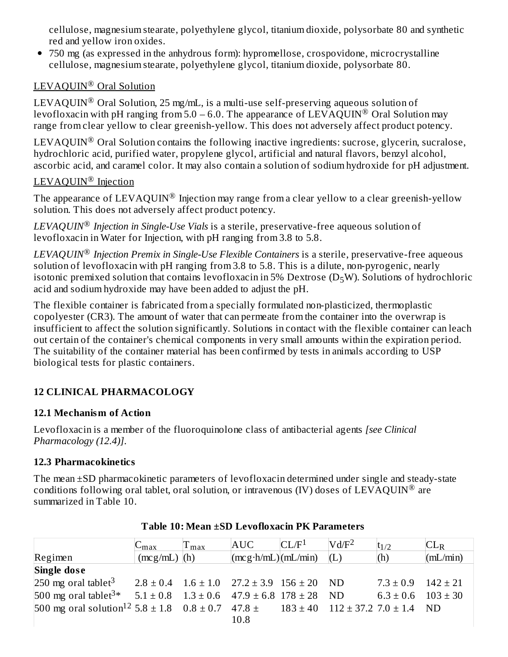cellulose, magnesium stearate, polyethylene glycol, titanium dioxide, polysorbate 80 and synthetic red and yellow iron oxides.

750 mg (as expressed in the anhydrous form): hypromellose, crospovidone, microcrystalline cellulose, magnesium stearate, polyethylene glycol, titanium dioxide, polysorbate 80.

## LEVAQUIN® Oral Solution

 $\mathrm{LEVAQUIN}^{\circledR}$  Oral Solution, 25 mg/mL, is a multi-use self-preserving aqueous solution of levofloxacin with pH ranging from 5.0 – 6.0. The appearance of  $\text{LEVAQUIN}^\circledR$  Oral Solution may range from clear yellow to clear greenish-yellow. This does not adversely affect product potency.

LEVAQUIN® Oral Solution contains the following inactive ingredients: sucrose, glycerin, sucralose, hydrochloric acid, purified water, propylene glycol, artificial and natural flavors, benzyl alcohol, ascorbic acid, and caramel color. It may also contain a solution of sodium hydroxide for pH adjustment.

#### LEVAQUIN® Injection

The appearance of LEVAQUIN $^\circledR$  Injection may range from a clear yellow to a clear greenish-yellow solution. This does not adversely affect product potency.

*LEVAQUIN Injection in Single-Use Vials* is a sterile, preservative-free aqueous solution of ® levofloxacin in Water for Injection, with pH ranging from 3.8 to 5.8.

*LEVAQUIN Injection Premix in Single-Use Flexible Containers* is a sterile, preservative-free aqueous ® solution of levofloxacin with pH ranging from 3.8 to 5.8. This is a dilute, non-pyrogenic, nearly isotonic premixed solution that contains levofloxacin in 5% Dextrose (D $_5$ W). Solutions of hydrochloric acid and sodium hydroxide may have been added to adjust the pH.

The flexible container is fabricated from a specially formulated non-plasticized, thermoplastic copolyester (CR3). The amount of water that can permeate from the container into the overwrap is insufficient to affect the solution significantly. Solutions in contact with the flexible container can leach out certain of the container's chemical components in very small amounts within the expiration period. The suitability of the container material has been confirmed by tests in animals according to USP biological tests for plastic containers.

# **12 CLINICAL PHARMACOLOGY**

## **12.1 Mechanism of Action**

Levofloxacin is a member of the fluoroquinolone class of antibacterial agents *[see Clinical Pharmacology (12.4)]*.

#### **12.3 Pharmacokinetics**

The mean ±SD pharmacokinetic parameters of levofloxacin determined under single and steady-state conditions following oral tablet, oral solution, or intravenous (IV) doses of  $LEVAQUIN^@$  are summarized in Table 10.

|                                                                                                | $C_{\text{max}}$ | $\Gamma_{\text{max}}$ | <b>AUC</b>                                                 | CL/F <sup>1</sup> | $\rm Vd/F^2$ | $t_{1/2}$                  | $CL_R$ |
|------------------------------------------------------------------------------------------------|------------------|-----------------------|------------------------------------------------------------|-------------------|--------------|----------------------------|--------|
| Regimen                                                                                        | $(mcg/mL)$ (h)   |                       | $(mcg \cdot h/mL)(mL/min)$                                 |                   | (L)          | (h)                        | mL/min |
| Single dose                                                                                    |                  |                       |                                                            |                   |              |                            |        |
| $250$ mg oral tablet <sup>3</sup>                                                              |                  |                       | $2.8 \pm 0.4$ $1.6 \pm 1.0$ $27.2 \pm 3.9$ $156 \pm 20$ ND |                   |              | $7.3 \pm 0.9$ $142 \pm 21$ |        |
| $500 \text{ mg}$ oral tablet <sup>3*</sup> 5.1 ± 0.8 1.3 ± 0.6 47.9 ± 6.8 178 ± 28 ND          |                  |                       |                                                            |                   |              | $6.3 \pm 0.6$ $103 \pm 30$ |        |
| 500 mg oral solution <sup>12</sup> 5.8 ± 1.8 0.8 ± 0.7 47.8 ± 183 ± 40 112 ± 37.2 7.0 ± 1.4 ND |                  |                       |                                                            |                   |              |                            |        |
|                                                                                                |                  |                       | 10.8                                                       |                   |              |                            |        |

#### **Table 10: Mean ±SD Levofloxacin PK Parameters**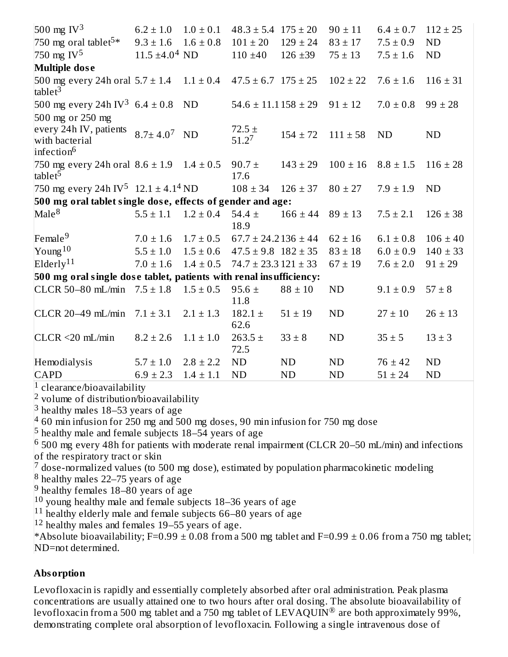| $500 \text{ mg } \text{IV}^3$                                      | $6.2 \pm 1.0$       | $1.0 \pm 0.1$ | $48.3 \pm 5.4$ $175 \pm 20$ |              | $90 \pm 11$  | $6.4 \pm 0.7$ | $112 \pm 25$ |
|--------------------------------------------------------------------|---------------------|---------------|-----------------------------|--------------|--------------|---------------|--------------|
| 750 mg oral tablet <sup>5*</sup>                                   | $9.3 \pm 1.6$       | $1.6 \pm 0.8$ | $101 \pm 20$                | $129 \pm 24$ | $83 \pm 17$  | $7.5 \pm 0.9$ | <b>ND</b>    |
| $750 \text{ mg } \text{IV}^5$                                      | $11.5 \pm 4.0^4$ ND |               | $110 \pm 40$                | $126 \pm 39$ | $75 \pm 13$  | $7.5 \pm 1.6$ | ND           |
| <b>Multiple dose</b>                                               |                     |               |                             |              |              |               |              |
| 500 mg every 24h oral $5.7 \pm 1.4$<br>tablet <sup>3</sup>         |                     | $1.1 \pm 0.4$ | $47.5 \pm 6.7$ $175 \pm 25$ |              | $102 \pm 22$ | $7.6 \pm 1.6$ | $116 \pm 31$ |
| 500 mg every 24h IV <sup>3</sup> 6.4 $\pm$ 0.8                     |                     | <b>ND</b>     | $54.6 \pm 11.1158 \pm 29$   |              | $91 \pm 12$  | $7.0 \pm 0.8$ | $99 \pm 28$  |
| 500 mg or 250 mg                                                   |                     |               |                             |              |              |               |              |
| every 24h IV, patients<br>with bacterial<br>infection <sup>6</sup> | $8.7 \pm 4.0^7$     | <b>ND</b>     | 72.5 $\pm$<br>$51.2^7$      | $154 \pm 72$ | $111 \pm 58$ | <b>ND</b>     | <b>ND</b>    |
| 750 mg every 24h oral $8.6 \pm 1.9$ 1.4 $\pm 0.5$                  |                     |               | $90.7 \pm$                  | $143 \pm 29$ | $100 \pm 16$ | $8.8 \pm 1.5$ | $116 \pm 28$ |
| tablet <sup>5</sup>                                                |                     |               | 17.6                        |              |              |               |              |
| 750 mg every 24h IV <sup>5</sup> 12.1 ± 4.1 <sup>4</sup> ND        |                     |               | $108 \pm 34$                | $126 \pm 37$ | $80 \pm 27$  | $7.9 \pm 1.9$ | <b>ND</b>    |
| 500 mg oral tablet single dose, effects of gender and age:         |                     |               |                             |              |              |               |              |
| $\rm {Male}^8$                                                     | $5.5 \pm 1.1$       | $1.2 \pm 0.4$ | 54.4 $\pm$<br>18.9          | $166 \pm 44$ | $89 \pm 13$  | $7.5 \pm 2.1$ | $126 \pm 38$ |
| Female <sup>9</sup>                                                | $7.0 \pm 1.6$       | $1.7 \pm 0.5$ | $67.7 \pm 24.2136 \pm 44$   |              | $62 \pm 16$  | $6.1 \pm 0.8$ | $106 \pm 40$ |
| $\gamma$ oung $^{10}$                                              | $5.5 \pm 1.0$       | $1.5 \pm 0.6$ | $47.5 \pm 9.8$ $182 \pm 35$ |              | $83 \pm 18$  | $6.0 \pm 0.9$ | $140 \pm 33$ |
| Elderly <sup>11</sup>                                              | $7.0 \pm 1.6$       | $1.4 \pm 0.5$ | $74.7 \pm 23.3121 \pm 33$   |              | $67 \pm 19$  | $7.6 \pm 2.0$ | $91 \pm 29$  |
| 500 mg oral single dose tablet, patients with renal insufficiency: |                     |               |                             |              |              |               |              |
| CLCR 50-80 mL/min $7.5 \pm 1.8$                                    |                     | $1.5 \pm 0.5$ | $95.6 \pm$<br>11.8          | $88 \pm 10$  | <b>ND</b>    | $9.1 \pm 0.9$ | $57 \pm 8$   |
| CLCR 20-49 mL/min $7.1 \pm 3.1$                                    |                     | $2.1 \pm 1.3$ | 182.1 $\pm$<br>62.6         | $51 \pm 19$  | <b>ND</b>    | $27 \pm 10$   | $26 \pm 13$  |
| $CLCR < 20$ mL/min                                                 | $8.2 \pm 2.6$       | $1.1 \pm 1.0$ | $263.5 \pm$<br>72.5         | $33 \pm 8$   | <b>ND</b>    | $35 \pm 5$    | $13 \pm 3$   |
| Hemodialysis                                                       | $5.7 \pm 1.0$       | $2.8 \pm 2.2$ | <b>ND</b>                   | <b>ND</b>    | ND           | $76 \pm 42$   | ND           |
| <b>CAPD</b>                                                        | $6.9 \pm 2.3$       | $1.4 \pm 1.1$ | <b>ND</b>                   | ND           | <b>ND</b>    | $51 \pm 24$   | <b>ND</b>    |
| $ 1\rangle$ clearance/bioavailability                              |                     |               |                             |              |              |               |              |

clearance/bioavailability

<sup>2</sup> volume of distribution/bioavailability

 $3$  healthy males 18–53 years of age

 $460$  min infusion for 250 mg and 500 mg doses, 90 min infusion for 750 mg dose

healthy male and female subjects 18–54 years of age 5

 $6500$  mg every 48h for patients with moderate renal impairment (CLCR 20–50 mL/min) and infections of the respiratory tract or skin

 $\frac{7}{7}$  dose-normalized values (to 500 mg dose), estimated by population pharmacokinetic modeling

 $8$  healthy males 22–75 years of age

 $9$  healthy females 18–80 years of age

 $10$  young healthy male and female subjects  $18-36$  years of age

<sup>11</sup> healthy elderly male and female subjects  $66-80$  years of age

 $12$  healthy males and females 19-55 years of age.

\*Absolute bioavailability; F=0.99  $\pm$  0.08 from a 500 mg tablet and F=0.99  $\pm$  0.06 from a 750 mg tablet; ND=not determined.

#### **Absorption**

Levofloxacin is rapidly and essentially completely absorbed after oral administration. Peak plasma concentrations are usually attained one to two hours after oral dosing. The absolute bioavailability of levofloxacin from a 500 mg tablet and a 750 mg tablet of LEVAQUIN® are both approximately 99%, demonstrating complete oral absorption of levofloxacin. Following a single intravenous dose of ®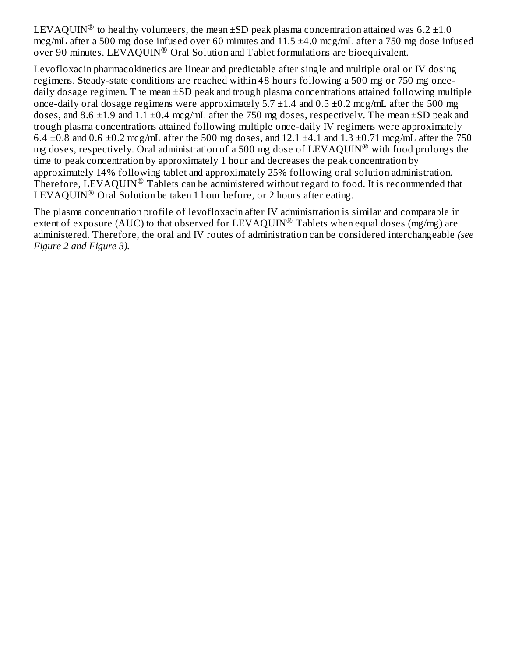LEVAQUIN $^{\circledR}$  to healthy volunteers, the mean ±SD peak plasma concentration attained was 6.2 ±1.0 mcg/mL after a 500 mg dose infused over 60 minutes and 11.5 ±4.0 mcg/mL after a 750 mg dose infused over 90 minutes. LEVAQUIN<sup>®</sup> Oral Solution and Tablet formulations are bioequivalent.

Levofloxacin pharmacokinetics are linear and predictable after single and multiple oral or IV dosing regimens. Steady-state conditions are reached within 48 hours following a 500 mg or 750 mg oncedaily dosage regimen. The mean ±SD peak and trough plasma concentrations attained following multiple once-daily oral dosage regimens were approximately  $5.7 \pm 1.4$  and  $0.5 \pm 0.2$  mcg/mL after the 500 mg doses, and 8.6  $\pm$ 1.9 and 1.1  $\pm$ 0.4 mcg/mL after the 750 mg doses, respectively. The mean  $\pm$ SD peak and trough plasma concentrations attained following multiple once-daily IV regimens were approximately 6.4  $\pm$ 0.8 and 0.6  $\pm$ 0.2 mcg/mL after the 500 mg doses, and 12.1  $\pm$ 4.1 and 1.3  $\pm$ 0.71 mcg/mL after the 750 mg doses, respectively. Oral administration of a 500 mg dose of LEVAQUIN® with food prolongs the time to peak concentration by approximately 1 hour and decreases the peak concentration by approximately 14% following tablet and approximately 25% following oral solution administration. Therefore, LEVAQUIN<sup>®</sup> Tablets can be administered without regard to food. It is recommended that  $\text{LEVAQUIN}^{\circledR}$  Oral Solution be taken 1 hour before, or 2 hours after eating.

The plasma concentration profile of levofloxacin after IV administration is similar and comparable in extent of exposure (AUC) to that observed for LEVAQUIN® Tablets when equal doses (mg/mg) are administered. Therefore, the oral and IV routes of administration can be considered interchangeable *(see Figure 2 and Figure 3).*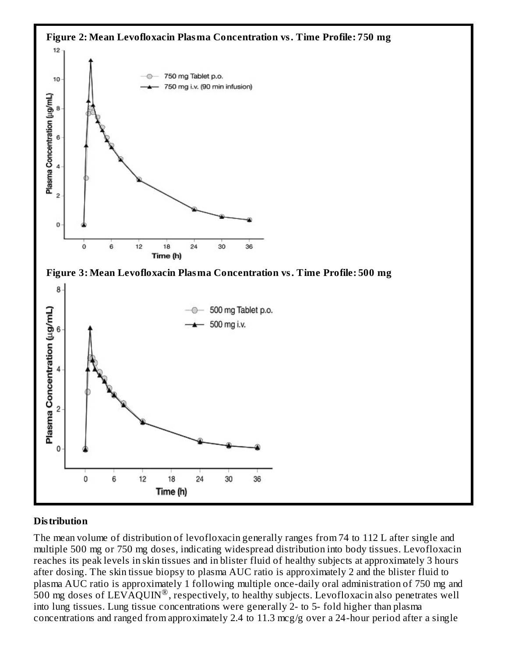

#### **Distribution**

The mean volume of distribution of levofloxacin generally ranges from 74 to 112 L after single and multiple 500 mg or 750 mg doses, indicating widespread distribution into body tissues. Levofloxacin reaches its peak levels in skin tissues and in blister fluid of healthy subjects at approximately 3 hours after dosing. The skin tissue biopsy to plasma AUC ratio is approximately 2 and the blister fluid to plasma AUC ratio is approximately 1 following multiple once-daily oral administration of 750 mg and  $500$  mg doses of LEVAQUIN®, respectively, to healthy subjects. Levofloxacin also penetrates well into lung tissues. Lung tissue concentrations were generally 2- to 5- fold higher than plasma concentrations and ranged from approximately 2.4 to 11.3 mcg/g over a 24-hour period after a single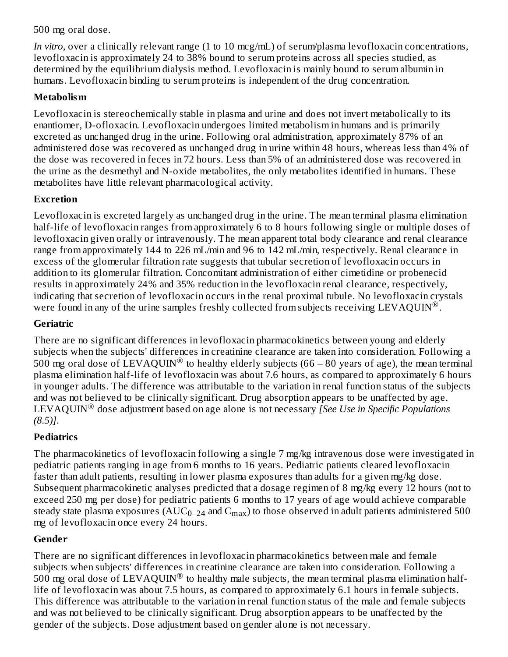500 mg oral dose.

*In vitro*, over a clinically relevant range (1 to 10 mcg/mL) of serum/plasma levofloxacin concentrations, levofloxacin is approximately 24 to 38% bound to serum proteins across all species studied, as determined by the equilibrium dialysis method. Levofloxacin is mainly bound to serum albumin in humans. Levofloxacin binding to serum proteins is independent of the drug concentration.

## **Metabolism**

Levofloxacin is stereochemically stable in plasma and urine and does not invert metabolically to its enantiomer, D-ofloxacin. Levofloxacin undergoes limited metabolism in humans and is primarily excreted as unchanged drug in the urine. Following oral administration, approximately 87% of an administered dose was recovered as unchanged drug in urine within 48 hours, whereas less than 4% of the dose was recovered in feces in 72 hours. Less than 5% of an administered dose was recovered in the urine as the desmethyl and N-oxide metabolites, the only metabolites identified in humans. These metabolites have little relevant pharmacological activity.

# **Excretion**

Levofloxacin is excreted largely as unchanged drug in the urine. The mean terminal plasma elimination half-life of levofloxacin ranges from approximately 6 to 8 hours following single or multiple doses of levofloxacin given orally or intravenously. The mean apparent total body clearance and renal clearance range from approximately 144 to 226 mL/min and 96 to 142 mL/min, respectively. Renal clearance in excess of the glomerular filtration rate suggests that tubular secretion of levofloxacin occurs in addition to its glomerular filtration. Concomitant administration of either cimetidine or probenecid results in approximately 24% and 35% reduction in the levofloxacin renal clearance, respectively, indicating that secretion of levofloxacin occurs in the renal proximal tubule. No levofloxacin crystals were found in any of the urine samples freshly collected from subjects receiving LEVAQUIN $^{\circledR}$ .

#### **Geriatric**

There are no significant differences in levofloxacin pharmacokinetics between young and elderly subjects when the subjects' differences in creatinine clearance are taken into consideration. Following a 500 mg oral dose of LEVAQUIN® to healthy elderly subjects (66 – 80 years of age), the mean terminal plasma elimination half-life of levofloxacin was about 7.6 hours, as compared to approximately 6 hours in younger adults. The difference was attributable to the variation in renal function status of the subjects and was not believed to be clinically significant. Drug absorption appears to be unaffected by age. LEVAQUIN dose adjustment based on age alone is not necessary *[See Use in Specific Populations* ® *(8.5)]*.

# **Pediatrics**

The pharmacokinetics of levofloxacin following a single 7 mg/kg intravenous dose were investigated in pediatric patients ranging in age from 6 months to 16 years. Pediatric patients cleared levofloxacin faster than adult patients, resulting in lower plasma exposures than adults for a given mg/kg dose. Subsequent pharmacokinetic analyses predicted that a dosage regimen of 8 mg/kg every 12 hours (not to exceed 250 mg per dose) for pediatric patients 6 months to 17 years of age would achieve comparable steady state plasma exposures (AUC $_{\rm 0-24}$  and  $\rm C_{max}$ ) to those observed in adult patients administered 500 mg of levofloxacin once every 24 hours.

## **Gender**

There are no significant differences in levofloxacin pharmacokinetics between male and female subjects when subjects' differences in creatinine clearance are taken into consideration. Following a 500 mg oral dose of LEVAQUIN® to healthy male subjects, the mean terminal plasma elimination halflife of levofloxacin was about 7.5 hours, as compared to approximately 6.1 hours in female subjects. This difference was attributable to the variation in renal function status of the male and female subjects and was not believed to be clinically significant. Drug absorption appears to be unaffected by the gender of the subjects. Dose adjustment based on gender alone is not necessary.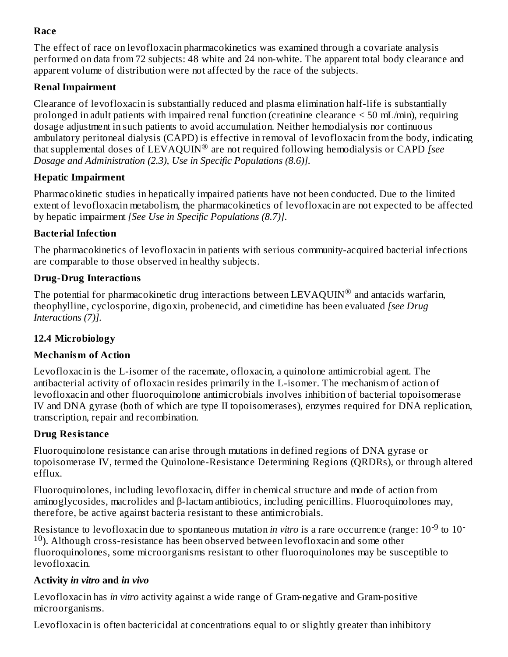#### **Race**

The effect of race on levofloxacin pharmacokinetics was examined through a covariate analysis performed on data from 72 subjects: 48 white and 24 non-white. The apparent total body clearance and apparent volume of distribution were not affected by the race of the subjects.

## **Renal Impairment**

Clearance of levofloxacin is substantially reduced and plasma elimination half-life is substantially prolonged in adult patients with impaired renal function (creatinine clearance < 50 mL/min), requiring dosage adjustment in such patients to avoid accumulation. Neither hemodialysis nor continuous ambulatory peritoneal dialysis (CAPD) is effective in removal of levofloxacin from the body, indicating that supplemental doses of LEVAQUIN<sup>®</sup> are not required following hemodialysis or CAPD *[see Dosage and Administration (2.3), Use in Specific Populations (8.6)].*

## **Hepatic Impairment**

Pharmacokinetic studies in hepatically impaired patients have not been conducted. Due to the limited extent of levofloxacin metabolism, the pharmacokinetics of levofloxacin are not expected to be affected by hepatic impairment *[See Use in Specific Populations (8.7)]*.

#### **Bacterial Infection**

The pharmacokinetics of levofloxacin in patients with serious community-acquired bacterial infections are comparable to those observed in healthy subjects.

#### **Drug-Drug Interactions**

The potential for pharmacokinetic drug interactions between LEVAQUIN $^\circledR$  and antacids warfarin, theophylline, cyclosporine, digoxin, probenecid, and cimetidine has been evaluated *[see Drug Interactions (7)].*

## **12.4 Microbiology**

## **Mechanism of Action**

Levofloxacin is the L-isomer of the racemate, ofloxacin, a quinolone antimicrobial agent. The antibacterial activity of ofloxacin resides primarily in the L-isomer. The mechanism of action of levofloxacin and other fluoroquinolone antimicrobials involves inhibition of bacterial topoisomerase IV and DNA gyrase (both of which are type II topoisomerases), enzymes required for DNA replication, transcription, repair and recombination.

## **Drug Resistance**

Fluoroquinolone resistance can arise through mutations in defined regions of DNA gyrase or topoisomerase IV, termed the Quinolone-Resistance Determining Regions (QRDRs), or through altered efflux.

Fluoroquinolones, including levofloxacin, differ in chemical structure and mode of action from aminoglycosides, macrolides and β-lactam antibiotics, including penicillins. Fluoroquinolones may, therefore, be active against bacteria resistant to these antimicrobials.

Resistance to levofloxacin due to spontaneous mutation *in vitro* is a rare occurrence (range: 10<sup>-9</sup> to 10<sup>-</sup>  $10$ ). Although cross-resistance has been observed between levofloxacin and some other fluoroquinolones, some microorganisms resistant to other fluoroquinolones may be susceptible to levofloxacin.

#### **Activity** *in vitro* **and** *in vivo*

Levofloxacin has *in vitro* activity against a wide range of Gram-negative and Gram-positive microorganisms.

Levofloxacin is often bactericidal at concentrations equal to or slightly greater than inhibitory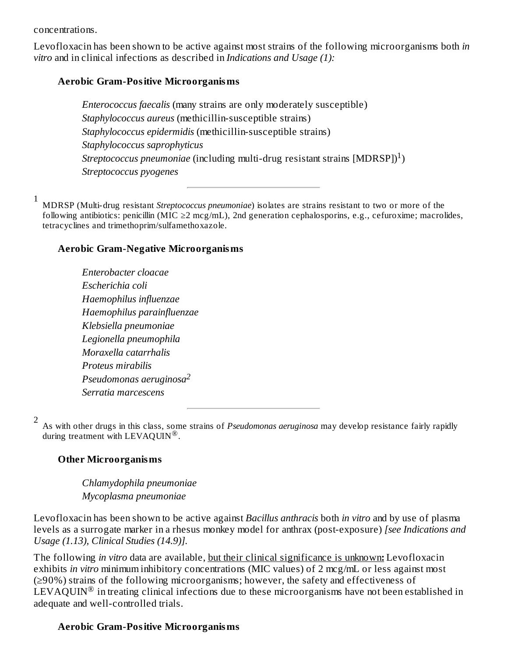concentrations.

Levofloxacin has been shown to be active against most strains of the following microorganisms both *in vitro* and in clinical infections as described in *Indications and Usage (1):*

#### **Aerobic Gram-Positive Microorganisms**

*Enterococcus faecalis* (many strains are only moderately susceptible) *Staphylococcus aureus* (methicillin-susceptible strains) *Staphylococcus epidermidis* (methicillin-susceptible strains) *Staphylococcus saprophyticus Streptococcus pneumoniae* (including multi-drug resistant strains [MDRSP])<sup>1</sup>) *Streptococcus pyogenes*

1 MDRSP (Multi-drug resistant *Streptococcus pneumoniae*) isolates are strains resistant to two or more of the following antibiotics: penicillin (MIC  $\geq 2$  mcg/mL), 2nd generation cephalosporins, e.g., cefuroxime; macrolides, tetracyclines and trimethoprim/sulfamethoxazole.

#### **Aerobic Gram-Negative Microorganisms**

*Enterobacter cloacae Escherichia coli Haemophilus influenzae Haemophilus parainfluenzae Klebsiella pneumoniae Legionella pneumophila Moraxella catarrhalis Proteus mirabilis Pseudomonas aeruginosa 2 Serratia marcescens*

2

As with other drugs in this class, some strains of *Pseudomonas aeruginosa* may develop resistance fairly rapidly during treatment with  $LEVAQUIN^{\circledR}$ .

#### **Other Microorganisms**

*Chlamydophila pneumoniae Mycoplasma pneumoniae*

Levofloxacin has been shown to be active against *Bacillus anthracis* both *in vitro* and by use of plasma levels as a surrogate marker in a rhesus monkey model for anthrax (post-exposure) *[see Indications and Usage (1.13), Clinical Studies (14.9)].*

The following *in vitro* data are available, but their clinical significance is unknown**:** Levofloxacin exhibits *in vitro* minimum inhibitory concentrations (MIC values) of 2 mcg/mL or less against most (≥90%) strains of the following microorganisms; however, the safety and effectiveness of LEVAQUIN® in treating clinical infections due to these microorganisms have not been established in adequate and well-controlled trials.

#### **Aerobic Gram-Positive Microorganisms**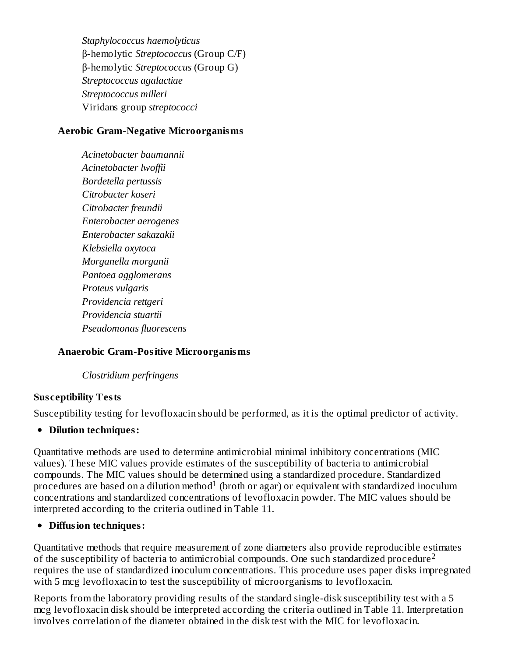*Staphylococcus haemolyticus* β-hemolytic *Streptococcus* (Group C/F) β-hemolytic *Streptococcus* (Group G) *Streptococcus agalactiae Streptococcus milleri* Viridans group *streptococci*

#### **Aerobic Gram-Negative Microorganisms**

*Acinetobacter baumannii Acinetobacter lwoffii Bordetella pertussis Citrobacter koseri Citrobacter freundii Enterobacter aerogenes Enterobacter sakazakii Klebsiella oxytoca Morganella morganii Pantoea agglomerans Proteus vulgaris Providencia rettgeri Providencia stuartii Pseudomonas fluorescens*

#### **Anaerobic Gram-Positive Microorganisms**

*Clostridium perfringens*

#### **Sus ceptibility Tests**

Susceptibility testing for levofloxacin should be performed, as it is the optimal predictor of activity.

#### **Dilution techniques:**

Quantitative methods are used to determine antimicrobial minimal inhibitory concentrations (MIC values). These MIC values provide estimates of the susceptibility of bacteria to antimicrobial compounds. The MIC values should be determined using a standardized procedure. Standardized procedures are based on a dilution method $1$  (broth or agar) or equivalent with standardized inoculum concentrations and standardized concentrations of levofloxacin powder. The MIC values should be interpreted according to the criteria outlined in Table 11.

#### **Diffusion techniques:**

Quantitative methods that require measurement of zone diameters also provide reproducible estimates of the susceptibility of bacteria to antimicrobial compounds. One such standardized procedure<sup>2</sup> requires the use of standardized inoculum concentrations. This procedure uses paper disks impregnated with 5 mcg levofloxacin to test the susceptibility of microorganisms to levofloxacin.

Reports from the laboratory providing results of the standard single-disk susceptibility test with a 5 mcg levofloxacin disk should be interpreted according the criteria outlined in Table 11. Interpretation involves correlation of the diameter obtained in the disk test with the MIC for levofloxacin.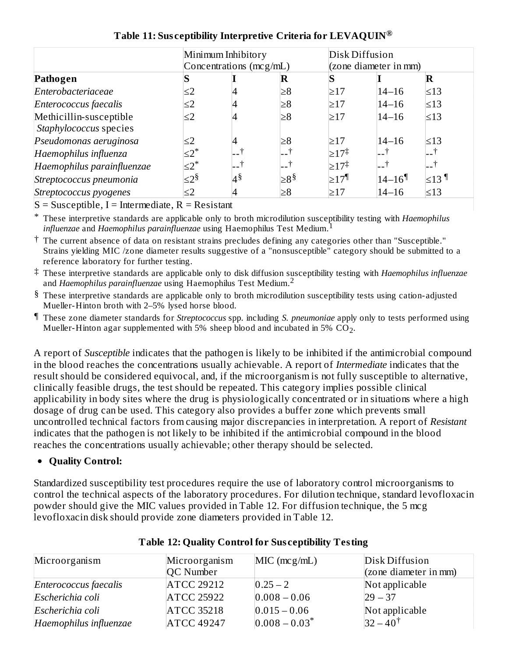|                                                   | Minimum Inhibitory |                         |                 |                        | Disk Diffusion                 |                        |  |
|---------------------------------------------------|--------------------|-------------------------|-----------------|------------------------|--------------------------------|------------------------|--|
|                                                   |                    | Concentrations (mcg/mL) |                 |                        | $\alpha$ (zone diameter in mm) |                        |  |
| Pathogen                                          |                    |                         | $\bf R$         | IS                     |                                | $\mathbf R$            |  |
| Enterobacteriaceae                                | ≤2                 |                         | $\geq 8$        | $\geq$ 17              | $14 - 16$                      | $\leq 13$              |  |
| Enterococcus faecalis                             | ≤2                 |                         | ≥8              | $\geq$ 17              | $14 - 16$                      | $\leq$ 13              |  |
| Methicillin-susceptible<br>Staphylococcus species | $\leq$ 2           |                         | $\geq 8$        | $\geq$ 17              | $14 - 16$                      | $\leq$ 13              |  |
| Pseudomonas aeruginosa                            | ≤2                 |                         | ≥8              | $\geq$ 17              | $14 - 16$                      | $\leq$ 13              |  |
| Haemophilus influenza                             | $\leq$ 2 $*$       |                         |                 | $≥17$ <sup>‡</sup>     |                                |                        |  |
| Haemophilus parainfluenzae                        | $\leq$ 2 $*$       |                         |                 | $\geq 17^{\ddagger}$   | $-1$                           | __†                    |  |
| Streptococcus pneumonia                           | ≤2§                | $4^{\frac{5}{3}}$       | ≥8 <sup>§</sup> | $\geq 17$ <sup>¶</sup> | $14 - 16$ <sup>1</sup>         | $\leq$ 13 <sup>¶</sup> |  |
| Streptococcus pyogenes                            | $\leq$ 2           | 4                       | $\geq 8$        | $\geq$ 17              | $14 - 16$                      | $\leq$ 13              |  |

#### **Table 11: Sus ceptibility Interpretive Criteria for LEVAQUIN ®**

 $|S =$ Susceptible, I = Intermediate, R = Resistant

\* These interpretive standards are applicable only to broth microdilution susceptibility testing with *Haemophilus influenzae* and *Haemophilus parainfluenzae* using Haemophilus Test Medium. 1

† The current absence of data on resistant strains precludes defining any categories other than "Susceptible." Strains yielding MIC /zone diameter results suggestive of a "nonsusceptible" category should be submitted to a reference laboratory for further testing.

‡ These interpretive standards are applicable only to disk diffusion susceptibility testing with *Haemophilus influenzae* and *Haemophilus parainfluenzae* using Haemophilus Test Medium. 2

§ These interpretive standards are applicable only to broth microdilution susceptibility tests using cation-adjusted Mueller-Hinton broth with 2–5% lysed horse blood.

¶ These zone diameter standards for *Streptococcus* spp. including *S. pneumoniae* apply only to tests performed using Mueller-Hinton agar supplemented with 5% sheep blood and incubated in 5%  $CO<sub>2</sub>$ .

A report of *Susceptible* indicates that the pathogen is likely to be inhibited if the antimicrobial compound in the blood reaches the concentrations usually achievable. A report of *Intermediate* indicates that the result should be considered equivocal, and, if the microorganism is not fully susceptible to alternative, clinically feasible drugs, the test should be repeated. This category implies possible clinical applicability in body sites where the drug is physiologically concentrated or in situations where a high dosage of drug can be used. This category also provides a buffer zone which prevents small uncontrolled technical factors from causing major discrepancies in interpretation. A report of *Resistant* indicates that the pathogen is not likely to be inhibited if the antimicrobial compound in the blood reaches the concentrations usually achievable; other therapy should be selected.

**Quality Control:**

Standardized susceptibility test procedures require the use of laboratory control microorganisms to control the technical aspects of the laboratory procedures. For dilution technique, standard levofloxacin powder should give the MIC values provided in Table 12. For diffusion technique, the 5 mcg levofloxacin disk should provide zone diameters provided in Table 12.

| Microorganism          | Microorganism     | MIC (mcg/mL)     | Disk Diffusion                 |
|------------------------|-------------------|------------------|--------------------------------|
|                        | <b>QC</b> Number  |                  | $\alpha$ (zone diameter in mm) |
| Enterococcus faecalis  | <b>ATCC 29212</b> | $ 0.25 - 2 $     | Not applicable                 |
| Escherichia coli       | <b>ATCC 25922</b> | $0.008 - 0.06$   | $ 29 - 37$                     |
| Escherichia coli       | <b>ATCC 35218</b> | $0.015 - 0.06$   | Not applicable                 |
| Haemophilus influenzae | <b>ATCC 49247</b> | $0.008 - 0.03^*$ | $32 - 40^{\dagger}$            |

#### **Table 12: Quality Control for Sus ceptibility Testing**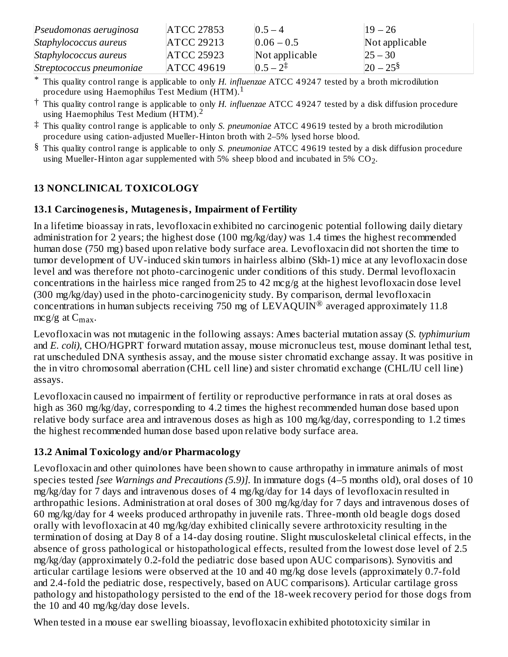| Pseudomonas aeruginosa   | <b>ATCC 27853</b> | $ 0.5 - 4 $     | $ 19 - 26$     |
|--------------------------|-------------------|-----------------|----------------|
| Staphylococcus aureus    | <b>ATCC 29213</b> | $0.06 - 0.5$    | Not applicable |
| Staphylococcus aureus    | <b>ATCC 25923</b> | Not applicable  | $25 - 30$      |
| Streptococcus pneumoniae | <b>ATCC 49619</b> | $ 0.5 - 2^{+} $ | $20 - 258$     |

- \* This quality control range is applicable to only *H. influenzae* ATCC 4 924 7 tested by a broth microdilution procedure using Haemophilus Test Medium  $(HTM)$ .<sup>1</sup>
- <sup>†</sup> This quality control range is applicable to only *H. influenzae* ATCC 49247 tested by a disk diffusion procedure using Haemophilus Test Medium (HTM).<sup>2</sup>
- ‡ This quality control range is applicable to only *S. pneumoniae* ATCC 4 9619 tested by a broth microdilution procedure using cation-adjusted Mueller-Hinton broth with 2–5% lysed horse blood.
- § This quality control range is applicable to only *S. pneumoniae* ATCC 4 9619 tested by a disk diffusion procedure using Mueller-Hinton agar supplemented with 5% sheep blood and incubated in 5%  $CO<sub>2</sub>$ .

# **13 NONCLINICAL TOXICOLOGY**

## **13.1 Carcinogenesis, Mutagenesis, Impairment of Fertility**

In a lifetime bioassay in rats, levofloxacin exhibited no carcinogenic potential following daily dietary administration for 2 years; the highest dose (100 mg/kg/day*)* was 1.4 times the highest recommended human dose (750 mg) based upon relative body surface area. Levofloxacin did not shorten the time to tumor development of UV-induced skin tumors in hairless albino (Skh-1) mice at any levofloxacin dose level and was therefore not photo-carcinogenic under conditions of this study. Dermal levofloxacin concentrations in the hairless mice ranged from 25 to 42 mcg/g at the highest levofloxacin dose level (300 mg/kg/day) used in the photo-carcinogenicity study. By comparison, dermal levofloxacin concentrations in human subjects receiving 750 mg of  $\rm LEVAQUIN^{\circledR}$  averaged approximately 11.8  $mg/g$  at  $C_{\text{max}}$ .

Levofloxacin was not mutagenic in the following assays: Ames bacterial mutation assay (*S. typhimurium* and *E. coli)*, CHO/HGPRT forward mutation assay, mouse micronucleus test, mouse dominant lethal test, rat unscheduled DNA synthesis assay, and the mouse sister chromatid exchange assay. It was positive in the in vitro chromosomal aberration (CHL cell line) and sister chromatid exchange (CHL/IU cell line) assays.

Levofloxacin caused no impairment of fertility or reproductive performance in rats at oral doses as high as 360 mg/kg/day, corresponding to 4.2 times the highest recommended human dose based upon relative body surface area and intravenous doses as high as 100 mg/kg/day, corresponding to 1.2 times the highest recommended human dose based upon relative body surface area.

# **13.2 Animal Toxicology and/or Pharmacology**

Levofloxacin and other quinolones have been shown to cause arthropathy in immature animals of most species tested *[see Warnings and Precautions (5.9)].* In immature dogs (4–5 months old), oral doses of 10 mg/kg/day for 7 days and intravenous doses of 4 mg/kg/day for 14 days of levofloxacin resulted in arthropathic lesions. Administration at oral doses of 300 mg/kg/day for 7 days and intravenous doses of 60 mg/kg/day for 4 weeks produced arthropathy in juvenile rats. Three-month old beagle dogs dosed orally with levofloxacin at 40 mg/kg/day exhibited clinically severe arthrotoxicity resulting in the termination of dosing at Day 8 of a 14-day dosing routine. Slight musculoskeletal clinical effects, in the absence of gross pathological or histopathological effects, resulted from the lowest dose level of 2.5 mg/kg/day (approximately 0.2-fold the pediatric dose based upon AUC comparisons). Synovitis and articular cartilage lesions were observed at the 10 and 40 mg/kg dose levels (approximately 0.7-fold and 2.4-fold the pediatric dose, respectively, based on AUC comparisons). Articular cartilage gross pathology and histopathology persisted to the end of the 18-week recovery period for those dogs from the 10 and 40 mg/kg/day dose levels.

When tested in a mouse ear swelling bioassay, levofloxacin exhibited phototoxicity similar in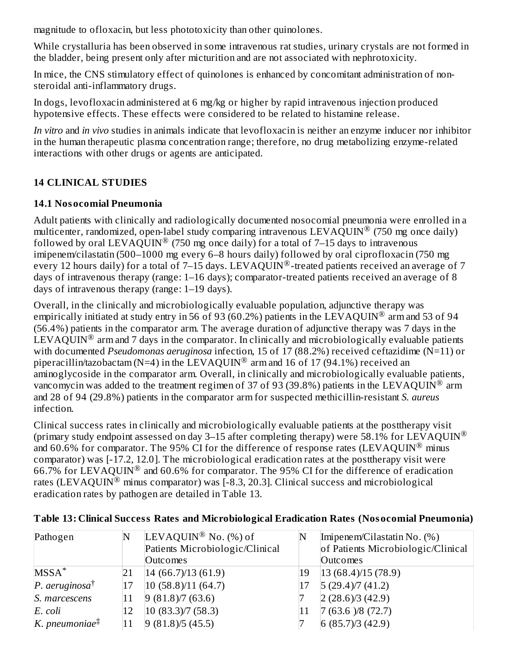magnitude to ofloxacin, but less phototoxicity than other quinolones.

While crystalluria has been observed in some intravenous rat studies, urinary crystals are not formed in the bladder, being present only after micturition and are not associated with nephrotoxicity.

In mice, the CNS stimulatory effect of quinolones is enhanced by concomitant administration of nonsteroidal anti-inflammatory drugs.

In dogs, levofloxacin administered at 6 mg/kg or higher by rapid intravenous injection produced hypotensive effects. These effects were considered to be related to histamine release.

*In vitro* and *in vivo* studies in animals indicate that levofloxacin is neither an enzyme inducer nor inhibitor in the human therapeutic plasma concentration range; therefore, no drug metabolizing enzyme-related interactions with other drugs or agents are anticipated.

# **14 CLINICAL STUDIES**

# **14.1 Nosocomial Pneumonia**

Adult patients with clinically and radiologically documented nosocomial pneumonia were enrolled in a multicenter, randomized, open-label study comparing intravenous  $LEVAQUIN^{\circledR}$  (750 mg once daily) followed by oral LEVAQUIN<sup>®</sup> (750 mg once daily) for a total of 7–15 days to intravenous imipenem/cilastatin (500–1000 mg every 6–8 hours daily) followed by oral ciprofloxacin (750 mg every 12 hours daily) for a total of 7–15 days. LEVAQUIN<sup>®</sup>-treated patients received an average of 7 days of intravenous therapy (range: 1–16 days); comparator-treated patients received an average of 8 days of intravenous therapy (range: 1–19 days).

Overall, in the clinically and microbiologically evaluable population, adjunctive therapy was empirically initiated at study entry in 56 of 93 (60.2%) patients in the LEVAQUIN<sup>®</sup> arm and 53 of 94 (56.4%) patients in the comparator arm. The average duration of adjunctive therapy was 7 days in the LEVAQUIN<sup>®</sup> arm and 7 days in the comparator. In clinically and microbiologically evaluable patients with documented *Pseudomonas aeruginosa* infection, 15 of 17 (88.2%) received ceftazidime (N=11) or piperacillin/tazobactam (N=4) in the  $\text{LEVAQUIN}^\circledR$  arm and 16 of 17 (94.1%) received an aminoglycoside in the comparator arm. Overall, in clinically and microbiologically evaluable patients, vancomycin was added to the treatment regimen of 37 of 93 (39.8%) patients in the LEVAQUIN<sup>®</sup> arm and 28 of 94 (29.8%) patients in the comparator arm for suspected methicillin-resistant *S. aureus* infection.

Clinical success rates in clinically and microbiologically evaluable patients at the posttherapy visit (primary study endpoint assessed on day 3–15 after completing therapy) were 58.1% for LEVAQUIN® and 60.6% for comparator. The 95% CI for the difference of response rates (LEVAQUIN<sup>®</sup> minus comparator) was [-17.2, 12.0]. The microbiological eradication rates at the posttherapy visit were 66.7% for LEVAQUIN<sup>®</sup> and 60.6% for comparator. The 95% CI for the difference of eradication rates (LEVAQUIN® minus comparator) was [-8.3, 20.3]. Clinical success and microbiological eradication rates by pathogen are detailed in Table 13.

| Pathogen                                       | N  | LEVAQUIN <sup>®</sup> No. $(\%)$ of<br>Patients Microbiologic/Clinical | $\mathbf N$ | Imipenem/Cilastatin No. $(\%)$<br>of Patients Microbiologic/Clinical |
|------------------------------------------------|----|------------------------------------------------------------------------|-------------|----------------------------------------------------------------------|
|                                                |    | <b>Outcomes</b>                                                        |             | <b>Outcomes</b>                                                      |
| $MSSA^*$                                       |    | 14 (66.7)/13 (61.9)                                                    | 19          | 13(68.4)/15(78.9)                                                    |
| P. aeruginosa <sup>†</sup>                     | 17 | 10(58.8)/11(64.7)                                                      | 17          | 5(29.4)/7(41.2)                                                      |
| S. marcescens                                  | 11 | 9(81.8)/7(63.6)                                                        |             | 2(28.6)/3(42.9)                                                      |
| E. coli                                        | 12 | 10(83.3)/7(58.3)                                                       | 11          | 7(63.6)/8(72.7)                                                      |
| K. pneumoniae <sup><math>\ddagger</math></sup> | 11 | 9(81.8)/5(45.5)                                                        |             | 6(85.7)/3(42.9)                                                      |

# **Table 13: Clinical Success Rates and Microbiological Eradication Rates (Nosocomial Pneumonia)**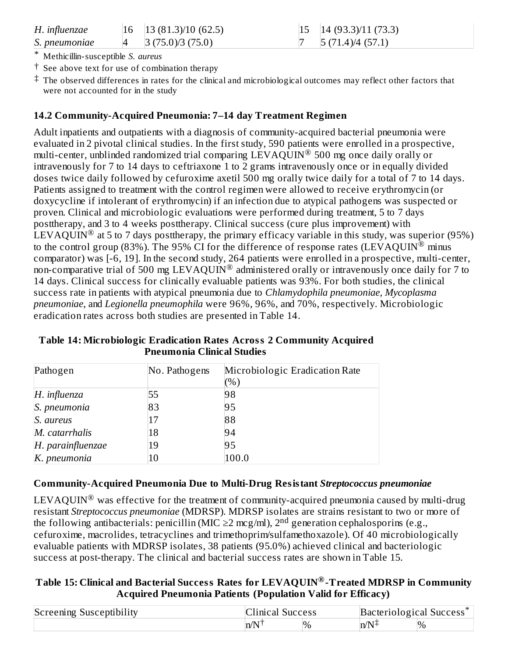| $H.$ influenzae | $\begin{array}{ c c c c } \hline 16 & \hline 13 & \hline 8 & 1.3 \hline \end{array}$ (62.5) | $\begin{array}{ l} 15 \end{array}$ $\begin{array}{ l} 14 \end{array}$ (93.3)/11 (73.3) |
|-----------------|---------------------------------------------------------------------------------------------|----------------------------------------------------------------------------------------|
| S. pneumoniae   | (75.0)/3(75.0)                                                                              | 5(71.4)/4(57.1)                                                                        |
|                 |                                                                                             |                                                                                        |

\* Methicillin-susceptible *S. aureus*

- † See above text for use of combination therapy
- $^\ddag$  The observed differences in rates for the clinical and microbiological outcomes may reflect other factors that were not accounted for in the study

#### **14.2 Community-Acquired Pneumonia: 7–14 day Treatment Regimen**

Adult inpatients and outpatients with a diagnosis of community-acquired bacterial pneumonia were evaluated in 2 pivotal clinical studies. In the first study, 590 patients were enrolled in a prospective, multi-center, unblinded randomized trial comparing  $\text{LEVAQUIN}^{\circledR}$  500 mg once daily orally or intravenously for 7 to 14 days to ceftriaxone 1 to 2 grams intravenously once or in equally divided doses twice daily followed by cefuroxime axetil 500 mg orally twice daily for a total of 7 to 14 days. Patients assigned to treatment with the control regimen were allowed to receive erythromycin (or doxycycline if intolerant of erythromycin) if an infection due to atypical pathogens was suspected or proven. Clinical and microbiologic evaluations were performed during treatment, 5 to 7 days posttherapy, and 3 to 4 weeks posttherapy. Clinical success (cure plus improvement) with LEVAQUIN<sup>®</sup> at 5 to 7 days posttherapy, the primary efficacy variable in this study, was superior (95%) to the control group (83%). The 95% CI for the difference of response rates (LEVAQUIN<sup>®</sup> minus comparator) was [-6, 19]. In the second study, 264 patients were enrolled in a prospective, multi-center, non-comparative trial of 500 mg LEVAQUIN® administered orally or intravenously once daily for 7 to 14 days. Clinical success for clinically evaluable patients was 93%. For both studies, the clinical success rate in patients with atypical pneumonia due to *Chlamydophila pneumoniae, Mycoplasma pneumoniae*, and *Legionella pneumophila* were 96%, 96%, and 70%, respectively. Microbiologic eradication rates across both studies are presented in Table 14.

| Pathogen          | No. Pathogens | Microbiologic Eradication Rate |
|-------------------|---------------|--------------------------------|
|                   |               | (%)                            |
| H. influenza      | 55            | 98                             |
| S. pneumonia      | 83            | 95                             |
| S. aureus         | 17            | 88                             |
| M. catarrhalis    | 18            | 94                             |
| H. parainfluenzae | 19            | 95                             |
| K. pneumonia      | 10            | 100.0                          |

#### **Table 14: Microbiologic Eradication Rates Across 2 Community Acquired Pneumonia Clinical Studies**

#### **Community-Acquired Pneumonia Due to Multi-Drug Resistant** *Streptococcus pneumoniae*

LEVAQUIN $^\circledR$  was effective for the treatment of community-acquired pneumonia caused by multi-drug resistant *Streptococcus pneumoniae* (MDRSP). MDRSP isolates are strains resistant to two or more of the following antibacterials: penicillin (MIC ≥2 mcg/ml), 2<sup>nd</sup> generation cephalosporins (e.g., cefuroxime, macrolides, tetracyclines and trimethoprim/sulfamethoxazole). Of 40 microbiologically evaluable patients with MDRSP isolates, 38 patients (95.0%) achieved clinical and bacteriologic success at post-therapy. The clinical and bacterial success rates are shown in Table 15.

#### **Table 15: Clinical and Bacterial Success Rates for LEVAQUIN -Treated MDRSP in Community ® Acquired Pneumonia Patients (Population Valid for Efficacy)**

| Screening      | success |                | Success         |                |  |
|----------------|---------|----------------|-----------------|----------------|--|
| Susceptibility | umca'   |                | Bacteriological |                |  |
|                | n/l\    | $\frac{10}{6}$ | /NT<br>N        | $\frac{10}{6}$ |  |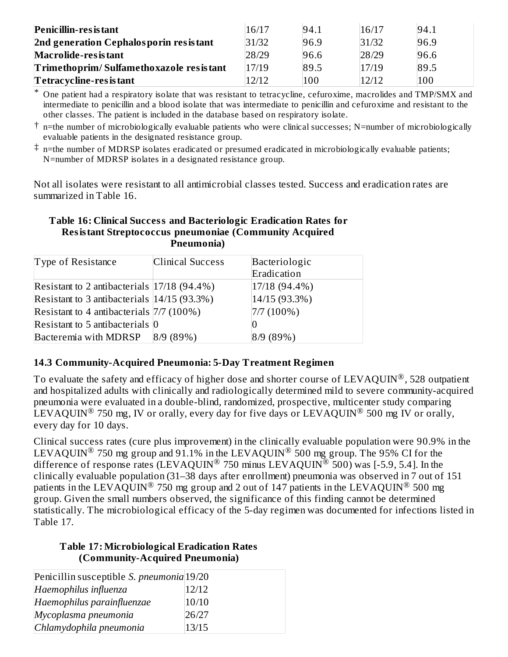| Penicillin-res is tant                  | 16/17 | 94.1 | 16/17 | 94.1 |  |
|-----------------------------------------|-------|------|-------|------|--|
| 2nd generation Cephalosporin resistant  | 31/32 | 96.9 | 31/32 | 96.9 |  |
| Macrolide-res is tant                   | 28/29 | 96.6 | 28/29 | 96.6 |  |
| Trimethoprim/Sulfamethoxazole resistant | 17/19 | 89.5 | 17/19 | 89.5 |  |
| Tetracycline-res is tant                | 12/12 | 100  | 12/12 | 100  |  |

\* One patient had a respiratory isolate that was resistant to tetracycline, cefuroxime, macrolides and TMP/SMX and intermediate to penicillin and a blood isolate that was intermediate to penicillin and cefuroxime and resistant to the other classes. The patient is included in the database based on respiratory isolate.

† n=the number of microbiologically evaluable patients who were clinical successes; N=number of microbiologically evaluable patients in the designated resistance group.

 $\ddagger$  n=the number of MDRSP isolates eradicated or presumed eradicated in microbiologically evaluable patients; N=number of MDRSP isolates in a designated resistance group.

Not all isolates were resistant to all antimicrobial classes tested. Success and eradication rates are summarized in Table 16.

#### **Table 16: Clinical Success and Bacteriologic Eradication Rates for Resistant Streptococcus pneumoniae (Community Acquired Pneumonia)**

| Type of Resistance                           | <b>Clinical Success</b> | Bacteriologic    |
|----------------------------------------------|-------------------------|------------------|
|                                              |                         | Eradication      |
| Resistant to 2 antibacterials 17/18 (94.4%)  |                         | $ 17/18(94.4\%)$ |
| Resistant to 3 antibacterials  14/15 (93.3%) |                         | 14/15(93.3%)     |
| Resistant to 4 antibacterials 7/7 (100%)     |                         | $7/7(100\%)$     |
| Resistant to 5 antibacterials 0              |                         |                  |
| Bacteremia with MDRSP                        | 8/9 (89%)               | 8/9(89%)         |

#### **14.3 Community-Acquired Pneumonia: 5-Day Treatment Regimen**

To evaluate the safety and efficacy of higher dose and shorter course of LEVAQUIN®, 528 outpatient and hospitalized adults with clinically and radiologically determined mild to severe community-acquired pneumonia were evaluated in a double-blind, randomized, prospective, multicenter study comparing LEVAQUIN® 750 mg, IV or orally, every day for five days or LEVAQUIN® 500 mg IV or orally, every day for 10 days.

Clinical success rates (cure plus improvement) in the clinically evaluable population were 90.9% in the LEVAQUIN<sup>®</sup> 750 mg group and 91.1% in the LEVAQUIN<sup>®</sup> 500 mg group. The 95% CI for the difference of response rates (LEVAQUIN<sup>®</sup> 750 minus LEVAQUIN<sup>®</sup> 500) was [-5.9, 5.4]. In the clinically evaluable population (31–38 days after enrollment) pneumonia was observed in 7 out of 151 patients in the LEVAQUIN® 750 mg group and 2 out of 147 patients in the LEVAQUIN® 500 mg group. Given the small numbers observed, the significance of this finding cannot be determined statistically. The microbiological efficacy of the 5-day regimen was documented for infections listed in Table 17.

#### **Table 17: Microbiological Eradication Rates (Community-Acquired Pneumonia)**

| Penicillin susceptible S. pneumonia 19/20 |       |
|-------------------------------------------|-------|
| Haemophilus influenza                     | 12/12 |
| Haemophilus parainfluenzae                | 10/10 |
| Mycoplasma pneumonia                      | 26/27 |
| Chlamydophila pneumonia                   | 13/15 |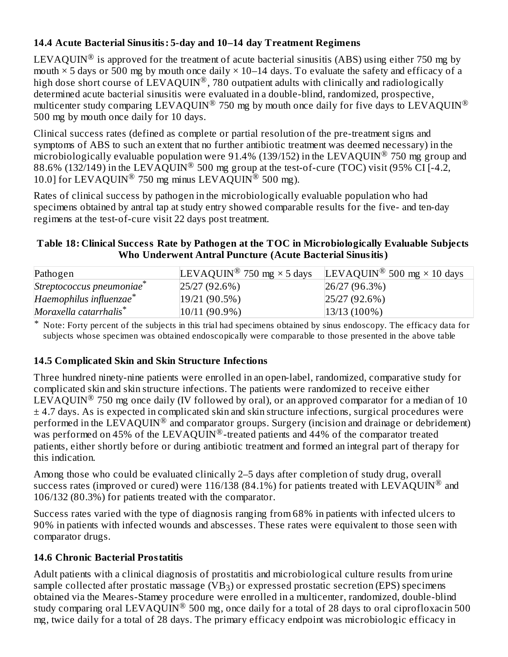# **14.4 Acute Bacterial Sinusitis: 5-day and 10–14 day Treatment Regimens**

LEVAQUIN $^{\circledR}$  is approved for the treatment of acute bacterial sinusitis (ABS) using either 750 mg by mouth  $\times$  5 days or 500 mg by mouth once daily  $\times$  10–14 days. To evaluate the safety and efficacy of a high dose short course of  $\text{LEVAQUN}^\circledast$  , 780 outpatient adults with clinically and radiologically determined acute bacterial sinusitis were evaluated in a double-blind, randomized, prospective, multicenter study comparing LEVAQUIN® 750 mg by mouth once daily for five days to LEVAQUIN® 500 mg by mouth once daily for 10 days.

Clinical success rates (defined as complete or partial resolution of the pre-treatment signs and symptoms of ABS to such an extent that no further antibiotic treatment was deemed necessary) in the microbiologically evaluable population were 91.4% (139/152) in the LEVAQUIN® 750 mg group and 88.6% (132/149) in the LEVAQUIN<sup>®</sup> 500 mg group at the test-of-cure (TOC) visit (95% CI [-4.2, 10.0] for LEVAQUIN<sup>®</sup> 750 mg minus LEVAQUIN<sup>®</sup> 500 mg).

Rates of clinical success by pathogen in the microbiologically evaluable population who had specimens obtained by antral tap at study entry showed comparable results for the five- and ten-day regimens at the test-of-cure visit 22 days post treatment.

#### **Table 18: Clinical Success Rate by Pathogen at the TOC in Microbiologically Evaluable Subjects Who Underwent Antral Puncture (Acute Bacterial Sinusitis)**

| Pathogen                              | LEVAQUIN <sup>®</sup> 750 mg $\times$ 5 days | LEVAQUIN <sup>®</sup> 500 mg × 10 days |
|---------------------------------------|----------------------------------------------|----------------------------------------|
| Streptococcus pneumoniae <sup>®</sup> | 25/27(92.6%)                                 | 26/27(96.3%)                           |
| Haemophilus influenzae <sup>*</sup>   | 19/21(90.5%)                                 | 25/27(92.6%)                           |
| Moraxella catarrhalis <sup>*</sup>    | $10/11(90.9\%)$                              | $13/13(100\%)$                         |

\* Note: Forty percent of the subjects in this trial had specimens obtained by sinus endoscopy. The efficacy data for subjects whose specimen was obtained endoscopically were comparable to those presented in the above table

# **14.5 Complicated Skin and Skin Structure Infections**

Three hundred ninety-nine patients were enrolled in an open-label, randomized, comparative study for complicated skin and skin structure infections. The patients were randomized to receive either LEVAQUIN® 750 mg once daily (IV followed by oral), or an approved comparator for a median of 10 ± 4.7 days. As is expected in complicated skin and skin structure infections, surgical procedures were performed in the LEVAQUIN<sup>®</sup> and comparator groups. Surgery (incision and drainage or debridement) was performed on 45% of the LEVAQUIN<sup>®</sup>-treated patients and 44% of the comparator treated patients, either shortly before or during antibiotic treatment and formed an integral part of therapy for this indication.

Among those who could be evaluated clinically 2–5 days after completion of study drug, overall success rates (improved or cured) were 116/138 (84.1%) for patients treated with  $\text{LEVAQUIN}^\circledast$  and 106/132 (80.3%) for patients treated with the comparator.

Success rates varied with the type of diagnosis ranging from 68% in patients with infected ulcers to 90% in patients with infected wounds and abscesses. These rates were equivalent to those seen with comparator drugs.

# **14.6 Chronic Bacterial Prostatitis**

Adult patients with a clinical diagnosis of prostatitis and microbiological culture results from urine sample collected after prostatic massage (VB $_3$ ) or expressed prostatic secretion (EPS) specimens obtained via the Meares-Stamey procedure were enrolled in a multicenter, randomized, double-blind study comparing oral LEVAQUIN® 500 mg, once daily for a total of 28 days to oral ciprofloxacin 500 mg, twice daily for a total of 28 days. The primary efficacy endpoint was microbiologic efficacy in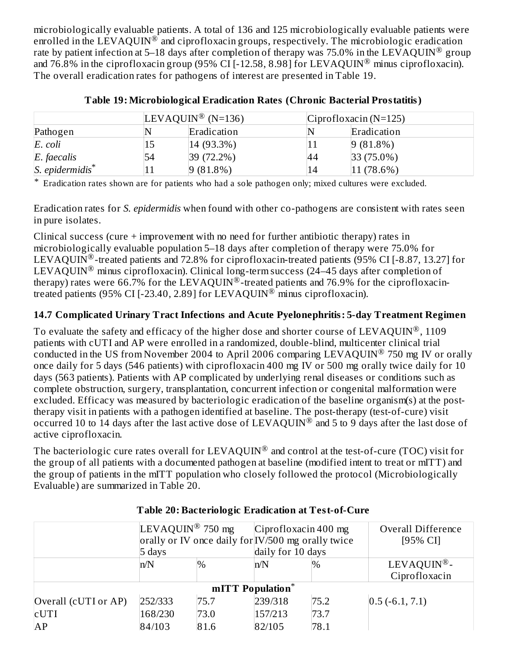microbiologically evaluable patients. A total of 136 and 125 microbiologically evaluable patients were enrolled in the LEVAQUIN $^{\circledR}$  and ciprofloxacin groups, respectively. The microbiologic eradication rate by patient infection at 5–18 days after completion of therapy was 75.0% in the LEVAQUIN® group and 76.8% in the ciprofloxacin group (95% CI<sup>[</sup>-12.58, 8.98] for LEVAQUIN<sup>®</sup> minus ciprofloxacin). The overall eradication rates for pathogens of interest are presented in Table 19.

|                      |    | LEVAQUIN <sup>®</sup> (N=136) |    | $Ciproflox (N=125)$ |  |  |
|----------------------|----|-------------------------------|----|---------------------|--|--|
| Pathogen             |    | Eradication                   |    | Eradication         |  |  |
| E. coli              | 15 | $ 14 (93.3\%)$                |    | $9(81.8\%)$         |  |  |
| E. faecalis          | 54 | $39(72.2\%)$                  | 44 | $ 33(75.0\%)$       |  |  |
| $S.$ epidermidis $*$ |    | $9(81.8\%)$                   | 14 | $ 11 (78.6\%)$      |  |  |

**Table 19: Microbiological Eradication Rates (Chronic Bacterial Prostatitis)**

\* Eradication rates shown are for patients who had a sole pathogen only; mixed cultures were excluded.

Eradication rates for *S. epidermidis* when found with other co-pathogens are consistent with rates seen in pure isolates.

Clinical success (cure + improvement with no need for further antibiotic therapy) rates in microbiologically evaluable population 5–18 days after completion of therapy were 75.0% for  $LEVAQUIN^@$ -treated patients and 72.8% for ciprofloxacin-treated patients (95% CI [-8.87, 13.27] for LEVAQUIN® minus ciprofloxacin). Clinical long-term success (24–45 days after completion of therapy) rates were 66.7% for the LEVAQUIN®-treated patients and 76.9% for the ciprofloxacintreated patients (95% CI [-23.40, 2.89] for LEVAQUIN<sup>®</sup> minus ciprofloxacin).

# **14.7 Complicated Urinary Tract Infections and Acute Pyelonephritis: 5-day Treatment Regimen**

To evaluate the safety and efficacy of the higher dose and shorter course of  $\text{LEVAQUN}^\circledast$ , 1109 patients with cUTI and AP were enrolled in a randomized, double-blind, multicenter clinical trial conducted in the US from November 2004 to April 2006 comparing  $\text{LEVAQUN}^{\circledR}$  750 mg IV or orally once daily for 5 days (546 patients) with ciprofloxacin 400 mg IV or 500 mg orally twice daily for 10 days (563 patients). Patients with AP complicated by underlying renal diseases or conditions such as complete obstruction, surgery, transplantation, concurrent infection or congenital malformation were excluded. Efficacy was measured by bacteriologic eradication of the baseline organism(s) at the posttherapy visit in patients with a pathogen identified at baseline. The post-therapy (test-of-cure) visit occurred 10 to 14 days after the last active dose of  $LEVAQUIN^@$  and 5 to 9 days after the last dose of active ciprofloxacin.

The bacteriologic cure rates overall for LEVAQUIN® and control at the test-of-cure (TOC) visit for the group of all patients with a documented pathogen at baseline (modified intent to treat or mITT) and the group of patients in the mITT population who closely followed the protocol (Microbiologically Evaluable) are summarized in Table 20.

|                      | $LEVAQUIN^{\circledR}$ 750 mg                      |                              | Ciprofloxacin 400 $mg$ |      | Overall Difference      |
|----------------------|----------------------------------------------------|------------------------------|------------------------|------|-------------------------|
|                      | orally or IV once daily for IV/500 mg orally twice |                              |                        |      | [95% CI]                |
|                      | 5 days                                             |                              | daily for 10 days      |      |                         |
|                      | n/N                                                | $\%$                         | n/N                    | $\%$ | LEVAQUIN <sup>®</sup> - |
|                      |                                                    |                              |                        |      | Ciprofloxacin           |
|                      |                                                    | mITT Population <sup>*</sup> |                        |      |                         |
| Overall (cUTI or AP) | 252/333                                            | 75.7                         | 239/318                | 75.2 | $[0.5(-6.1, 7.1)]$      |
| cUTI                 | 168/230                                            | 73.0                         | 157/213                | 73.7 |                         |
| AP                   | 84/103                                             | 81.6                         | 82/105                 | 78.1 |                         |

# **Table 20: Bacteriologic Eradication at Test-of-Cure**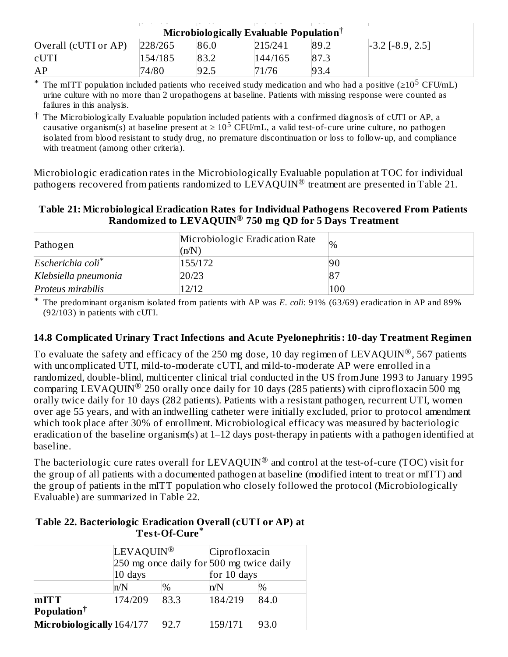|                      |         | Microbiologically Evaluable Population <sup>†</sup> |         |      |                      |
|----------------------|---------|-----------------------------------------------------|---------|------|----------------------|
| Overall (cUTI or AP) | 228/265 | 86.0                                                | 215/241 | 89.2 | $-3.2$ $[-8.9, 2.5]$ |
| CUTI                 | 154/185 | 83.2                                                | 144/165 | 87.3 |                      |
| AP                   | 74/80   | 92.5                                                | 71/76   | 93.4 |                      |

\* The mITT population included patients who received study medication and who had a positive ( $\geq$ 10<sup>5</sup> CFU/mL) urine culture with no more than 2 uropathogens at baseline. Patients with missing response were counted as failures in this analysis.

 $^\dagger$  The Microbiologically Evaluable population included patients with a confirmed diagnosis of cUTI or AP, a causative organism(s) at baseline present at  $\geq 10^5$  CFU/mL, a valid test-of-cure urine culture, no pathogen isolated from blood resistant to study drug, no premature discontinuation or loss to follow-up, and compliance with treatment (among other criteria).

Microbiologic eradication rates in the Microbiologically Evaluable population at TOC for individual pathogens recovered from patients randomized to  $LEVAQUIN^{\circledR}$  treatment are presented in Table 21.

#### **Table 21: Microbiological Eradication Rates for Individual Pathogens Recovered From Patients Randomized to LEVAQUIN 750 mg QD for 5 Days Treatment ®**

| Pathogen                      | Microbiologic Eradication Rate<br>(n/N) | $\frac{0}{6}$ |
|-------------------------------|-----------------------------------------|---------------|
| Escherichia coli <sup>*</sup> | 155/172                                 | 90            |
| Klebsiella pneumonia          | 20/23                                   | 87            |
| Proteus mirabilis             | 12/12                                   | 100           |

\* The predominant organism isolated from patients with AP was *E. coli*: 91% (63/69) eradication in AP and 89% (92/103) in patients with cUTI.

#### **14.8 Complicated Urinary Tract Infections and Acute Pyelonephritis: 10-day Treatment Regimen**

To evaluate the safety and efficacy of the 250 mg dose, 10 day regimen of LEVAQUIN®, 567 patients with uncomplicated UTI, mild-to-moderate cUTI, and mild-to-moderate AP were enrolled in a randomized, double-blind, multicenter clinical trial conducted in the US from June 1993 to January 1995 comparing LEVAQUIN $^{\circledR}$  250 orally once daily for 10 days (285 patients) with ciprofloxacin 500 mg orally twice daily for 10 days (282 patients). Patients with a resistant pathogen, recurrent UTI, women over age 55 years, and with an indwelling catheter were initially excluded, prior to protocol amendment which took place after 30% of enrollment. Microbiological efficacy was measured by bacteriologic eradication of the baseline organism(s) at 1–12 days post-therapy in patients with a pathogen identified at baseline.

The bacteriologic cure rates overall for LEVAQUIN® and control at the test-of-cure (TOC) visit for the group of all patients with a documented pathogen at baseline (modified intent to treat or mITT) and the group of patients in the mITT population who closely followed the protocol (Microbiologically Evaluable) are summarized in Table 22.

**Table 22. Bacteriologic Eradication Overall (cUTI or AP) at Test-Of-Cure \***

|                           | LEVAQUIN <sup>®</sup> |               |             | Ciprofloxacin<br>250 mg once daily for 500 mg twice daily |  |  |
|---------------------------|-----------------------|---------------|-------------|-----------------------------------------------------------|--|--|
|                           |                       |               |             |                                                           |  |  |
|                           | 10 days               |               | for 10 days |                                                           |  |  |
|                           | n/N                   | $\frac{0}{0}$ | n/N         | $\%$                                                      |  |  |
| mITT                      | 174/209               | 83.3          | 184/219     | 84.0                                                      |  |  |
| Population <sup>†</sup>   |                       |               |             |                                                           |  |  |
| Microbiologically 164/177 |                       | 92.7          | 159/171     | 93.0                                                      |  |  |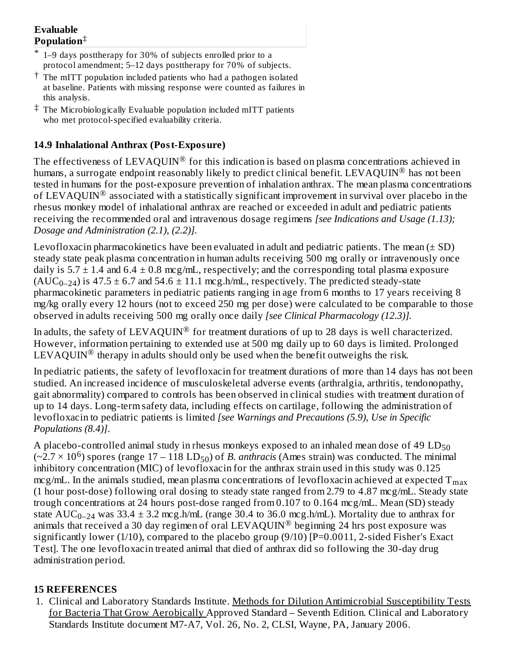#### **Evaluable Population** ‡

- \* 1–9 days posttherapy for 30% of subjects enrolled prior to a protocol amendment; 5–12 days posttherapy for 70% of subjects.
- † The mITT population included patients who had a pathogen isolated at baseline. Patients with missing response were counted as failures in this analysis.
- ‡ The Microbiologically Evaluable population included mITT patients who met protocol-specified evaluability criteria.

## **14.9 Inhalational Anthrax (Post-Exposure)**

The effectiveness of LEVAQUIN $^\circledR$  for this indication is based on plasma concentrations achieved in humans, a surrogate endpoint reasonably likely to predict clinical benefit. LEVAQUIN $^\circledR$  has not been tested in humans for the post-exposure prevention of inhalation anthrax. The mean plasma concentrations of LEVAQUIN® associated with a statistically significant improvement in survival over placebo in the rhesus monkey model of inhalational anthrax are reached or exceeded in adult and pediatric patients receiving the recommended oral and intravenous dosage regimens *[see Indications and Usage (1.13); Dosage and Administration (2.1), (2.2)].*

Levofloxacin pharmacokinetics have been evaluated in adult and pediatric patients. The mean  $(\pm SD)$ steady state peak plasma concentration in human adults receiving 500 mg orally or intravenously once daily is  $5.7 \pm 1.4$  and  $6.4 \pm 0.8$  mcg/mL, respectively; and the corresponding total plasma exposure  $(AUC_{0-24})$  is 47.5  $\pm$  6.7 and 54.6  $\pm$  11.1 mcg.h/mL, respectively. The predicted steady-state pharmacokinetic parameters in pediatric patients ranging in age from 6 months to 17 years receiving 8 mg/kg orally every 12 hours (not to exceed 250 mg per dose) were calculated to be comparable to those observed in adults receiving 500 mg orally once daily *[see Clinical Pharmacology (12.3)].*

In adults, the safety of  $\text{LEVAQUN}^\circledast$  for treatment durations of up to 28 days is well characterized. However, information pertaining to extended use at 500 mg daily up to 60 days is limited. Prolonged  $LEVAQUIN^@$  therapy in adults should only be used when the benefit outweighs the risk.

In pediatric patients, the safety of levofloxacin for treatment durations of more than 14 days has not been studied. An increased incidence of musculoskeletal adverse events (arthralgia, arthritis, tendonopathy, gait abnormality) compared to controls has been observed in clinical studies with treatment duration of up to 14 days. Long-term safety data, including effects on cartilage, following the administration of levofloxacin to pediatric patients is limited *[see Warnings and Precautions (5.9), Use in Specific Populations (8.4)]*.

A placebo-controlled animal study in rhesus monkeys exposed to an inhaled mean dose of 49  $\mathrm{LD}_{50}$  $(\sim]2.7 \times 10^6)$  spores (range 17 – 118 LD<sub>50</sub>) of *B. anthracis* (Ames strain) was conducted. The minimal inhibitory concentration (MIC) of levofloxacin for the anthrax strain used in this study was 0.125 mcg/mL. In the animals studied, mean plasma concentrations of levofloxacin achieved at expected  $\rm{T_{max}}$ (1 hour post-dose) following oral dosing to steady state ranged from 2.79 to 4.87 mcg/mL. Steady state trough concentrations at 24 hours post-dose ranged from 0.107 to 0.164 mcg/mL. Mean (SD) steady state  $AUC_{0-24}$  was 33.4  $\pm$  3.2 mcg.h/mL (range 30.4 to 36.0 mcg.h/mL). Mortality due to anthrax for animals that received a 30 day regimen of oral LEVAQUIN<sup>®</sup> beginning 24 hrs post exposure was significantly lower (1/10), compared to the placebo group (9/10) [P=0.0011, 2-sided Fisher's Exact Test]. The one levofloxacin treated animal that died of anthrax did so following the 30-day drug administration period.

## **15 REFERENCES**

1. Clinical and Laboratory Standards Institute. Methods for Dilution Antimicrobial Susceptibility Tests for Bacteria That Grow Aerobically Approved Standard – Seventh Edition. Clinical and Laboratory Standards Institute document M7-A7, Vol. 26, No. 2, CLSI, Wayne, PA, January 2006.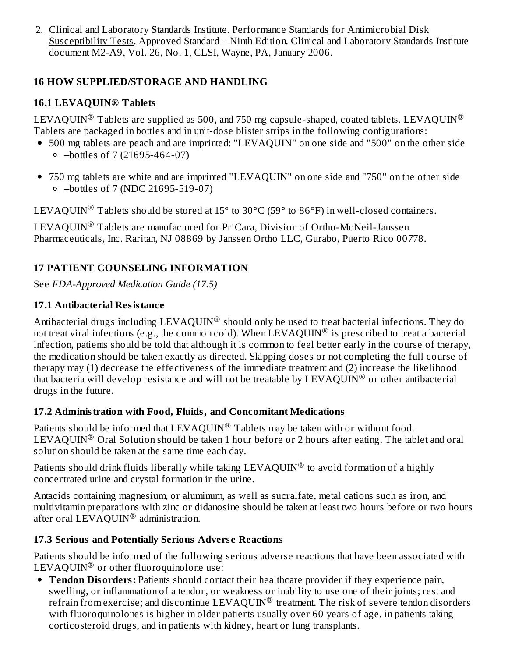2. Clinical and Laboratory Standards Institute. Performance Standards for Antimicrobial Disk Susceptibility Tests. Approved Standard – Ninth Edition. Clinical and Laboratory Standards Institute document M2-A9, Vol. 26, No. 1, CLSI, Wayne, PA, January 2006.

# **16 HOW SUPPLIED/STORAGE AND HANDLING**

# **16.1 LEVAQUIN® Tablets**

LEVAQUIN $^{\circledR}$  Tablets are supplied as 500, and 750 mg capsule-shaped, coated tablets. LEVAQUIN $^{\circledR}$ Tablets are packaged in bottles and in unit-dose blister strips in the following configurations:

- 500 mg tablets are peach and are imprinted: "LEVAQUIN" on one side and "500" on the other side –bottles of 7 (21695-464-07)
- 750 mg tablets are white and are imprinted "LEVAQUIN" on one side and "750" on the other side –bottles of 7 (NDC 21695-519-07)

LEVAQUIN® Tablets should be stored at 15° to 30°C (59° to 86°F) in well-closed containers.

 $\mathop{\rm LEV}\nolimits$ AQUIN $^\circledR$  Tablets are manufactured for PriCara, Division of Ortho-McNeil-Janssen Pharmaceuticals, Inc. Raritan, NJ 08869 by Janssen Ortho LLC, Gurabo, Puerto Rico 00778.

# **17 PATIENT COUNSELING INFORMATION**

See *FDA-Approved Medication Guide (17.5)*

# **17.1 Antibacterial Resistance**

Antibacterial drugs including LEVAQUIN $^\circledR$  should only be used to treat bacterial infections. They do not treat viral infections (e.g., the common cold). When LEVAQUIN® is prescribed to treat a bacterial infection, patients should be told that although it is common to feel better early in the course of therapy, the medication should be taken exactly as directed. Skipping doses or not completing the full course of therapy may (1) decrease the effectiveness of the immediate treatment and (2) increase the likelihood that bacteria will develop resistance and will not be treatable by  $\text{LEVAQUIN}^{\circledR}$  or other antibacterial drugs in the future.

# **17.2 Administration with Food, Fluids, and Concomitant Medications**

Patients should be informed that  $LEVAQUIN^{\circledR}$  Tablets may be taken with or without food.  $\mathrm{LEVAQUIN}^{\circledR}$  Oral Solution should be taken 1 hour before or 2 hours after eating. The tablet and oral solution should be taken at the same time each day.

Patients should drink fluids liberally while taking LEVAQUIN $^\circledR$  to avoid formation of a highly concentrated urine and crystal formation in the urine.

Antacids containing magnesium, or aluminum, as well as sucralfate, metal cations such as iron, and multivitamin preparations with zinc or didanosine should be taken at least two hours before or two hours after oral  $\widetilde{\operatorname{LFVAQUIN}^{\circledR}}$  administration.

# **17.3 Serious and Potentially Serious Advers e Reactions**

Patients should be informed of the following serious adverse reactions that have been associated with LEVAQUIN<sup>®</sup> or other fluoroquinolone use:

**Tendon Disorders:** Patients should contact their healthcare provider if they experience pain, swelling, or inflammation of a tendon, or weakness or inability to use one of their joints; rest and refrain from exercise; and discontinue  $\text{LEVAQUIN}^\circledR$  treatment. The risk of severe tendon disorders with fluoroquinolones is higher in older patients usually over 60 years of age, in patients taking corticosteroid drugs, and in patients with kidney, heart or lung transplants.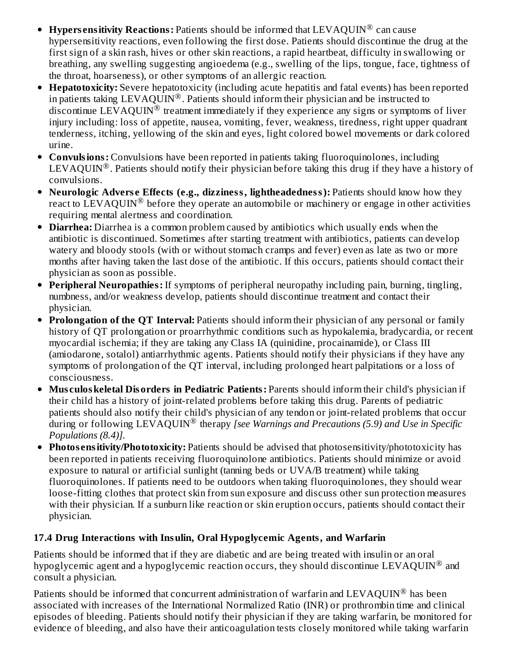- **Hypersensitivity Reactions:** Patients should be informed that LEVAQUIN® can cause hypersensitivity reactions, even following the first dose. Patients should discontinue the drug at the first sign of a skin rash, hives or other skin reactions, a rapid heartbeat, difficulty in swallowing or breathing, any swelling suggesting angioedema (e.g., swelling of the lips, tongue, face, tightness of the throat, hoarseness), or other symptoms of an allergic reaction.
- **Hepatotoxicity:** Severe hepatotoxicity (including acute hepatitis and fatal events) has been reported in patients taking  $LEVAQUIN^@$ . Patients should inform their physician and be instructed to discontinue LEVAQUIN<sup>®</sup> treatment immediately if they experience any signs or symptoms of liver injury including: loss of appetite, nausea, vomiting, fever, weakness, tiredness, right upper quadrant tenderness, itching, yellowing of the skin and eyes, light colored bowel movements or dark colored urine.
- **Convulsions:** Convulsions have been reported in patients taking fluoroquinolones, including LEVAQUIN<sup>®</sup>. Patients should notify their physician before taking this drug if they have a history of convulsions.
- **Neurologic Adverse Effects (e.g., dizziness, lightheadedness): Patients should know how they** react to LEVAQUIN<sup>®</sup> before they operate an automobile or machinery or engage in other activities requiring mental alertness and coordination.
- **Diarrhea:** Diarrhea is a common problem caused by antibiotics which usually ends when the antibiotic is discontinued. Sometimes after starting treatment with antibiotics, patients can develop watery and bloody stools (with or without stomach cramps and fever) even as late as two or more months after having taken the last dose of the antibiotic. If this occurs, patients should contact their physician as soon as possible.
- **Peripheral Neuropathies:** If symptoms of peripheral neuropathy including pain, burning, tingling, numbness, and/or weakness develop, patients should discontinue treatment and contact their physician.
- **Prolongation of the QT Interval:** Patients should inform their physician of any personal or family history of QT prolongation or proarrhythmic conditions such as hypokalemia, bradycardia, or recent myocardial ischemia; if they are taking any Class IA (quinidine, procainamide), or Class III (amiodarone, sotalol) antiarrhythmic agents. Patients should notify their physicians if they have any symptoms of prolongation of the QT interval, including prolonged heart palpitations or a loss of consciousness.
- **Mus culoskeletal Disorders in Pediatric Patients:** Parents should inform their child's physician if their child has a history of joint-related problems before taking this drug. Parents of pediatric patients should also notify their child's physician of any tendon or joint-related problems that occur during or following LEVAQUIN therapy *[see Warnings and Precautions (5.9) and Use in Specific* ® *Populations (8.4)].*
- **Photos ensitivity/Phototoxicity:** Patients should be advised that photosensitivity/phototoxicity has been reported in patients receiving fluoroquinolone antibiotics. Patients should minimize or avoid exposure to natural or artificial sunlight (tanning beds or UVA/B treatment) while taking fluoroquinolones. If patients need to be outdoors when taking fluoroquinolones, they should wear loose-fitting clothes that protect skin from sun exposure and discuss other sun protection measures with their physician. If a sunburn like reaction or skin eruption occurs, patients should contact their physician.

# **17.4 Drug Interactions with Insulin, Oral Hypoglycemic Agents, and Warfarin**

Patients should be informed that if they are diabetic and are being treated with insulin or an oral hypoglycemic agent and a hypoglycemic reaction occurs, they should discontinue  $\text{LEVAQUN}^\circledR$  and consult a physician.

Patients should be informed that concurrent administration of warfarin and  $\text{LEVAQUN}^{\circledR}$  has been associated with increases of the International Normalized Ratio (INR) or prothrombin time and clinical episodes of bleeding. Patients should notify their physician if they are taking warfarin, be monitored for evidence of bleeding, and also have their anticoagulation tests closely monitored while taking warfarin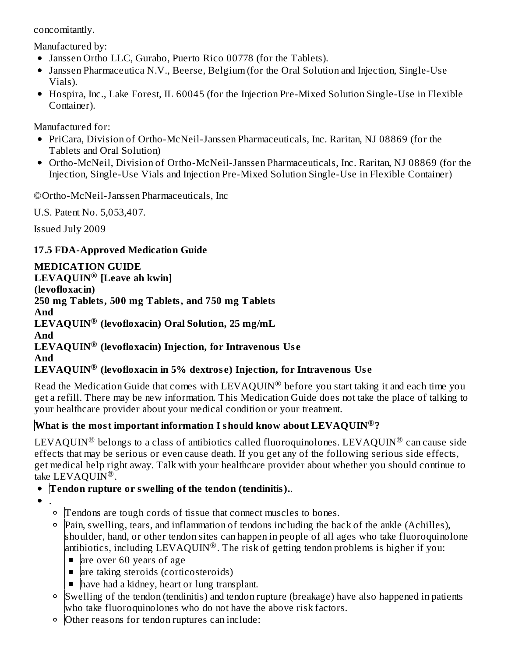concomitantly.

Manufactured by:

- Janssen Ortho LLC, Gurabo, Puerto Rico 00778 (for the Tablets).
- Janssen Pharmaceutica N.V., Beerse, Belgium (for the Oral Solution and Injection, Single-Use Vials).
- Hospira, Inc., Lake Forest, IL 60045 (for the Injection Pre-Mixed Solution Single-Use in Flexible Container).

Manufactured for:

- PriCara, Division of Ortho-McNeil-Janssen Pharmaceuticals, Inc. Raritan, NJ 08869 (for the Tablets and Oral Solution)
- Ortho-McNeil, Division of Ortho-McNeil-Janssen Pharmaceuticals, Inc. Raritan, NJ 08869 (for the Injection, Single-Use Vials and Injection Pre-Mixed Solution Single-Use in Flexible Container)

©Ortho-McNeil-Janssen Pharmaceuticals, Inc

U.S. Patent No. 5,053,407.

Issued July 2009

## **17.5 FDA-Approved Medication Guide**

**MEDICATION GUIDE LEVAQUIN [Leave ah kwin] ® (levofloxacin) 250 mg Tablets, 500 mg Tablets, and 750 mg Tablets And LEVAQUIN (levofloxacin) Oral Solution, 25 mg/mL ® And LEVAQUIN (levofloxacin) Injection, for Intravenous Us e ® And LEVAQUIN (levofloxacin in 5% dextros e) Injection, for Intravenous Us e ®**

Read the Medication Guide that comes with  $\text{LEVAQUIN}^\circledR$  before you start taking it and each time you get a refill. There may be new information. This Medication Guide does not take the place of talking to your healthcare provider about your medical condition or your treatment.

# What is the most important information **I** should know about  $\text{LEVAQUN}^{\circledast}$  ?

 ${\rm LEVAQUIN}^{\circledR}$  belongs to a class of antibiotics called fluoroquinolones.  ${\rm LEVAQUIN}^{\circledR}$  can cause side effects that may be serious or even cause death. If you get any of the following serious side effects, get medical help right away. Talk with your healthcare provider about whether you should continue to take  $LEVAQUIN^{\circledR}$ .

# **Tendon rupture or swelling of the tendon (tendinitis).**.

.

- Tendons are tough cords of tissue that connect muscles to bones.
- Pain, swelling, tears, and inflammation of tendons including the back of the ankle (Achilles), shoulder, hand, or other tendon sites can happen in people of all ages who take fluoroquinolone antibiotics, including LEVAQUIN<sup>®</sup>. The risk of getting tendon problems is higher if you:
	- $\blacksquare$  are over 60 years of age
	- $\blacksquare$  are taking steroids (corticosteroids)
	- have had a kidney, heart or lung transplant.
- Swelling of the tendon (tendinitis) and tendon rupture (breakage) have also happened in patients who take fluoroquinolones who do not have the above risk factors.
- Other reasons for tendon ruptures can include: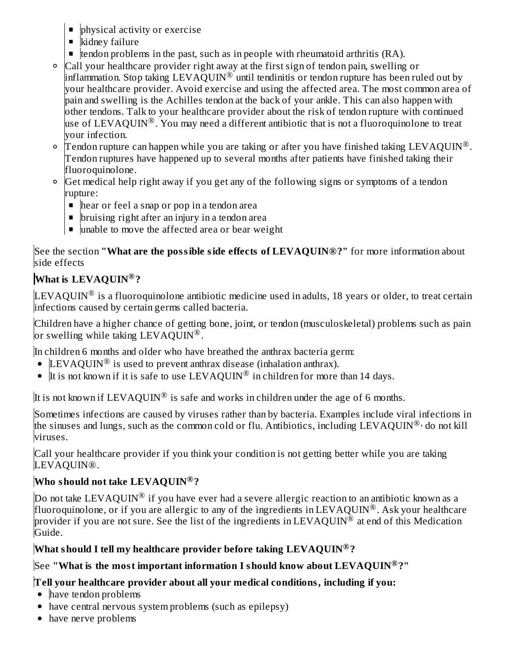- **P** physical activity or exercise
- $\blacksquare$  kidney failure
- $\bullet$  tendon problems in the past, such as in people with rheumatoid arthritis (RA).
- Call your healthcare provider right away at the first sign of tendon pain, swelling or inflammation. Stop taking LEVAQUIN<sup>®</sup> until tendinitis or tendon rupture has been ruled out by your healthcare provider. Avoid exercise and using the affected area. The most common area of pain and swelling is the Achilles tendon at the back of your ankle. This can also happen with other tendons. Talk to your healthcare provider about the risk of tendon rupture with continued use of LEVAQUIN®. You may need a different antibiotic that is not a fluoroquinolone to treat your infection.
- ${\rm T}$ endon rupture can happen while you are taking or after you have finished taking  ${\rm LEVAQUIN^{\circledast}}.$ Tendon ruptures have happened up to several months after patients have finished taking their fluoroquinolone.
- Get medical help right away if you get any of the following signs or symptoms of a tendon rupture:
	- hear or feel a snap or pop in a tendon area
	- bruising right after an injury in a tendon area
	- $\Box$  unable to move the affected area or bear weight

See the section **"What are the possible side effects of LEVAQUIN®?"** for more information about side effects

# **What is LEVAQUIN ? ®**

 ${\rm LEVAQUIN}^{\circledR}$  is a fluoroquinolone antibiotic medicine used in adults, 18 years or older, to treat certain infections caused by certain germs called bacteria.

Children have a higher chance of getting bone, joint, or tendon (musculoskeletal) problems such as pain or swelling while taking LEVAQUIN $^\circ$ .

In children 6 months and older who have breathed the anthrax bacteria germ:

- $\mathbb{LEV}\mathrm{AQUIN}^{\circledR}$  is used to prevent anthrax disease (inhalation anthrax).
- It is not known if it is safe to use  $\text{LEVAQUIN}^\circledR$  in children for more than 14 days.  $\bullet$

It is not known if  $\text{LEVAQUIN}^\circledR$  is safe and works in children under the age of 6 months.

Sometimes infections are caused by viruses rather than by bacteria. Examples include viral infections in the sinuses and lungs, such as the common cold or flu. Antibiotics, including  $LEVAQUIN^@$ , do not kill viruses.

Call your healthcare provider if you think your condition is not getting better while you are taking LEVAQUIN®.

# **Who should not take LEVAQUIN ? ®**

Do not take LEVAQUIN $^\circledR$  if you have ever had a severe allergic reaction to an antibiotic known as a fluoroquinolone, or if you are allergic to any of the ingredients in LEVAQUIN®. Ask your healthcare provider if you are not sure. See the list of the ingredients in LEVAQUIN $^{\circledR}$  at end of this Medication Guide.

# **What should I tell my healthcare provider before taking LEVAQUIN ? ®**

# See **"What is the most important information I should know about LEVAQUIN ?" ®**

# **Tell your healthcare provider about all your medical conditions, including if you:**

- have tendon problems
- have central nervous system problems (such as epilepsy)
- have nerve problems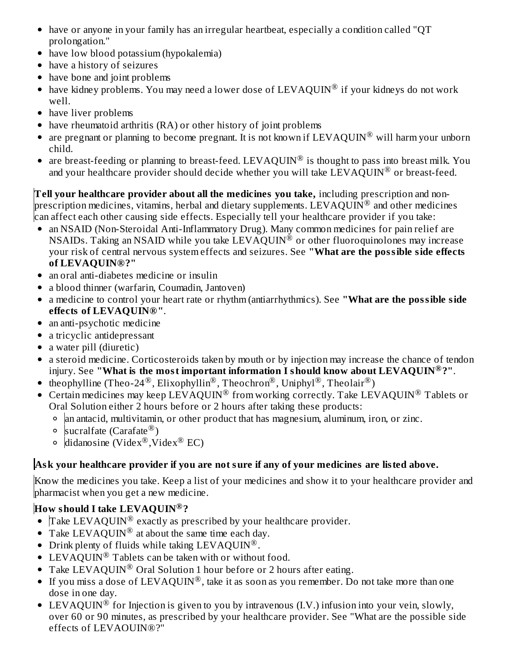- have or anyone in your family has an irregular heartbeat, especially a condition called "QT prolongation."
- have low blood potassium (hypokalemia)
- have a history of seizures
- have bone and joint problems
- have kidney problems. You may need a lower dose of LEVAQUIN $^\circledR$  if your kidneys do not work well.
- have liver problems
- have rheumatoid arthritis (RA) or other history of joint problems
- are pregnant or planning to become pregnant. It is not known if  $\text{LEVAQUIN}^\circledR$  will harm your unborn child.
- are breast-feeding or planning to breast-feed. LEVAQUIN $^{\circledR}$  is thought to pass into breast milk. You and your healthcare provider should decide whether you will take  $LEVAQUIN^{\circledR}$  or breast-feed.

**Tell your healthcare provider about all the medicines you take,** including prescription and nonprescription medicines, vitamins, herbal and dietary supplements. LEVAQUIN<sup>®</sup> and other medicines can affect each other causing side effects. Especially tell your healthcare provider if you take:

- an NSAID (Non-Steroidal Anti-Inflammatory Drug). Many common medicines for pain relief are NSAIDs. Taking an NSAID while you take  $\text{LEVAQUIN}^{\tilde{\textcircled{b}}}$  or other fluoroquinolones may increase your risk of central nervous system effects and seizures. See **"What are the possible side effects of LEVAQUIN®?"**
- an oral anti-diabetes medicine or insulin
- a blood thinner (warfarin, Coumadin, Jantoven)
- a medicine to control your heart rate or rhythm (antiarrhythmics). See **"What are the possible side effects of LEVAQUIN®"**.
- an anti-psychotic medicine
- a tricyclic antidepressant
- a water pill (diuretic)
- a steroid medicine. Corticosteroids taken by mouth or by injection may increase the chance of tendon injury. See **"What is the most important information I should know about LEVAQUIN ?"**. **®**
- theophylline (Theo-24®, Elixophyllin®, Theochron®, Uniphyl®, Theolair®)
- Certain medicines may keep LEVAQUIN $^\circledR$  from working correctly. Take LEVAQUIN $^\circledR$  Tablets or Oral Solution either 2 hours before or 2 hours after taking these products:
	- $\circ$  an antacid, multivitamin, or other product that has magnesium, aluminum, iron, or zinc.
	- sucralfate (Carafate $^\circledR$ )
	- didanosine (Videx $^{\circledR}$ ,Videx $^{\circledR}$  EC)

# **Ask your healthcare provider if you are not sure if any of your medicines are listed above.**

Know the medicines you take. Keep a list of your medicines and show it to your healthcare provider and pharmacist when you get a new medicine.

# **How should I take LEVAQUIN ? ®**

- Take LEVAQUIN $^\circledR$  exactly as prescribed by your healthcare provider.
- Take  $LEVAQUIN^{\circledR}$  at about the same time each day.
- Drink plenty of fluids while taking  $LEVAQUIN^@$ .
- $\text{LEVAQUIN}^{\circledR}$  Tablets can be taken with or without food.
- Take LEVAQUIN $^{\circledR}$  Oral Solution 1 hour before or 2 hours after eating.
- If you miss a dose of LEVAQUIN $^{\circledR}$ , take it as soon as you remember. Do not take more than one dose in one day.
- LEVAQUIN $^{\circledR}$  for Injection is given to you by intravenous (I.V.) infusion into your vein, slowly, over 60 or 90 minutes, as prescribed by your healthcare provider. See "What are the possible side effects of LEVAQUIN®?"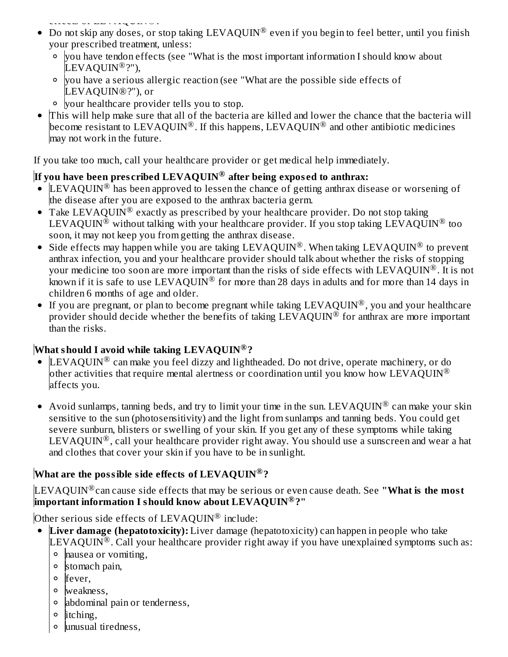effects of LEVAQUIN®?"

- Do not skip any doses, or stop taking  $\operatorname{LEVAQUIN}^{\circledR}$  even if you begin to feel better, until you finish your prescribed treatment, unless:
	- you have tendon effects (see "What is the most important information I should know about  $\text{LEVAQUIN}^{\circledR}$ ?"),
	- you have a serious allergic reaction (see "What are the possible side effects of LEVAQUIN®?"), or
	- your healthcare provider tells you to stop.
- This will help make sure that all of the bacteria are killed and lower the chance that the bacteria will  $\bullet$ become resistant to LEVAQUIN<sup>®</sup>. If this happens, LEVAQUIN<sup>®</sup> and other antibiotic medicines may not work in the future.

If you take too much, call your healthcare provider or get medical help immediately.

# If you have been prescribed LEVAQUIN $^{\circledR}$  after being exposed to anthrax:

- ${\rm LEVAQUIN}^{\circledR}$  has been approved to lessen the chance of getting anthrax disease or worsening of the disease after you are exposed to the anthrax bacteria germ.
- Take LEVAQUIN<sup>®</sup> exactly as prescribed by your healthcare provider. Do not stop taking LEVAQUIN® without talking with your healthcare provider. If you stop taking LEVAQUIN® too soon, it may not keep you from getting the anthrax disease.
- Side effects may happen while you are taking LEVAQUIN®. When taking LEVAQUIN® to prevent anthrax infection, you and your healthcare provider should talk about whether the risks of stopping your medicine too soon are more important than the risks of side effects with  $LEVAQUIN^{\circledR}$ . It is not known if it is safe to use  $\text{LEVAQUN}^{\circledR}$  for more than 28 days in adults and for more than 14 days in children 6 months of age and older.
- If you are pregnant, or plan to become pregnant while taking  $LEVAQUIN^{\circledR}$ , you and your healthcare provider should decide whether the benefits of taking  $LEVAQUIN^@$  for anthrax are more important than the risks.

# **What should I avoid while taking LEVAQUIN ? ®**

- $\tt LEVAQUIN^®$  can make you feel dizzy and lightheaded. Do not drive, operate machinery, or do other activities that require mental alertness or coordination until you know how LEVAQUIN<sup>®</sup> affects you.
- Avoid sunlamps, tanning beds, and try to limit your time in the sun. LEVAQUIN® can make your skin sensitive to the sun (photosensitivity) and the light from sunlamps and tanning beds. You could get severe sunburn, blisters or swelling of your skin. If you get any of these symptoms while taking  $LEVAQUIN^@$ , call your healthcare provider right away. You should use a sunscreen and wear a hat and clothes that cover your skin if you have to be in sunlight.

# What are the possible side effects of  $\text{LEVAQUN}^{\circledR}$ ?

#### $\mathsf{LEVAQUIN}^\circledR$  can cause side effects that may be serious or even cause death. See **"What is the most important information I should know about LEVAQUIN ?" ®**

Other serious side effects of  $\operatorname{LEVAQUIN}^{\circledR}$  include:

- **Liver damage (hepatotoxicity):** Liver damage (hepatotoxicity) can happen in people who take LEVAQUIN<sup>®</sup>. Call your healthcare provider right away if you have unexplained symptoms such as:
	- nausea or vomiting,
	- stomach pain,
	- fever,
	- weakness,
	- abdominal pain or tenderness,
	- itching,
	- unusual tiredness,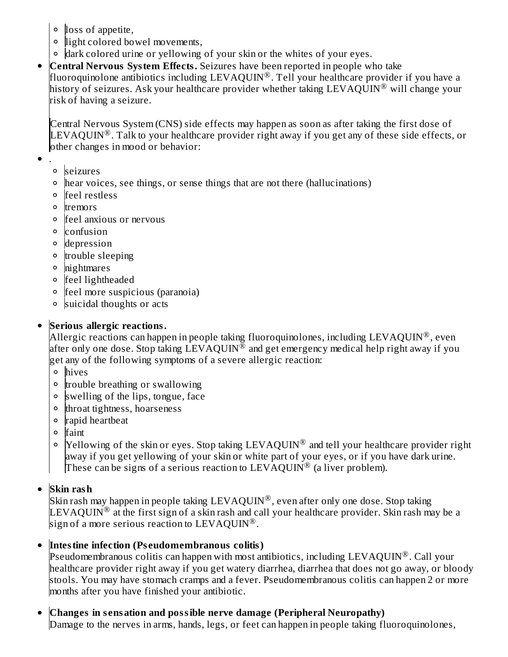- loss of appetite,
- light colored bowel movements,
- dark colored urine or yellowing of your skin or the whites of your eyes.
- **Central Nervous System Effects.** Seizures have been reported in people who take  $\bullet$ fluoroquinolone antibiotics including  $LEVAQUIN^{\circledR}$ . Tell your healthcare provider if you have a history of seizures. Ask your healthcare provider whether taking LEVAQUIN® will change your risk of having a seizure.

Central Nervous System (CNS) side effects may happen as soon as after taking the first dose of LEVAQUIN<sup>®</sup>. Talk to your healthcare provider right away if you get any of these side effects, or other changes in mood or behavior:

- $\bullet$
- . seizures
- hear voices, see things, or sense things that are not there (hallucinations)
- feel restless
- tremors
- feel anxious or nervous
- confusion
- depression
- **o** trouble sleeping
- $\circ$  nightmares
- feel lightheaded
- feel more suspicious (paranoia)
- $\circ$  suicidal thoughts or acts

#### $\bullet$ **Serious allergic reactions.**

Allergic reactions can happen in people taking fluoroquinolones, including  $\text{LEVAQUN}^\circledast$ , even after only one dose. Stop taking  $\text{LEVAQUIN}^{\overline{\otimes}}$  and get emergency medical help right away if you get any of the following symptoms of a severe allergic reaction:

- hives
- trouble breathing or swallowing
- swelling of the lips, tongue, face
- throat tightness, hoarseness
- rapid heartbeat
- faint
- Yellowing of the skin or eyes. Stop taking  $\text{LEVAQUIN}^\circledR$  and tell your healthcare provider right away if you get yellowing of your skin or white part of your eyes, or if you have dark urine. These can be signs of a serious reaction to  $LEVAQUIN^@$  (a liver problem).
- $\bullet$ **Skin rash**

Skin rash may happen in people taking  $\text{LEVAQUIN}^\circledR$ , even after only one dose. Stop taking LEVAQUIN® at the first sign of a skin rash and call your healthcare provider. Skin rash may be a sign of a more serious reaction to  $\text{LEVAQUIN}^\circledR$  .

#### $\bullet$ **Intestine infection (Ps eudomembranous colitis)**

Pseudomembranous colitis can happen with most antibiotics, including  $LEVAQUIN^{\circledR}$ . Call your healthcare provider right away if you get watery diarrhea, diarrhea that does not go away, or bloody stools. You may have stomach cramps and a fever. Pseudomembranous colitis can happen 2 or more months after you have finished your antibiotic.

**Changes in s ensation and possible nerve damage (Peripheral Neuropathy)**  $\bullet$ 

Damage to the nerves in arms, hands, legs, or feet can happen in people taking fluoroquinolones,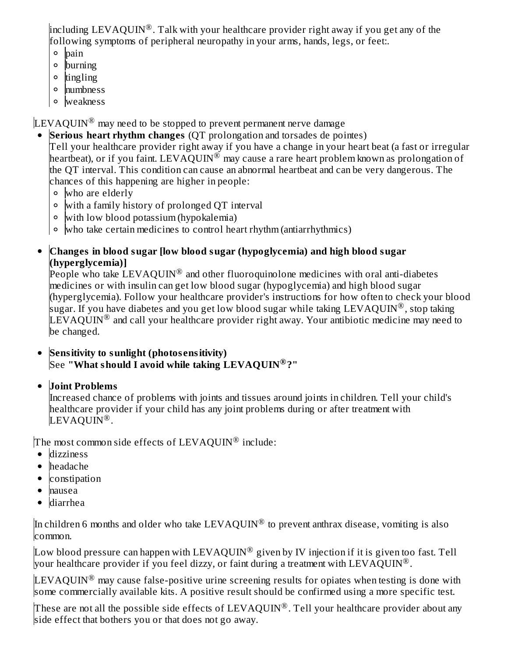including  $\text{LEVAQUIN}^\circledR$  . Talk with your healthcare provider right away if you get any of the following symptoms of peripheral neuropathy in your arms, hands, legs, or feet:.

- pain
- burning
- $\circ$  tingling
- numbness
- weakness

 $\mathbb{L}\text{EVAQUIN}^{\circledR}$  may need to be stopped to prevent permanent nerve damage

- **Serious heart rhythm changes** (QT prolongation and torsades de pointes) Tell your healthcare provider right away if you have a change in your heart beat (a fast or irregular heartbeat), or if you faint. LEVAQUIN® may cause a rare heart problem known as prolongation of the QT interval. This condition can cause an abnormal heartbeat and can be very dangerous. The chances of this happening are higher in people:
	- who are elderly
	- with a family history of prolonged QT interval
	- with low blood potassium (hypokalemia)
	- who take certain medicines to control heart rhythm (antiarrhythmics)

# **Changes in blood sugar [low blood sugar (hypoglycemia) and high blood sugar (hyperglycemia)]**

People who take  $LEVAQUIN^{\circledR}$  and other fluoroquinolone medicines with oral anti-diabetes medicines or with insulin can get low blood sugar (hypoglycemia) and high blood sugar (hyperglycemia). Follow your healthcare provider's instructions for how often to check your blood sugar. If you have diabetes and you get low blood sugar while taking LEVAQUIN®, stop taking  $LEVAQUIN^@$  and call your healthcare provider right away. Your antibiotic medicine may need to be changed.

#### **Sensitivity to sunlight (photos ensitivity)**  $\bullet$ See **"What should I avoid while taking LEVAQUIN ?" ®**

 $\bullet$ **Joint Problems**

Increased chance of problems with joints and tissues around joints in children. Tell your child's healthcare provider if your child has any joint problems during or after treatment with  $LEVAQUIN^@$ .

The most common side effects of LEVAQUIN $^\circledR$  include:

- dizziness
- headache
- constipation
- hausea
- diarrhea  $\bullet$

In children 6 months and older who take  $\text{LEVAQUIN}^\circledR$  to prevent anthrax disease, vomiting is also common.

 ${\rm Low}$  blood pressure can happen with  ${\rm LEVAQUIN}^\circledR$  given by IV injection if it is given too fast. Tell your healthcare provider if you feel dizzy, or faint during a treatment with LEVAQUIN<sup>®</sup>.

 ${\rm LEVAQUIN}^{\circledR}$  may cause false-positive urine screening results for opiates when testing is done with some commercially available kits. A positive result should be confirmed using a more specific test.

These are not all the possible side effects of LEVAQUIN $^\circledR$ . Tell your healthcare provider about any side effect that bothers you or that does not go away.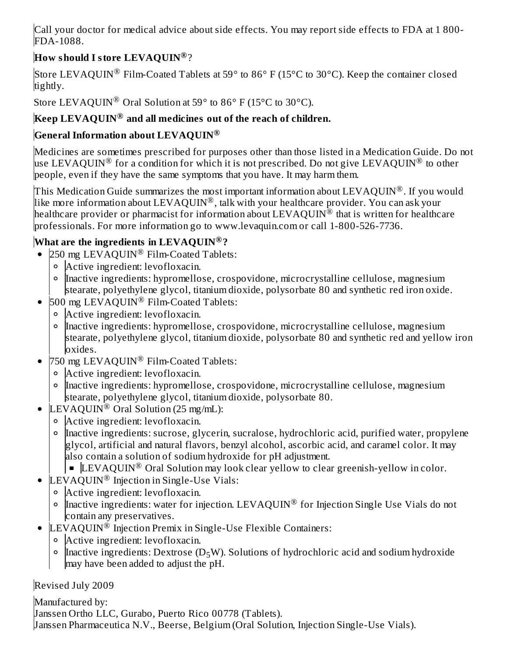Call your doctor for medical advice about side effects. You may report side effects to FDA at 1 800- FDA-1088.

# **How should I store LEVAQUIN** ? **®**

Store LEVAQUIN® Film-Coated Tablets at 59 $^{\circ}$  to 86 $^{\circ}$  F (15 $^{\circ}$ C to 30 $^{\circ}$ C). Keep the container closed tightly.

Store LEVAQUIN<sup>®</sup> Oral Solution at 59 $^{\circ}$  to 86 $^{\circ}$  F (15 $^{\circ}$ C to 30 $^{\circ}$ C).

# $\mathbf{K}$ eep  $\mathbf{LEVAQUIN}^{\circledR}$  and all medicines out of the reach of children.

# **General Information about LEVAQUIN ®**

Medicines are sometimes prescribed for purposes other than those listed in a Medication Guide. Do not use LEVAQUIN® for a condition for which it is not prescribed. Do not give LEVAQUIN® to other people, even if they have the same symptoms that you have. It may harm them.

This Medication Guide summarizes the most important information about  $\operatorname{LEVAQUIN}^{\circledR}.$  If you would like more information about  $\text{LEVAQUN}^\circledast$  , talk with your healthcare provider. You can ask your healthcare provider or pharmacist for information about LEVAQUIN  $^{\circledR}$  that is written for healthcare professionals. For more information go to www.levaquin.com or call 1-800-526-7736.

# **What are the ingredients in LEVAQUIN ? ®**

- 250 mg LEVAQUIN<sup>®</sup> Film-Coated Tablets:
	- Active ingredient: levofloxacin.
	- Inactive ingredients: hypromellose, crospovidone, microcrystalline cellulose, magnesium stearate, polyethylene glycol, titanium dioxide, polysorbate 80 and synthetic red iron oxide.
- 500 mg LEVAQUIN® Film-Coated Tablets:  $\bullet$ 
	- Active ingredient: levofloxacin.
	- Inactive ingredients: hypromellose, crospovidone, microcrystalline cellulose, magnesium stearate, polyethylene glycol, titanium dioxide, polysorbate 80 and synthetic red and yellow iron oxides.
- 750 mg LEVAQUIN<sup>®</sup> Film-Coated Tablets:  $\bullet$ 
	- Active ingredient: levofloxacin.
	- Inactive ingredients: hypromellose, crospovidone, microcrystalline cellulose, magnesium stearate, polyethylene glycol, titanium dioxide, polysorbate 80.
	- $\text{LEVAQUIN} @ \text{Oral Solution (25 mg/mL)}$ :
		- Active ingredient: levofloxacin.
		- Inactive ingredients: sucrose, glycerin, sucralose, hydrochloric acid, purified water, propylene glycol, artificial and natural flavors, benzyl alcohol, ascorbic acid, and caramel color. It may also contain a solution of sodium hydroxide for pH adjustment.
			- $\mathbb{L}\text{EVAQUIN}^{\circledR}$  Oral Solution may look clear yellow to clear greenish-yellow in color.
- $\mathbb{LEV}$ AQUIN $^\circledR$  Injection in Single-Use Vials:  $\bullet$ 
	- Active ingredient: levofloxacin.
	- Inactive ingredients: water for injection.  $\text{LEVAQUIN}^\circledR$  for Injection Single Use Vials do not contain any preservatives.
- $\mathbb{L}\text{EVAQUIN}^{\circledR}$  Injection Premix in Single-Use Flexible Containers:
	- Active ingredient: levofloxacin.
	- Inactive ingredients: Dextrose (D $_5$ W). Solutions of hydrochloric acid and sodium hydroxide may have been added to adjust the pH.

Revised July 2009

 $\bullet$ 

Manufactured by: Janssen Ortho LLC, Gurabo, Puerto Rico 00778 (Tablets). Janssen Pharmaceutica N.V., Beerse, Belgium (Oral Solution, Injection Single-Use Vials).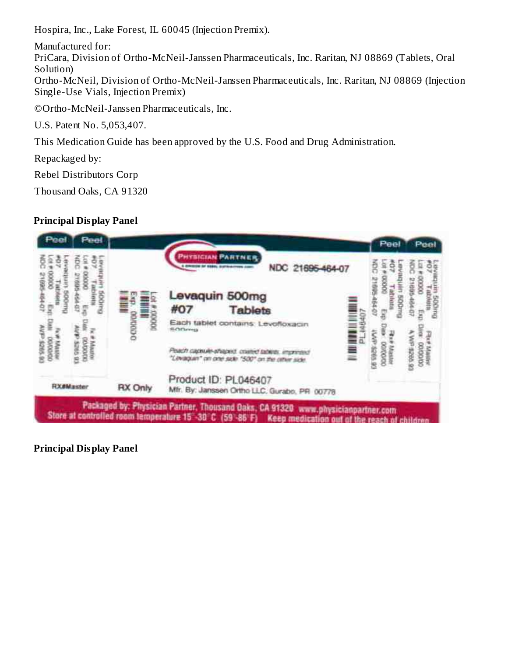Hospira, Inc., Lake Forest, IL 60045 (Injection Premix).

Manufactured for: PriCara, Division of Ortho-McNeil-Janssen Pharmaceuticals, Inc. Raritan, NJ 08869 (Tablets, Oral Solution) Ortho-McNeil, Division of Ortho-McNeil-Janssen Pharmaceuticals, Inc. Raritan, NJ 08869 (Injection Single-Use Vials, Injection Premix)

©Ortho-McNeil-Janssen Pharmaceuticals, Inc.

U.S. Patent No. 5,053,407.

This Medication Guide has been approved by the U.S. Food and Drug Administration.

Repackaged by:

Rebel Distributors Corp

Thousand Oaks, CA 91320

#### **Principal Display Panel**



**Principal Display Panel**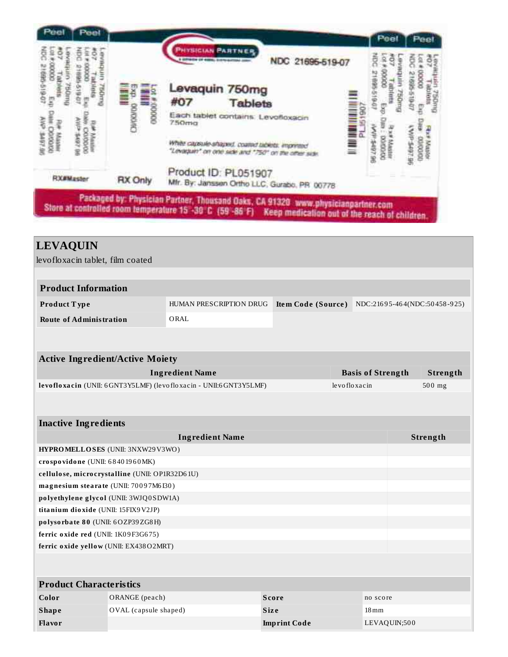

| <b>LEVAQUIN</b>                                |                       |                                                                  |                     |                 |                          |                              |
|------------------------------------------------|-----------------------|------------------------------------------------------------------|---------------------|-----------------|--------------------------|------------------------------|
| levofloxacin tablet, film coated               |                       |                                                                  |                     |                 |                          |                              |
|                                                |                       |                                                                  |                     |                 |                          |                              |
| <b>Product Information</b>                     |                       |                                                                  |                     |                 |                          |                              |
| Product Type                                   |                       | HUMAN PRESCRIPTION DRUG                                          | Item Code (Source)  |                 |                          | NDC:21695-464(NDC:50458-925) |
| <b>Route of Administration</b>                 |                       | ORAL                                                             |                     |                 |                          |                              |
|                                                |                       |                                                                  |                     |                 |                          |                              |
|                                                |                       |                                                                  |                     |                 |                          |                              |
| <b>Active Ingredient/Active Moiety</b>         |                       |                                                                  |                     |                 |                          |                              |
|                                                |                       | <b>Ingredient Name</b>                                           |                     |                 | <b>Basis of Strength</b> | Strength                     |
|                                                |                       | levofloxacin (UNII: 6GNT3Y5LMF) (levofloxacin - UNII:6GNT3Y5LMF) |                     | le vo flo xacin |                          | 500 mg                       |
|                                                |                       |                                                                  |                     |                 |                          |                              |
| <b>Inactive Ingredients</b>                    |                       |                                                                  |                     |                 |                          |                              |
|                                                |                       | <b>Ingredient Name</b>                                           |                     |                 |                          | Strength                     |
| HYPROMELLOSES (UNII: 3NXW29V3WO)               |                       |                                                                  |                     |                 |                          |                              |
| crospovidone (UNII: 68401960MK)                |                       |                                                                  |                     |                 |                          |                              |
| cellulose, microcrystalline (UNII: OP1R32D61U) |                       |                                                                  |                     |                 |                          |                              |
| magnesium stearate (UNII: 70097M6I30)          |                       |                                                                  |                     |                 |                          |                              |
| polyethylene glycol (UNII: 3WJQ0SDW1A)         |                       |                                                                  |                     |                 |                          |                              |
| titanium dioxide (UNII: 15FIX9V2JP)            |                       |                                                                  |                     |                 |                          |                              |
| polysorbate 80 (UNII: 6OZP39ZG8H)              |                       |                                                                  |                     |                 |                          |                              |
| ferric oxide red (UNII: 1K09F3G675)            |                       |                                                                  |                     |                 |                          |                              |
| ferric oxide yellow (UNII: EX438O2MRT)         |                       |                                                                  |                     |                 |                          |                              |
|                                                |                       |                                                                  |                     |                 |                          |                              |
| <b>Product Characteristics</b>                 |                       |                                                                  |                     |                 |                          |                              |
| Color                                          | ORANGE (peach)        |                                                                  | <b>Score</b>        |                 | no score                 |                              |
| <b>Shape</b>                                   | OVAL (capsule shaped) |                                                                  | <b>Size</b>         |                 | $18 \,\mathrm{mm}$       |                              |
| Flavor                                         |                       |                                                                  | <b>Imprint Code</b> |                 | LEVAQUIN;500             |                              |
|                                                |                       |                                                                  |                     |                 |                          |                              |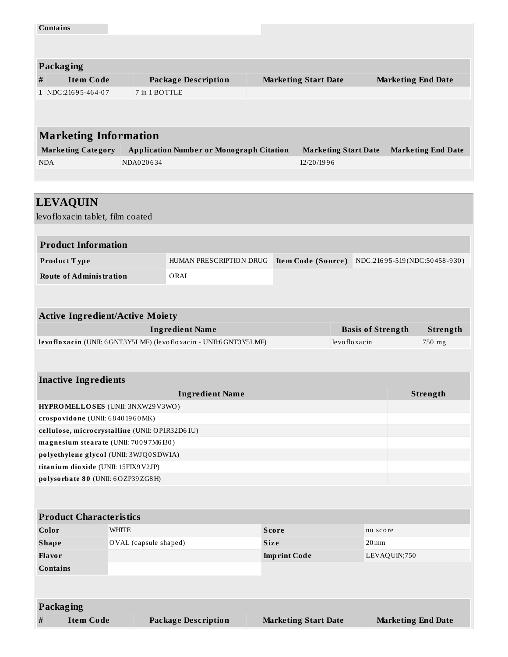| Contains                               |                                                 |                            |                             |                             |  |                              |  |
|----------------------------------------|-------------------------------------------------|----------------------------|-----------------------------|-----------------------------|--|------------------------------|--|
|                                        |                                                 |                            |                             |                             |  |                              |  |
| <b>Packaging</b>                       |                                                 |                            |                             |                             |  |                              |  |
| <b>Item Code</b><br>#                  |                                                 | <b>Package Description</b> | <b>Marketing Start Date</b> |                             |  | <b>Marketing End Date</b>    |  |
| 1 NDC:21695-464-07                     | 7 in 1 BOTTLE                                   |                            |                             |                             |  |                              |  |
|                                        |                                                 |                            |                             |                             |  |                              |  |
|                                        |                                                 |                            |                             |                             |  |                              |  |
| <b>Marketing Information</b>           |                                                 |                            |                             |                             |  |                              |  |
| <b>Marketing Category</b>              | <b>Application Number or Monograph Citation</b> |                            |                             | <b>Marketing Start Date</b> |  | <b>Marketing End Date</b>    |  |
| <b>NDA</b>                             | NDA020634                                       |                            | 12/20/1996                  |                             |  |                              |  |
|                                        |                                                 |                            |                             |                             |  |                              |  |
|                                        |                                                 |                            |                             |                             |  |                              |  |
| <b>LEVAQUIN</b>                        |                                                 |                            |                             |                             |  |                              |  |
| levofloxacin tablet, film coated       |                                                 |                            |                             |                             |  |                              |  |
|                                        |                                                 |                            |                             |                             |  |                              |  |
| <b>Product Information</b>             |                                                 |                            |                             |                             |  |                              |  |
| Product Type                           |                                                 | HUMAN PRESCRIPTION DRUG    |                             | Item Code (Source)          |  | NDC:21695-519(NDC:50458-930) |  |
| <b>Route of Administration</b>         |                                                 | ORAL                       |                             |                             |  |                              |  |
|                                        |                                                 |                            |                             |                             |  |                              |  |
|                                        |                                                 |                            |                             |                             |  |                              |  |
| <b>Active Ingredient/Active Moiety</b> |                                                 |                            |                             |                             |  |                              |  |

| $\frac{1}{2}$                                                    |                          |          |  |  |  |
|------------------------------------------------------------------|--------------------------|----------|--|--|--|
| Ingredient Name                                                  | <b>Basis of Strength</b> | Strength |  |  |  |
| levofloxacin (UNII: 6GNT3Y5LMF) (levofloxacin - UNII:6GNT3Y5LMF) | le vo flo xa cin         | 750 mg   |  |  |  |

| <b>Inactive Ingredients</b>                    |          |  |  |
|------------------------------------------------|----------|--|--|
| <b>Ingredient Name</b>                         | Strength |  |  |
| <b>HYPROMELLOSES</b> (UNII: 3NXW29V3WO)        |          |  |  |
| crospovidone (UNII: 68401960MK)                |          |  |  |
| cellulose, microcrystalline (UNII: OP1R32D61U) |          |  |  |
| magnesium stearate (UNII: 70097M6I30)          |          |  |  |
| polyethylene glycol (UNII: 3WJQ0SDW1A)         |          |  |  |
| titanium dioxide (UNII: 15FIX9V2JP)            |          |  |  |
| polysorbate 80 (UNII: 6OZP39ZG8H)              |          |  |  |

**po lyso rba te 8 0** (UNII: 6OZP39ZG8H)

| <b>Product Characteristics</b> |                            |                             |                           |  |  |
|--------------------------------|----------------------------|-----------------------------|---------------------------|--|--|
| Color                          | <b>WHITE</b>               | <b>Score</b>                | no score                  |  |  |
| <b>Shape</b>                   | OVAL (capsule shaped)      | <b>Size</b>                 | $20 \,\mathrm{mm}$        |  |  |
| <b>Flavor</b>                  |                            | <b>Imprint Code</b>         | LEVAQUIN;750              |  |  |
| <b>Contains</b>                |                            |                             |                           |  |  |
|                                |                            |                             |                           |  |  |
|                                |                            |                             |                           |  |  |
| Packaging                      |                            |                             |                           |  |  |
| $\#$<br><b>Item Code</b>       | <b>Package Description</b> | <b>Marketing Start Date</b> | <b>Marketing End Date</b> |  |  |
|                                |                            |                             |                           |  |  |